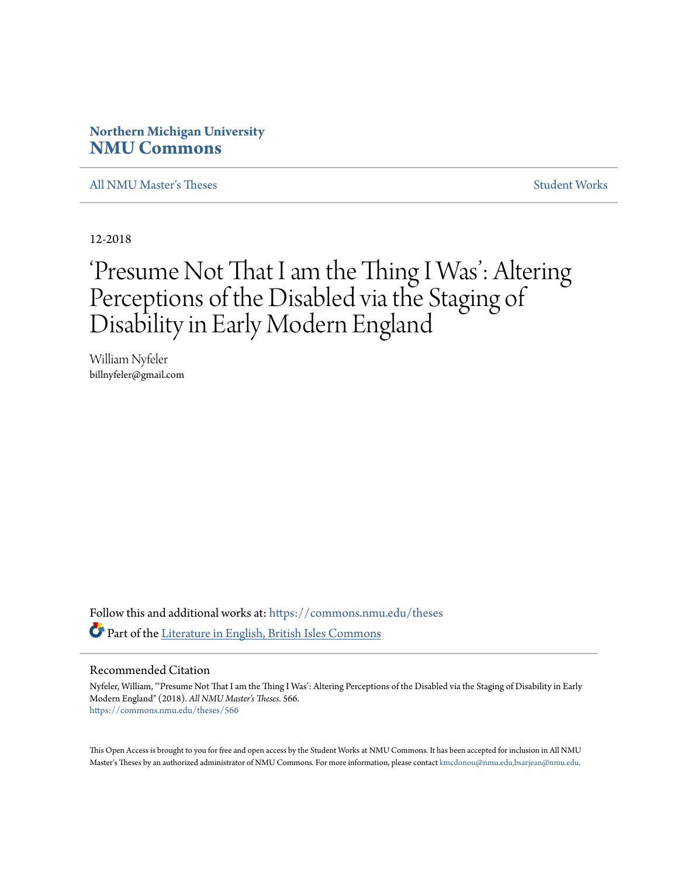# **Northern Michigan University [NMU Commons](https://commons.nmu.edu?utm_source=commons.nmu.edu%2Ftheses%2F566&utm_medium=PDF&utm_campaign=PDFCoverPages)**

[All NMU Master's Theses](https://commons.nmu.edu/theses?utm_source=commons.nmu.edu%2Ftheses%2F566&utm_medium=PDF&utm_campaign=PDFCoverPages) [Student Works](https://commons.nmu.edu/student_works?utm_source=commons.nmu.edu%2Ftheses%2F566&utm_medium=PDF&utm_campaign=PDFCoverPages)

12-2018

# 'Presume Not That I am the Thing I Was': Altering Perceptions of the Disabled via the Staging of Disability in Early Modern England

William Nyfeler billnyfeler@gmail.com

Follow this and additional works at: [https://commons.nmu.edu/theses](https://commons.nmu.edu/theses?utm_source=commons.nmu.edu%2Ftheses%2F566&utm_medium=PDF&utm_campaign=PDFCoverPages) Part of the [Literature in English, British Isles Commons](http://network.bepress.com/hgg/discipline/456?utm_source=commons.nmu.edu%2Ftheses%2F566&utm_medium=PDF&utm_campaign=PDFCoverPages)

#### Recommended Citation

Nyfeler, William, "'Presume Not That I am the Thing I Was': Altering Perceptions of the Disabled via the Staging of Disability in Early Modern England" (2018). *All NMU Master's Theses*. 566. [https://commons.nmu.edu/theses/566](https://commons.nmu.edu/theses/566?utm_source=commons.nmu.edu%2Ftheses%2F566&utm_medium=PDF&utm_campaign=PDFCoverPages)

This Open Access is brought to you for free and open access by the Student Works at NMU Commons. It has been accepted for inclusion in All NMU Master's Theses by an authorized administrator of NMU Commons. For more information, please contact [kmcdonou@nmu.edu,bsarjean@nmu.edu.](mailto:kmcdonou@nmu.edu,bsarjean@nmu.edu)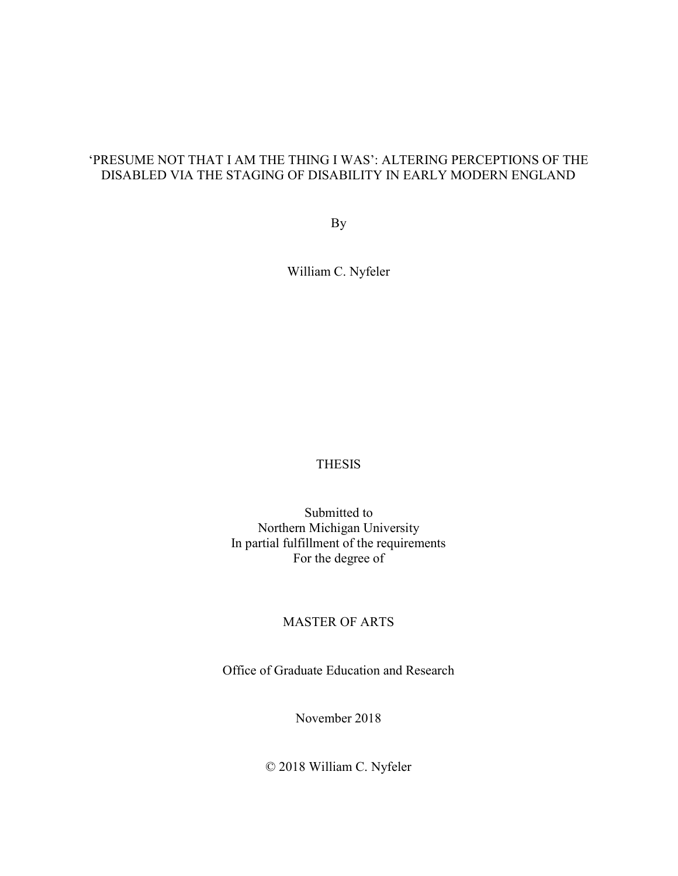# 'PRESUME NOT THAT I AM THE THING I WAS': ALTERING PERCEPTIONS OF THE DISABLED VIA THE STAGING OF DISABILITY IN EARLY MODERN ENGLAND

By

William C. Nyfeler

# **THESIS**

Submitted to Northern Michigan University In partial fulfillment of the requirements For the degree of

# MASTER OF ARTS

Office of Graduate Education and Research

November 2018

© 2018 William C. Nyfeler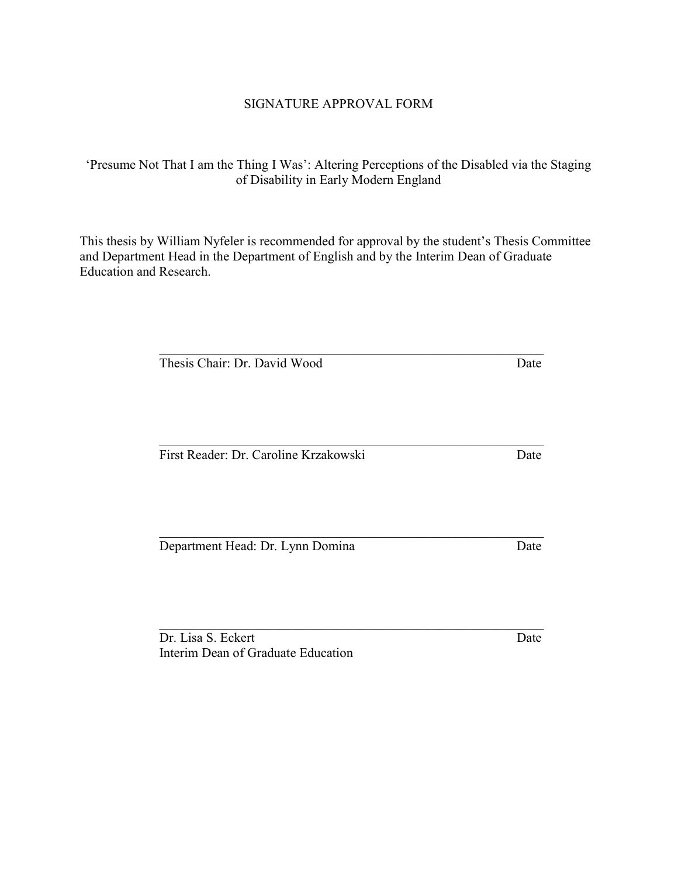# SIGNATURE APPROVAL FORM

'Presume Not That I am the Thing I Was': Altering Perceptions of the Disabled via the Staging of Disability in Early Modern England

This thesis by William Nyfeler is recommended for approval by the student's Thesis Committee and Department Head in the Department of English and by the Interim Dean of Graduate Education and Research.

Thesis Chair: Dr. David Wood Date

First Reader: Dr. Caroline Krzakowski Date

Department Head: Dr. Lynn Domina Date

Dr. Lisa S. Eckert Date Interim Dean of Graduate Education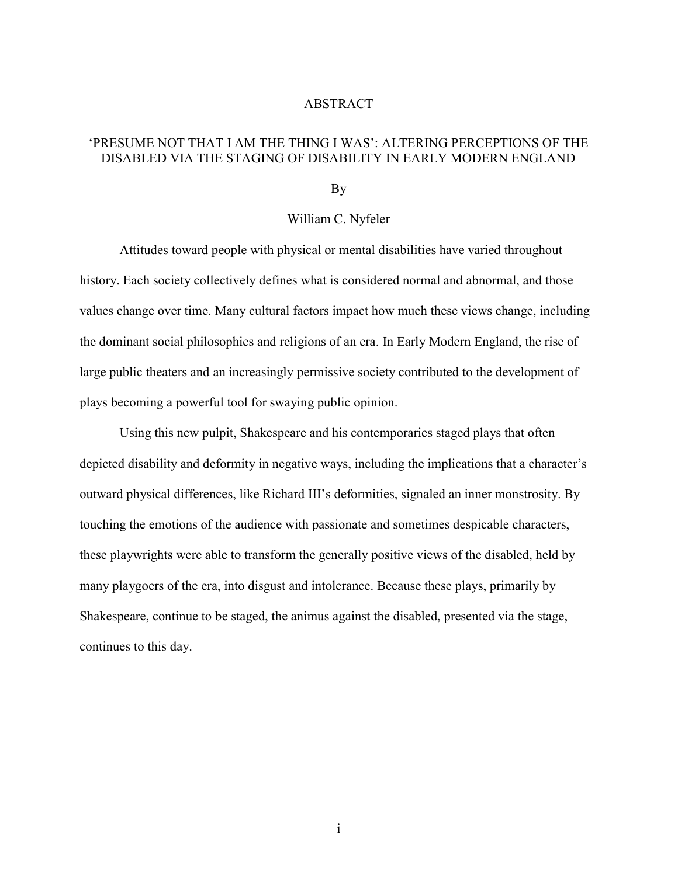### ABSTRACT

# 'PRESUME NOT THAT I AM THE THING I WAS': ALTERING PERCEPTIONS OF THE DISABLED VIA THE STAGING OF DISABILITY IN EARLY MODERN ENGLAND

By

### William C. Nyfeler

 Attitudes toward people with physical or mental disabilities have varied throughout history. Each society collectively defines what is considered normal and abnormal, and those values change over time. Many cultural factors impact how much these views change, including the dominant social philosophies and religions of an era. In Early Modern England, the rise of large public theaters and an increasingly permissive society contributed to the development of plays becoming a powerful tool for swaying public opinion.

 Using this new pulpit, Shakespeare and his contemporaries staged plays that often depicted disability and deformity in negative ways, including the implications that a character's outward physical differences, like Richard III's deformities, signaled an inner monstrosity. By touching the emotions of the audience with passionate and sometimes despicable characters, these playwrights were able to transform the generally positive views of the disabled, held by many playgoers of the era, into disgust and intolerance. Because these plays, primarily by Shakespeare, continue to be staged, the animus against the disabled, presented via the stage, continues to this day.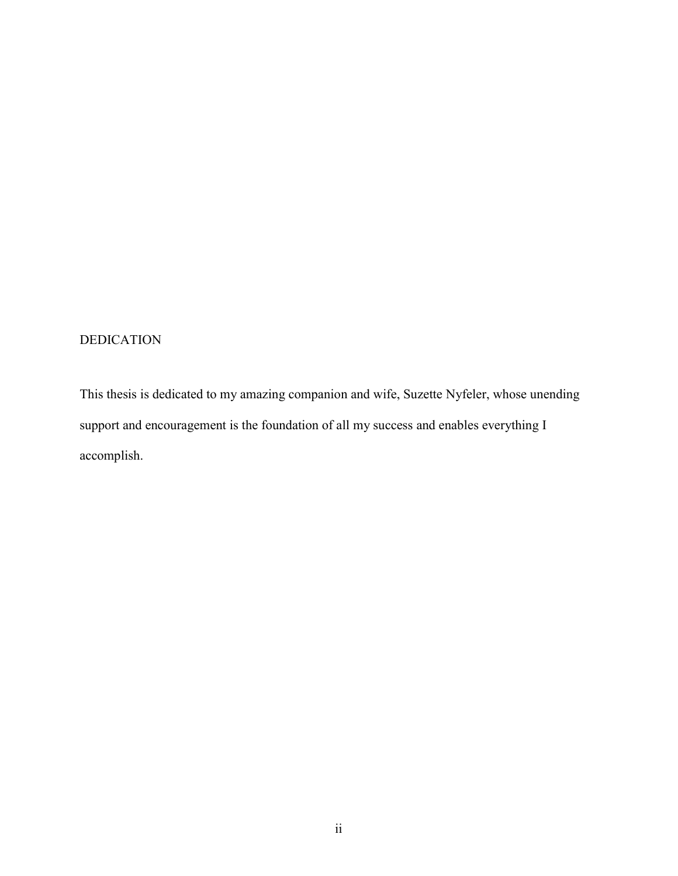# DEDICATION

This thesis is dedicated to my amazing companion and wife, Suzette Nyfeler, whose unending support and encouragement is the foundation of all my success and enables everything I accomplish.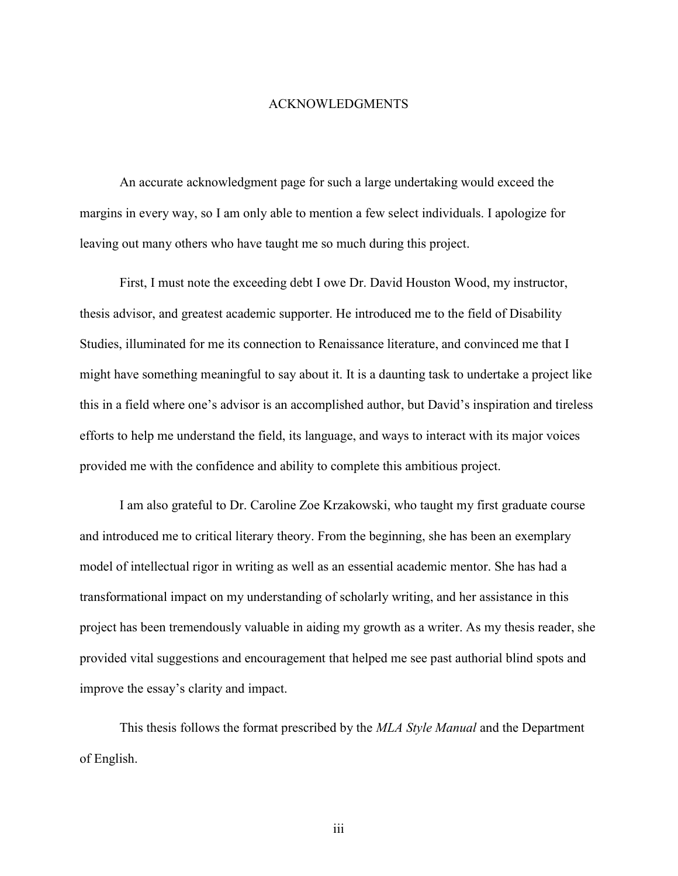### ACKNOWLEDGMENTS

An accurate acknowledgment page for such a large undertaking would exceed the margins in every way, so I am only able to mention a few select individuals. I apologize for leaving out many others who have taught me so much during this project.

First, I must note the exceeding debt I owe Dr. David Houston Wood, my instructor, thesis advisor, and greatest academic supporter. He introduced me to the field of Disability Studies, illuminated for me its connection to Renaissance literature, and convinced me that I might have something meaningful to say about it. It is a daunting task to undertake a project like this in a field where one's advisor is an accomplished author, but David's inspiration and tireless efforts to help me understand the field, its language, and ways to interact with its major voices provided me with the confidence and ability to complete this ambitious project.

I am also grateful to Dr. Caroline Zoe Krzakowski, who taught my first graduate course and introduced me to critical literary theory. From the beginning, she has been an exemplary model of intellectual rigor in writing as well as an essential academic mentor. She has had a transformational impact on my understanding of scholarly writing, and her assistance in this project has been tremendously valuable in aiding my growth as a writer. As my thesis reader, she provided vital suggestions and encouragement that helped me see past authorial blind spots and improve the essay's clarity and impact.

This thesis follows the format prescribed by the MLA Style Manual and the Department of English.

iii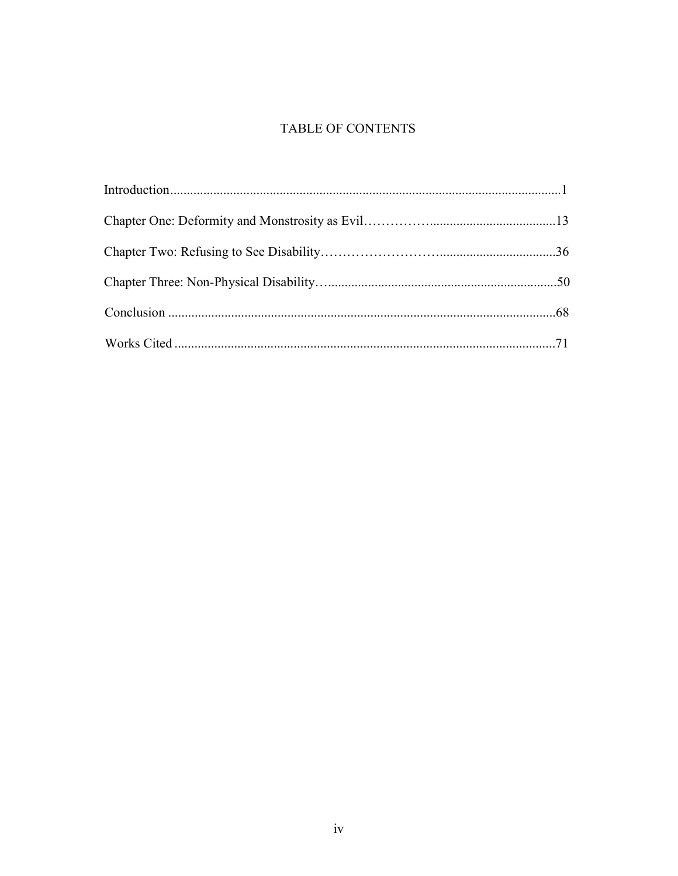# **TABLE OF CONTENTS**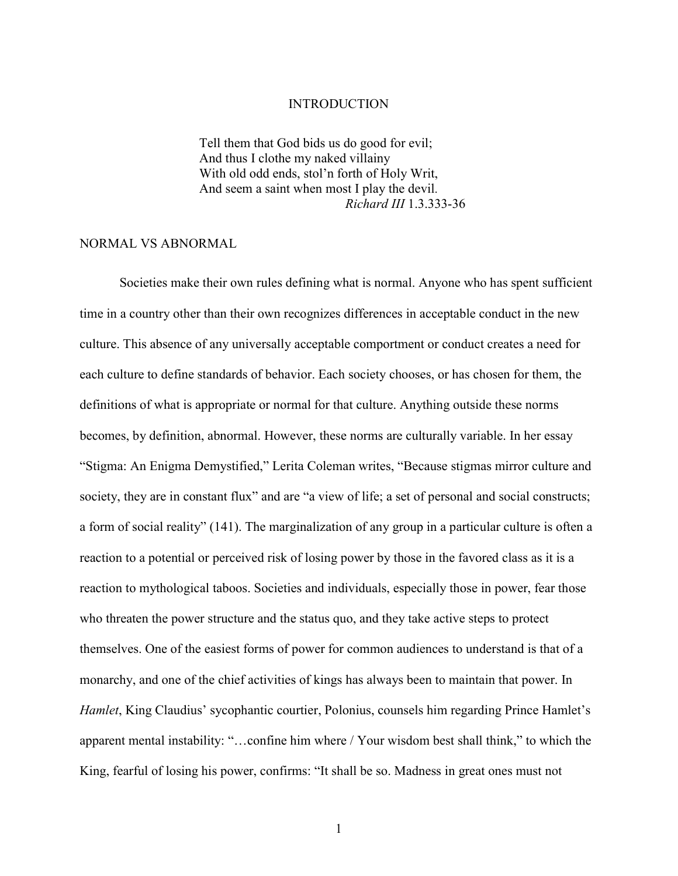### INTRODUCTION

 Tell them that God bids us do good for evil; And thus I clothe my naked villainy With old odd ends, stol'n forth of Holy Writ, And seem a saint when most I play the devil. Richard III 1.3.333-36

### NORMAL VS ABNORMAL

Societies make their own rules defining what is normal. Anyone who has spent sufficient time in a country other than their own recognizes differences in acceptable conduct in the new culture. This absence of any universally acceptable comportment or conduct creates a need for each culture to define standards of behavior. Each society chooses, or has chosen for them, the definitions of what is appropriate or normal for that culture. Anything outside these norms becomes, by definition, abnormal. However, these norms are culturally variable. In her essay "Stigma: An Enigma Demystified," Lerita Coleman writes, "Because stigmas mirror culture and society, they are in constant flux" and are "a view of life; a set of personal and social constructs; a form of social reality" (141). The marginalization of any group in a particular culture is often a reaction to a potential or perceived risk of losing power by those in the favored class as it is a reaction to mythological taboos. Societies and individuals, especially those in power, fear those who threaten the power structure and the status quo, and they take active steps to protect themselves. One of the easiest forms of power for common audiences to understand is that of a monarchy, and one of the chief activities of kings has always been to maintain that power. In Hamlet, King Claudius' sycophantic courtier, Polonius, counsels him regarding Prince Hamlet's apparent mental instability: "…confine him where / Your wisdom best shall think," to which the King, fearful of losing his power, confirms: "It shall be so. Madness in great ones must not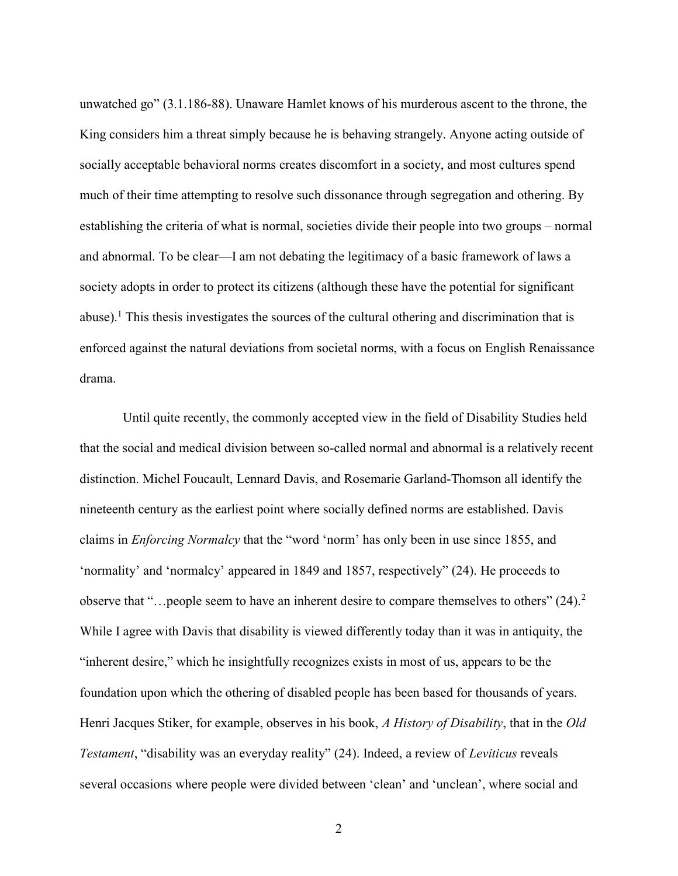unwatched go" (3.1.186-88). Unaware Hamlet knows of his murderous ascent to the throne, the King considers him a threat simply because he is behaving strangely. Anyone acting outside of socially acceptable behavioral norms creates discomfort in a society, and most cultures spend much of their time attempting to resolve such dissonance through segregation and othering. By establishing the criteria of what is normal, societies divide their people into two groups – normal and abnormal. To be clear—I am not debating the legitimacy of a basic framework of laws a society adopts in order to protect its citizens (although these have the potential for significant abuse).<sup>1</sup> This thesis investigates the sources of the cultural othering and discrimination that is enforced against the natural deviations from societal norms, with a focus on English Renaissance drama.

 Until quite recently, the commonly accepted view in the field of Disability Studies held that the social and medical division between so-called normal and abnormal is a relatively recent distinction. Michel Foucault, Lennard Davis, and Rosemarie Garland-Thomson all identify the nineteenth century as the earliest point where socially defined norms are established. Davis claims in Enforcing Normalcy that the "word 'norm' has only been in use since 1855, and 'normality' and 'normalcy' appeared in 1849 and 1857, respectively" (24). He proceeds to observe that "…people seem to have an inherent desire to compare themselves to others" (24).<sup>2</sup> While I agree with Davis that disability is viewed differently today than it was in antiquity, the "inherent desire," which he insightfully recognizes exists in most of us, appears to be the foundation upon which the othering of disabled people has been based for thousands of years. Henri Jacques Stiker, for example, observes in his book, A History of Disability, that in the Old Testament, "disability was an everyday reality" (24). Indeed, a review of Leviticus reveals several occasions where people were divided between 'clean' and 'unclean', where social and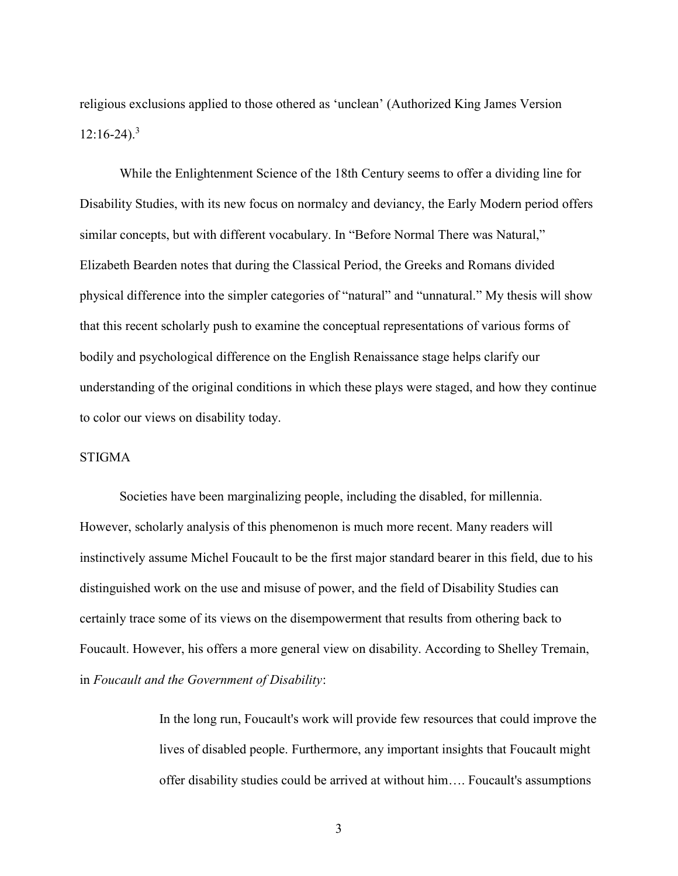religious exclusions applied to those othered as 'unclean' (Authorized King James Version  $12:16-24$ .<sup>3</sup>

While the Enlightenment Science of the 18th Century seems to offer a dividing line for Disability Studies, with its new focus on normalcy and deviancy, the Early Modern period offers similar concepts, but with different vocabulary. In "Before Normal There was Natural," Elizabeth Bearden notes that during the Classical Period, the Greeks and Romans divided physical difference into the simpler categories of "natural" and "unnatural." My thesis will show that this recent scholarly push to examine the conceptual representations of various forms of bodily and psychological difference on the English Renaissance stage helps clarify our understanding of the original conditions in which these plays were staged, and how they continue to color our views on disability today.

### **STIGMA**

Societies have been marginalizing people, including the disabled, for millennia. However, scholarly analysis of this phenomenon is much more recent. Many readers will instinctively assume Michel Foucault to be the first major standard bearer in this field, due to his distinguished work on the use and misuse of power, and the field of Disability Studies can certainly trace some of its views on the disempowerment that results from othering back to Foucault. However, his offers a more general view on disability. According to Shelley Tremain, in Foucault and the Government of Disability:

> In the long run, Foucault's work will provide few resources that could improve the lives of disabled people. Furthermore, any important insights that Foucault might offer disability studies could be arrived at without him…. Foucault's assumptions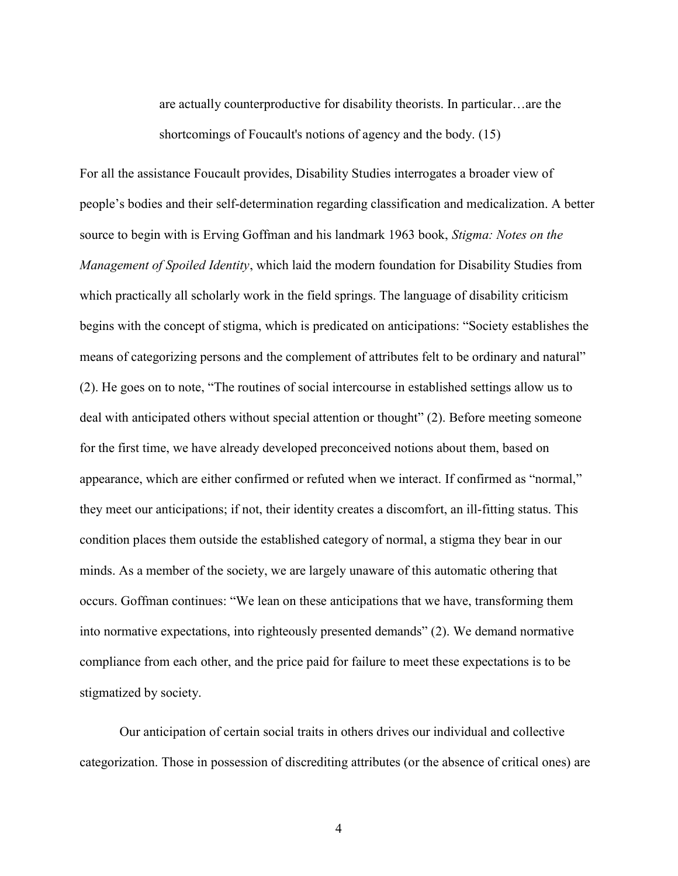are actually counterproductive for disability theorists. In particular…are the shortcomings of Foucault's notions of agency and the body. (15)

For all the assistance Foucault provides, Disability Studies interrogates a broader view of people's bodies and their self-determination regarding classification and medicalization. A better source to begin with is Erving Goffman and his landmark 1963 book, Stigma: Notes on the Management of Spoiled Identity, which laid the modern foundation for Disability Studies from which practically all scholarly work in the field springs. The language of disability criticism begins with the concept of stigma, which is predicated on anticipations: "Society establishes the means of categorizing persons and the complement of attributes felt to be ordinary and natural" (2). He goes on to note, "The routines of social intercourse in established settings allow us to deal with anticipated others without special attention or thought" (2). Before meeting someone for the first time, we have already developed preconceived notions about them, based on appearance, which are either confirmed or refuted when we interact. If confirmed as "normal," they meet our anticipations; if not, their identity creates a discomfort, an ill-fitting status. This condition places them outside the established category of normal, a stigma they bear in our minds. As a member of the society, we are largely unaware of this automatic othering that occurs. Goffman continues: "We lean on these anticipations that we have, transforming them into normative expectations, into righteously presented demands" (2). We demand normative compliance from each other, and the price paid for failure to meet these expectations is to be stigmatized by society.

Our anticipation of certain social traits in others drives our individual and collective categorization. Those in possession of discrediting attributes (or the absence of critical ones) are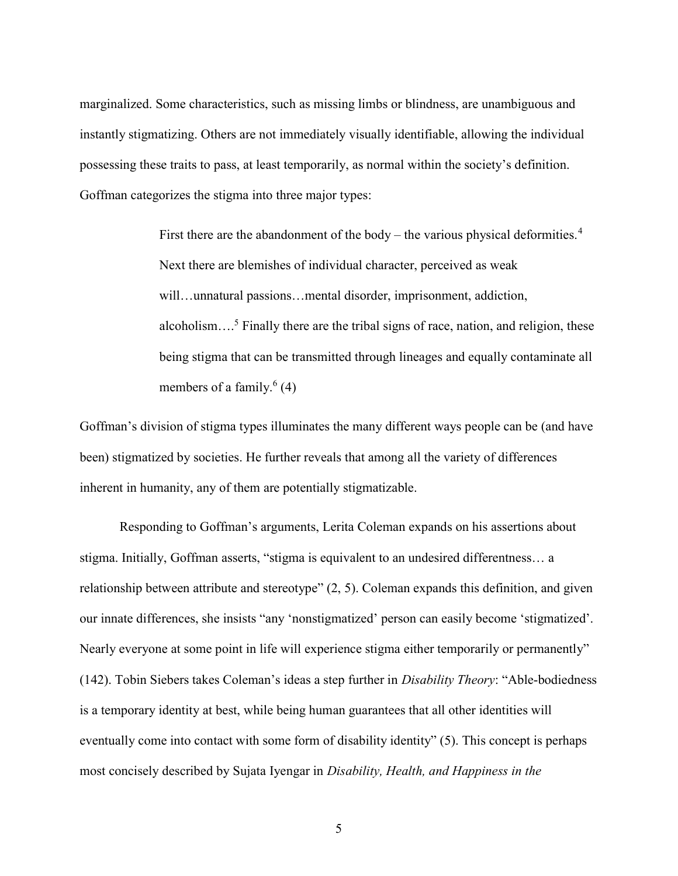marginalized. Some characteristics, such as missing limbs or blindness, are unambiguous and instantly stigmatizing. Others are not immediately visually identifiable, allowing the individual possessing these traits to pass, at least temporarily, as normal within the society's definition. Goffman categorizes the stigma into three major types:

> First there are the abandonment of the body – the various physical deformities.<sup>4</sup> Next there are blemishes of individual character, perceived as weak will…unnatural passions…mental disorder, imprisonment, addiction, alcoholism....<sup>5</sup> Finally there are the tribal signs of race, nation, and religion, these being stigma that can be transmitted through lineages and equally contaminate all members of a family.<sup>6</sup> (4)

Goffman's division of stigma types illuminates the many different ways people can be (and have been) stigmatized by societies. He further reveals that among all the variety of differences inherent in humanity, any of them are potentially stigmatizable.

Responding to Goffman's arguments, Lerita Coleman expands on his assertions about stigma. Initially, Goffman asserts, "stigma is equivalent to an undesired differentness… a relationship between attribute and stereotype" (2, 5). Coleman expands this definition, and given our innate differences, she insists "any 'nonstigmatized' person can easily become 'stigmatized'. Nearly everyone at some point in life will experience stigma either temporarily or permanently" (142). Tobin Siebers takes Coleman's ideas a step further in Disability Theory: "Able-bodiedness is a temporary identity at best, while being human guarantees that all other identities will eventually come into contact with some form of disability identity" (5). This concept is perhaps most concisely described by Sujata Iyengar in Disability, Health, and Happiness in the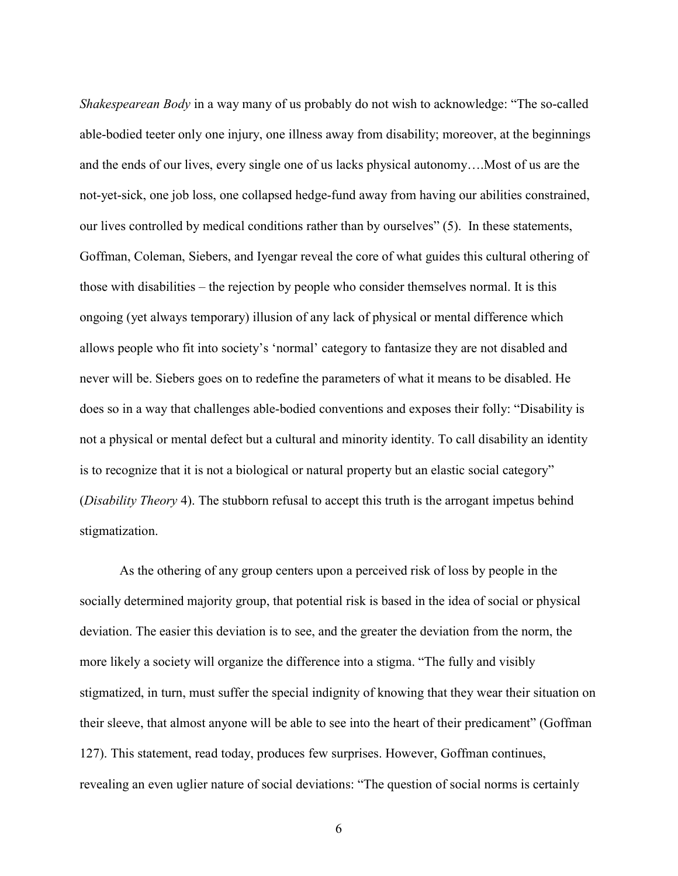Shakespearean Body in a way many of us probably do not wish to acknowledge: "The so-called able-bodied teeter only one injury, one illness away from disability; moreover, at the beginnings and the ends of our lives, every single one of us lacks physical autonomy….Most of us are the not-yet-sick, one job loss, one collapsed hedge-fund away from having our abilities constrained, our lives controlled by medical conditions rather than by ourselves" (5). In these statements, Goffman, Coleman, Siebers, and Iyengar reveal the core of what guides this cultural othering of those with disabilities – the rejection by people who consider themselves normal. It is this ongoing (yet always temporary) illusion of any lack of physical or mental difference which allows people who fit into society's 'normal' category to fantasize they are not disabled and never will be. Siebers goes on to redefine the parameters of what it means to be disabled. He does so in a way that challenges able-bodied conventions and exposes their folly: "Disability is not a physical or mental defect but a cultural and minority identity. To call disability an identity is to recognize that it is not a biological or natural property but an elastic social category" (*Disability Theory* 4). The stubborn refusal to accept this truth is the arrogant impetus behind stigmatization.

As the othering of any group centers upon a perceived risk of loss by people in the socially determined majority group, that potential risk is based in the idea of social or physical deviation. The easier this deviation is to see, and the greater the deviation from the norm, the more likely a society will organize the difference into a stigma. "The fully and visibly stigmatized, in turn, must suffer the special indignity of knowing that they wear their situation on their sleeve, that almost anyone will be able to see into the heart of their predicament" (Goffman 127). This statement, read today, produces few surprises. However, Goffman continues, revealing an even uglier nature of social deviations: "The question of social norms is certainly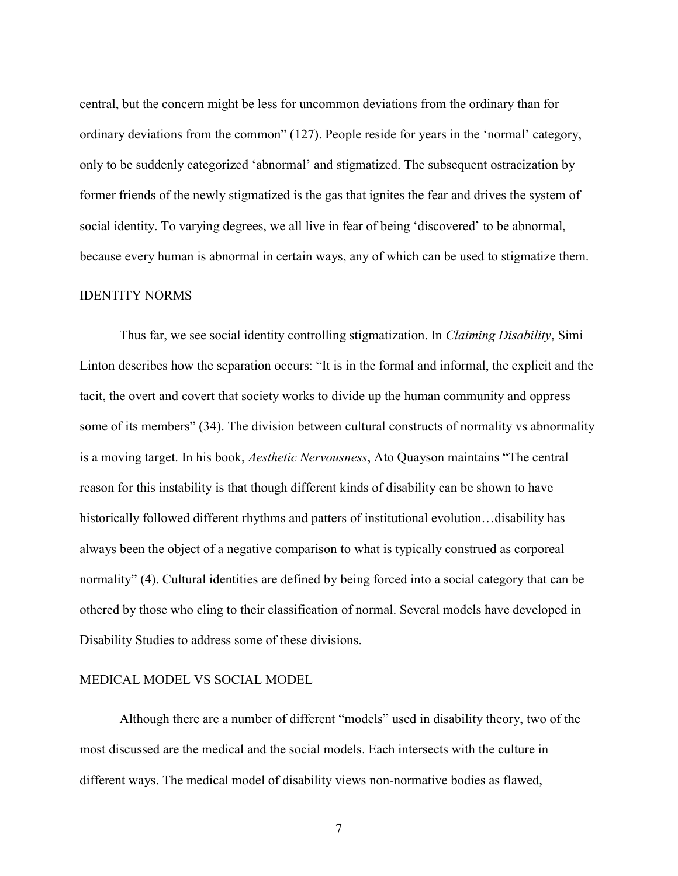central, but the concern might be less for uncommon deviations from the ordinary than for ordinary deviations from the common" (127). People reside for years in the 'normal' category, only to be suddenly categorized 'abnormal' and stigmatized. The subsequent ostracization by former friends of the newly stigmatized is the gas that ignites the fear and drives the system of social identity. To varying degrees, we all live in fear of being 'discovered' to be abnormal, because every human is abnormal in certain ways, any of which can be used to stigmatize them.

### IDENTITY NORMS

Thus far, we see social identity controlling stigmatization. In *Claiming Disability*, Simi Linton describes how the separation occurs: "It is in the formal and informal, the explicit and the tacit, the overt and covert that society works to divide up the human community and oppress some of its members" (34). The division between cultural constructs of normality vs abnormality is a moving target. In his book, Aesthetic Nervousness, Ato Quayson maintains "The central reason for this instability is that though different kinds of disability can be shown to have historically followed different rhythms and patters of institutional evolution...disability has always been the object of a negative comparison to what is typically construed as corporeal normality" (4). Cultural identities are defined by being forced into a social category that can be othered by those who cling to their classification of normal. Several models have developed in Disability Studies to address some of these divisions.

#### MEDICAL MODEL VS SOCIAL MODEL

Although there are a number of different "models" used in disability theory, two of the most discussed are the medical and the social models. Each intersects with the culture in different ways. The medical model of disability views non-normative bodies as flawed,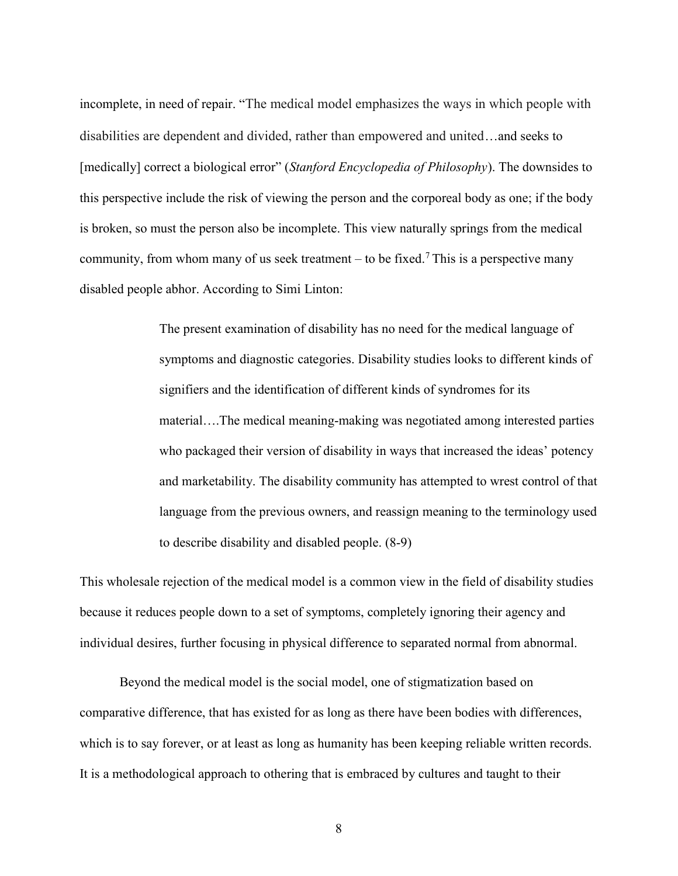incomplete, in need of repair. "The medical model emphasizes the ways in which people with disabilities are dependent and divided, rather than empowered and united…and seeks to [medically] correct a biological error" (Stanford Encyclopedia of Philosophy). The downsides to this perspective include the risk of viewing the person and the corporeal body as one; if the body is broken, so must the person also be incomplete. This view naturally springs from the medical community, from whom many of us seek treatment – to be fixed.<sup>7</sup> This is a perspective many disabled people abhor. According to Simi Linton:

> The present examination of disability has no need for the medical language of symptoms and diagnostic categories. Disability studies looks to different kinds of signifiers and the identification of different kinds of syndromes for its material….The medical meaning-making was negotiated among interested parties who packaged their version of disability in ways that increased the ideas' potency and marketability. The disability community has attempted to wrest control of that language from the previous owners, and reassign meaning to the terminology used to describe disability and disabled people. (8-9)

This wholesale rejection of the medical model is a common view in the field of disability studies because it reduces people down to a set of symptoms, completely ignoring their agency and individual desires, further focusing in physical difference to separated normal from abnormal.

Beyond the medical model is the social model, one of stigmatization based on comparative difference, that has existed for as long as there have been bodies with differences, which is to say forever, or at least as long as humanity has been keeping reliable written records. It is a methodological approach to othering that is embraced by cultures and taught to their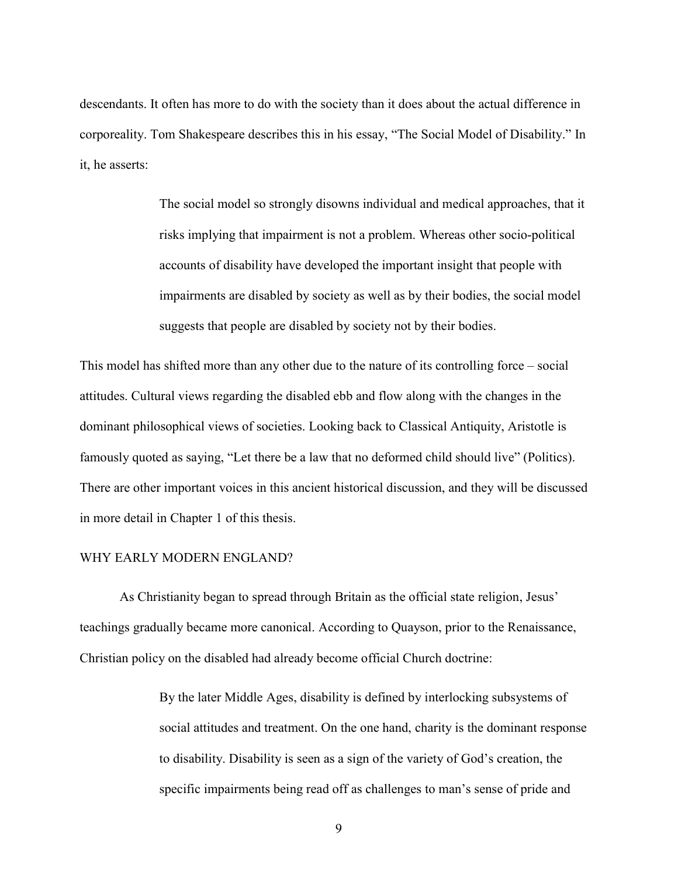descendants. It often has more to do with the society than it does about the actual difference in corporeality. Tom Shakespeare describes this in his essay, "The Social Model of Disability." In it, he asserts:

> The social model so strongly disowns individual and medical approaches, that it risks implying that impairment is not a problem. Whereas other socio-political accounts of disability have developed the important insight that people with impairments are disabled by society as well as by their bodies, the social model suggests that people are disabled by society not by their bodies.

This model has shifted more than any other due to the nature of its controlling force – social attitudes. Cultural views regarding the disabled ebb and flow along with the changes in the dominant philosophical views of societies. Looking back to Classical Antiquity, Aristotle is famously quoted as saying, "Let there be a law that no deformed child should live" (Politics). There are other important voices in this ancient historical discussion, and they will be discussed in more detail in Chapter 1 of this thesis.

#### WHY EARLY MODERN ENGLAND?

As Christianity began to spread through Britain as the official state religion, Jesus' teachings gradually became more canonical. According to Quayson, prior to the Renaissance, Christian policy on the disabled had already become official Church doctrine:

> By the later Middle Ages, disability is defined by interlocking subsystems of social attitudes and treatment. On the one hand, charity is the dominant response to disability. Disability is seen as a sign of the variety of God's creation, the specific impairments being read off as challenges to man's sense of pride and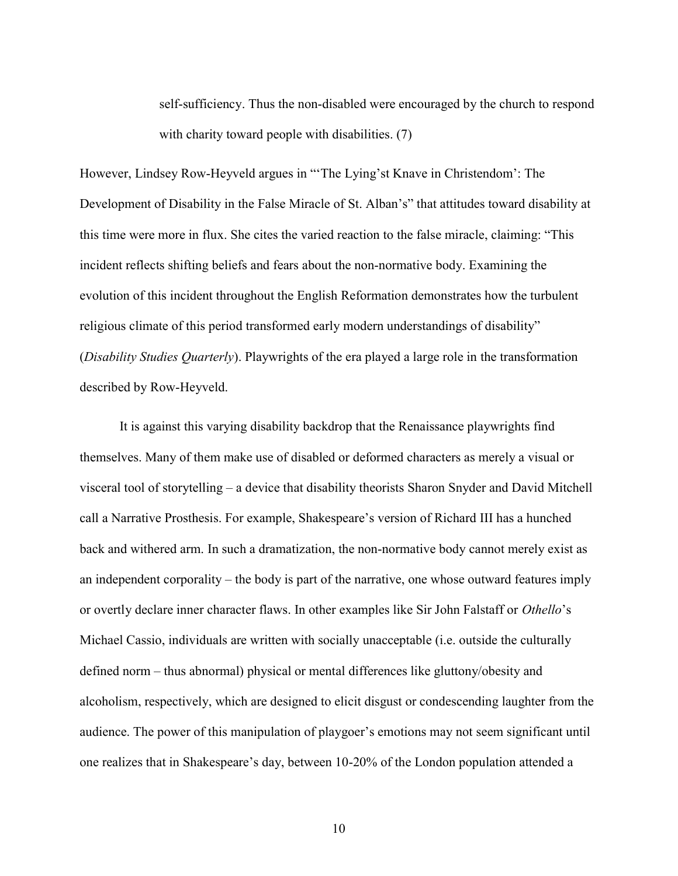self-sufficiency. Thus the non-disabled were encouraged by the church to respond with charity toward people with disabilities. (7)

However, Lindsey Row-Heyveld argues in "'The Lying'st Knave in Christendom': The Development of Disability in the False Miracle of St. Alban's" that attitudes toward disability at this time were more in flux. She cites the varied reaction to the false miracle, claiming: "This incident reflects shifting beliefs and fears about the non-normative body. Examining the evolution of this incident throughout the English Reformation demonstrates how the turbulent religious climate of this period transformed early modern understandings of disability" (Disability Studies Quarterly). Playwrights of the era played a large role in the transformation described by Row-Heyveld.

It is against this varying disability backdrop that the Renaissance playwrights find themselves. Many of them make use of disabled or deformed characters as merely a visual or visceral tool of storytelling – a device that disability theorists Sharon Snyder and David Mitchell call a Narrative Prosthesis. For example, Shakespeare's version of Richard III has a hunched back and withered arm. In such a dramatization, the non-normative body cannot merely exist as an independent corporality – the body is part of the narrative, one whose outward features imply or overtly declare inner character flaws. In other examples like Sir John Falstaff or Othello's Michael Cassio, individuals are written with socially unacceptable (i.e. outside the culturally defined norm – thus abnormal) physical or mental differences like gluttony/obesity and alcoholism, respectively, which are designed to elicit disgust or condescending laughter from the audience. The power of this manipulation of playgoer's emotions may not seem significant until one realizes that in Shakespeare's day, between 10-20% of the London population attended a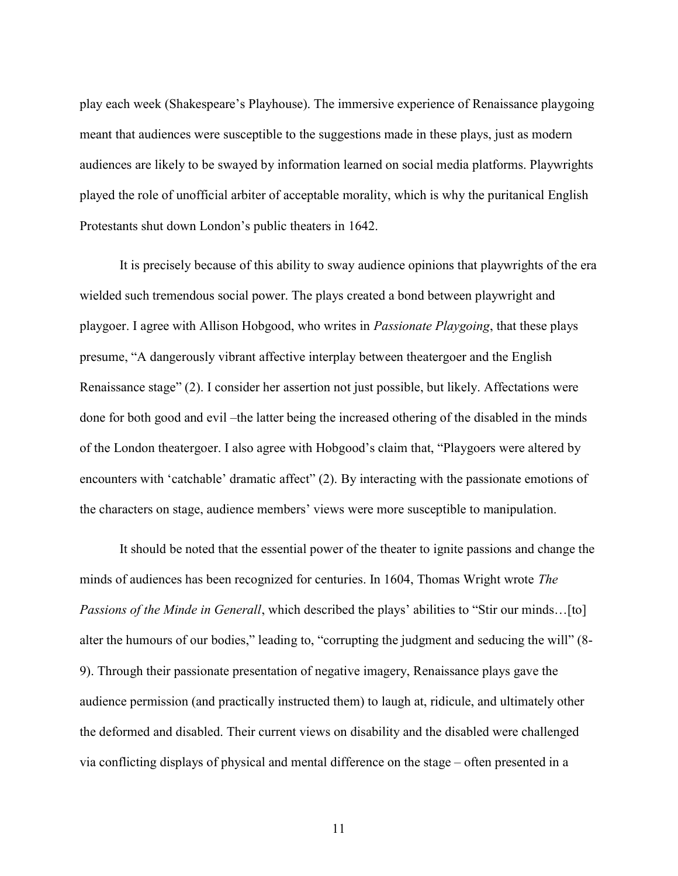play each week (Shakespeare's Playhouse). The immersive experience of Renaissance playgoing meant that audiences were susceptible to the suggestions made in these plays, just as modern audiences are likely to be swayed by information learned on social media platforms. Playwrights played the role of unofficial arbiter of acceptable morality, which is why the puritanical English Protestants shut down London's public theaters in 1642.

It is precisely because of this ability to sway audience opinions that playwrights of the era wielded such tremendous social power. The plays created a bond between playwright and playgoer. I agree with Allison Hobgood, who writes in Passionate Playgoing, that these plays presume, "A dangerously vibrant affective interplay between theatergoer and the English Renaissance stage" (2). I consider her assertion not just possible, but likely. Affectations were done for both good and evil –the latter being the increased othering of the disabled in the minds of the London theatergoer. I also agree with Hobgood's claim that, "Playgoers were altered by encounters with 'catchable' dramatic affect" (2). By interacting with the passionate emotions of the characters on stage, audience members' views were more susceptible to manipulation.

It should be noted that the essential power of the theater to ignite passions and change the minds of audiences has been recognized for centuries. In 1604, Thomas Wright wrote The Passions of the Minde in Generall, which described the plays' abilities to "Stir our minds...[to] alter the humours of our bodies," leading to, "corrupting the judgment and seducing the will" (8- 9). Through their passionate presentation of negative imagery, Renaissance plays gave the audience permission (and practically instructed them) to laugh at, ridicule, and ultimately other the deformed and disabled. Their current views on disability and the disabled were challenged via conflicting displays of physical and mental difference on the stage – often presented in a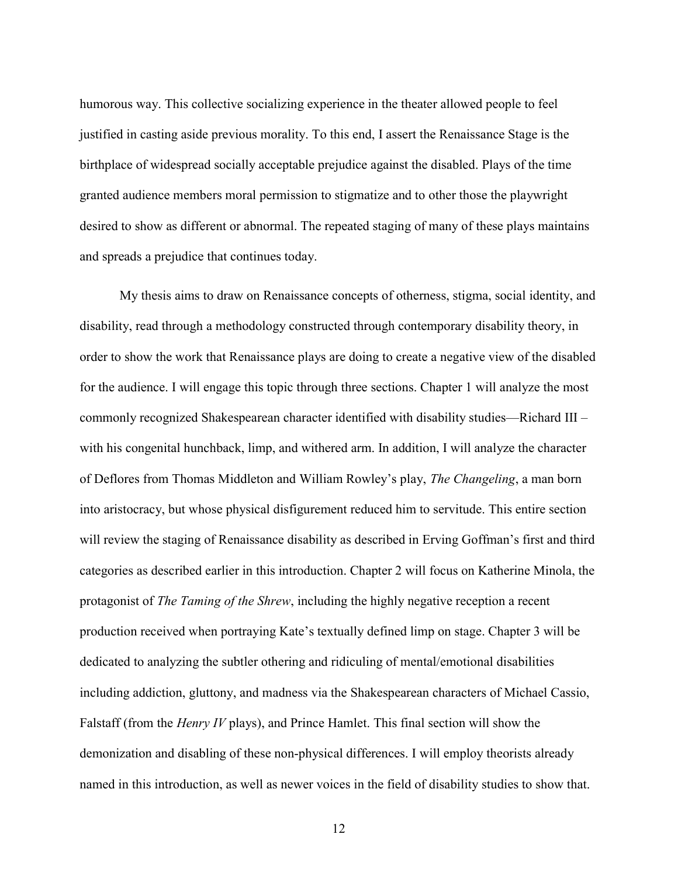humorous way. This collective socializing experience in the theater allowed people to feel justified in casting aside previous morality. To this end, I assert the Renaissance Stage is the birthplace of widespread socially acceptable prejudice against the disabled. Plays of the time granted audience members moral permission to stigmatize and to other those the playwright desired to show as different or abnormal. The repeated staging of many of these plays maintains and spreads a prejudice that continues today.

My thesis aims to draw on Renaissance concepts of otherness, stigma, social identity, and disability, read through a methodology constructed through contemporary disability theory, in order to show the work that Renaissance plays are doing to create a negative view of the disabled for the audience. I will engage this topic through three sections. Chapter 1 will analyze the most commonly recognized Shakespearean character identified with disability studies—Richard III – with his congenital hunchback, limp, and withered arm. In addition, I will analyze the character of Deflores from Thomas Middleton and William Rowley's play, The Changeling, a man born into aristocracy, but whose physical disfigurement reduced him to servitude. This entire section will review the staging of Renaissance disability as described in Erving Goffman's first and third categories as described earlier in this introduction. Chapter 2 will focus on Katherine Minola, the protagonist of *The Taming of the Shrew*, including the highly negative reception a recent production received when portraying Kate's textually defined limp on stage. Chapter 3 will be dedicated to analyzing the subtler othering and ridiculing of mental/emotional disabilities including addiction, gluttony, and madness via the Shakespearean characters of Michael Cassio, Falstaff (from the Henry IV plays), and Prince Hamlet. This final section will show the demonization and disabling of these non-physical differences. I will employ theorists already named in this introduction, as well as newer voices in the field of disability studies to show that.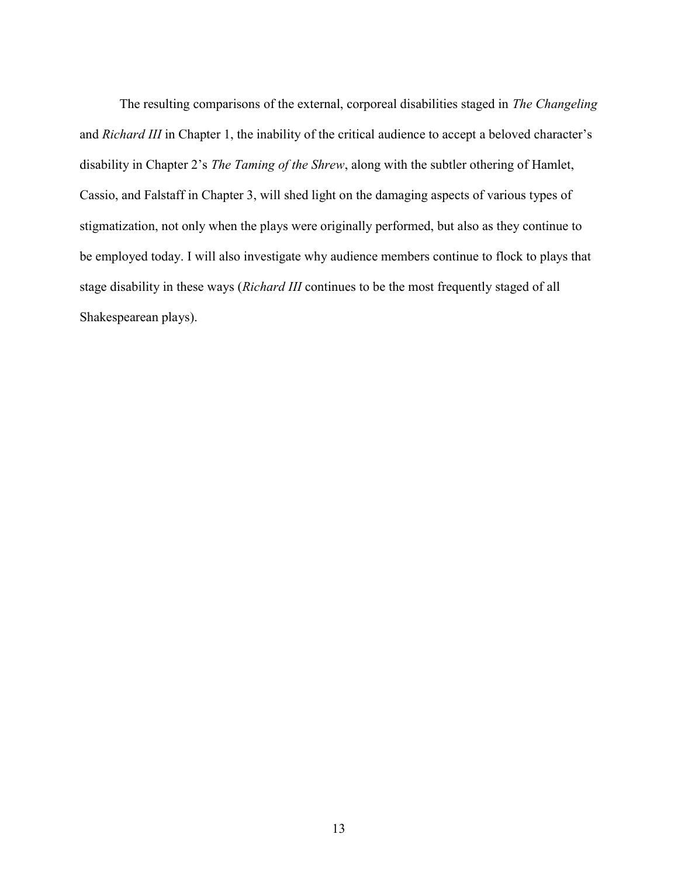The resulting comparisons of the external, corporeal disabilities staged in The Changeling and Richard III in Chapter 1, the inability of the critical audience to accept a beloved character's disability in Chapter 2's The Taming of the Shrew, along with the subtler othering of Hamlet, Cassio, and Falstaff in Chapter 3, will shed light on the damaging aspects of various types of stigmatization, not only when the plays were originally performed, but also as they continue to be employed today. I will also investigate why audience members continue to flock to plays that stage disability in these ways (*Richard III* continues to be the most frequently staged of all Shakespearean plays).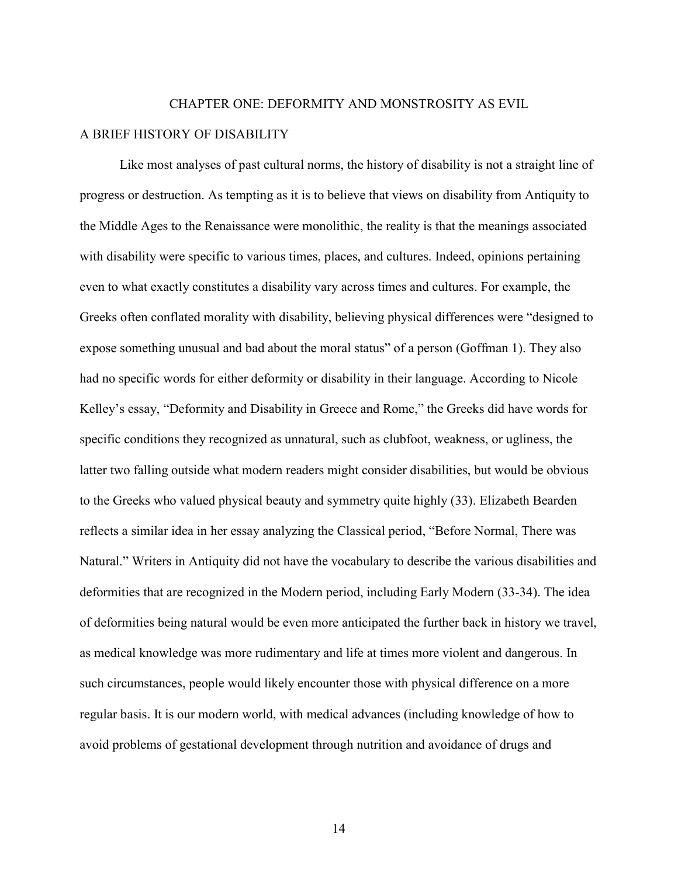# CHAPTER ONE: DEFORMITY AND MONSTROSITY AS EVIL

### A BRIEF HISTORY OF DISABILITY

Like most analyses of past cultural norms, the history of disability is not a straight line of progress or destruction. As tempting as it is to believe that views on disability from Antiquity to the Middle Ages to the Renaissance were monolithic, the reality is that the meanings associated with disability were specific to various times, places, and cultures. Indeed, opinions pertaining even to what exactly constitutes a disability vary across times and cultures. For example, the Greeks often conflated morality with disability, believing physical differences were "designed to expose something unusual and bad about the moral status" of a person (Goffman 1). They also had no specific words for either deformity or disability in their language. According to Nicole Kelley's essay, "Deformity and Disability in Greece and Rome," the Greeks did have words for specific conditions they recognized as unnatural, such as clubfoot, weakness, or ugliness, the latter two falling outside what modern readers might consider disabilities, but would be obvious to the Greeks who valued physical beauty and symmetry quite highly (33). Elizabeth Bearden reflects a similar idea in her essay analyzing the Classical period, "Before Normal, There was Natural." Writers in Antiquity did not have the vocabulary to describe the various disabilities and deformities that are recognized in the Modern period, including Early Modern (33-34). The idea of deformities being natural would be even more anticipated the further back in history we travel, as medical knowledge was more rudimentary and life at times more violent and dangerous. In such circumstances, people would likely encounter those with physical difference on a more regular basis. It is our modern world, with medical advances (including knowledge of how to avoid problems of gestational development through nutrition and avoidance of drugs and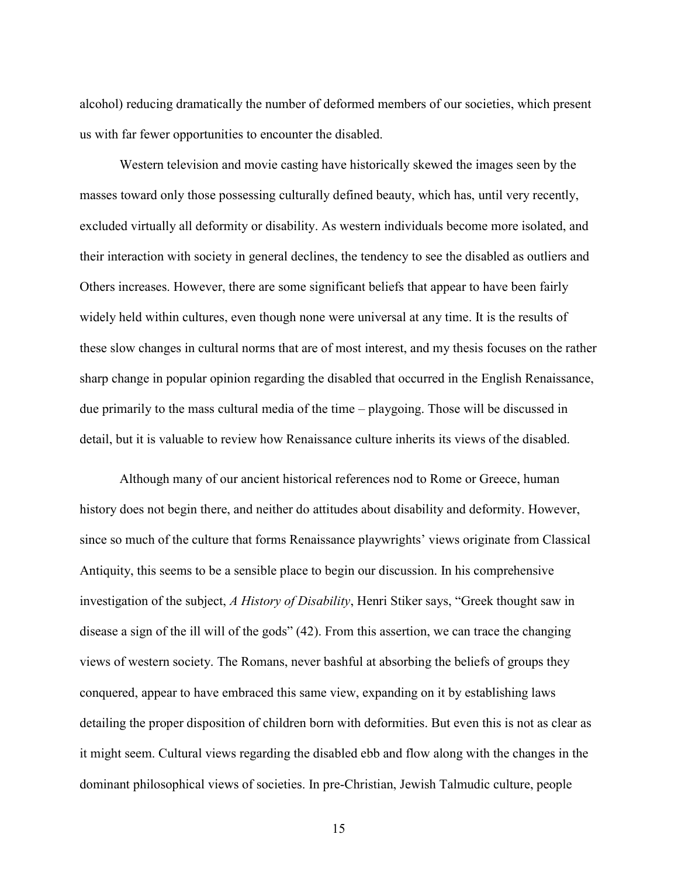alcohol) reducing dramatically the number of deformed members of our societies, which present us with far fewer opportunities to encounter the disabled.

Western television and movie casting have historically skewed the images seen by the masses toward only those possessing culturally defined beauty, which has, until very recently, excluded virtually all deformity or disability. As western individuals become more isolated, and their interaction with society in general declines, the tendency to see the disabled as outliers and Others increases. However, there are some significant beliefs that appear to have been fairly widely held within cultures, even though none were universal at any time. It is the results of these slow changes in cultural norms that are of most interest, and my thesis focuses on the rather sharp change in popular opinion regarding the disabled that occurred in the English Renaissance, due primarily to the mass cultural media of the time – playgoing. Those will be discussed in detail, but it is valuable to review how Renaissance culture inherits its views of the disabled.

Although many of our ancient historical references nod to Rome or Greece, human history does not begin there, and neither do attitudes about disability and deformity. However, since so much of the culture that forms Renaissance playwrights' views originate from Classical Antiquity, this seems to be a sensible place to begin our discussion. In his comprehensive investigation of the subject, A History of Disability, Henri Stiker says, "Greek thought saw in disease a sign of the ill will of the gods" (42). From this assertion, we can trace the changing views of western society. The Romans, never bashful at absorbing the beliefs of groups they conquered, appear to have embraced this same view, expanding on it by establishing laws detailing the proper disposition of children born with deformities. But even this is not as clear as it might seem. Cultural views regarding the disabled ebb and flow along with the changes in the dominant philosophical views of societies. In pre-Christian, Jewish Talmudic culture, people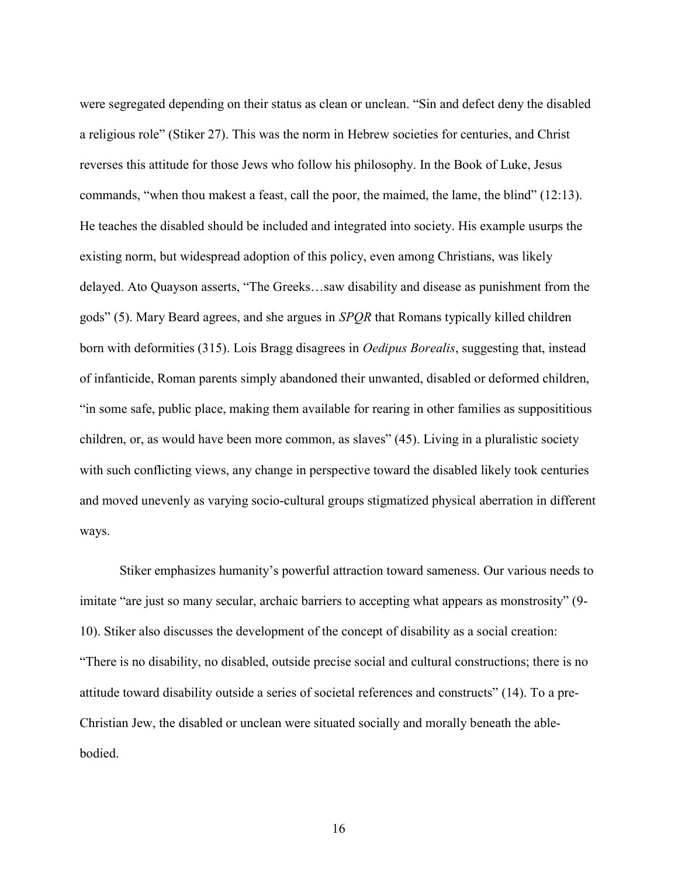were segregated depending on their status as clean or unclean. "Sin and defect deny the disabled a religious role" (Stiker 27). This was the norm in Hebrew societies for centuries, and Christ reverses this attitude for those Jews who follow his philosophy. In the Book of Luke, Jesus commands, "when thou makest a feast, call the poor, the maimed, the lame, the blind" (12:13). He teaches the disabled should be included and integrated into society. His example usurps the existing norm, but widespread adoption of this policy, even among Christians, was likely delayed. Ato Quayson asserts, "The Greeks…saw disability and disease as punishment from the gods" (5). Mary Beard agrees, and she argues in SPQR that Romans typically killed children born with deformities (315). Lois Bragg disagrees in *Oedipus Borealis*, suggesting that, instead of infanticide, Roman parents simply abandoned their unwanted, disabled or deformed children, "in some safe, public place, making them available for rearing in other families as supposititious children, or, as would have been more common, as slaves" (45). Living in a pluralistic society with such conflicting views, any change in perspective toward the disabled likely took centuries and moved unevenly as varying socio-cultural groups stigmatized physical aberration in different ways.

Stiker emphasizes humanity's powerful attraction toward sameness. Our various needs to imitate "are just so many secular, archaic barriers to accepting what appears as monstrosity" (9- 10). Stiker also discusses the development of the concept of disability as a social creation: "There is no disability, no disabled, outside precise social and cultural constructions; there is no attitude toward disability outside a series of societal references and constructs" (14). To a pre-Christian Jew, the disabled or unclean were situated socially and morally beneath the ablebodied.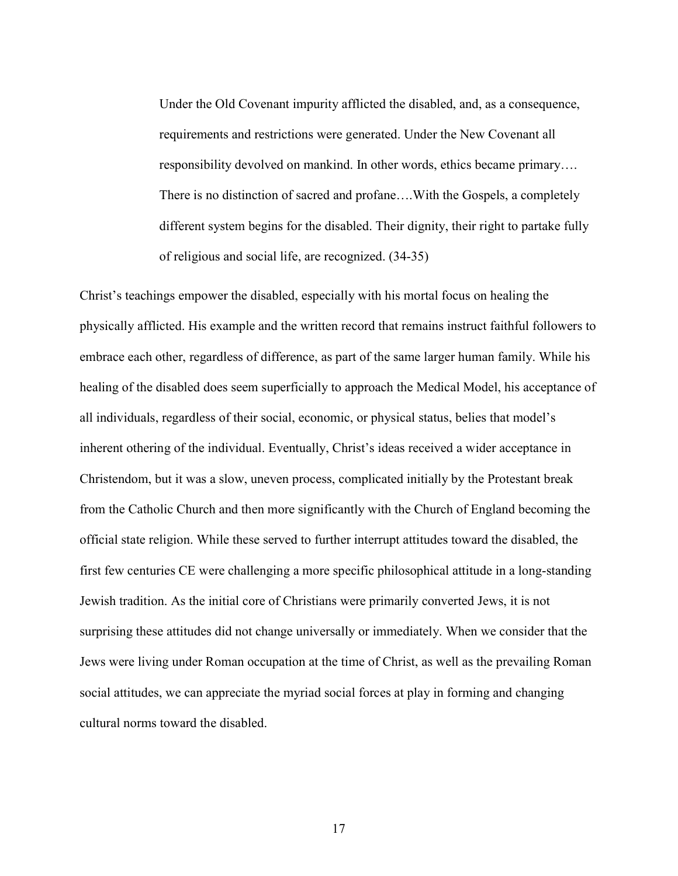Under the Old Covenant impurity afflicted the disabled, and, as a consequence, requirements and restrictions were generated. Under the New Covenant all responsibility devolved on mankind. In other words, ethics became primary…. There is no distinction of sacred and profane….With the Gospels, a completely different system begins for the disabled. Their dignity, their right to partake fully of religious and social life, are recognized. (34-35)

Christ's teachings empower the disabled, especially with his mortal focus on healing the physically afflicted. His example and the written record that remains instruct faithful followers to embrace each other, regardless of difference, as part of the same larger human family. While his healing of the disabled does seem superficially to approach the Medical Model, his acceptance of all individuals, regardless of their social, economic, or physical status, belies that model's inherent othering of the individual. Eventually, Christ's ideas received a wider acceptance in Christendom, but it was a slow, uneven process, complicated initially by the Protestant break from the Catholic Church and then more significantly with the Church of England becoming the official state religion. While these served to further interrupt attitudes toward the disabled, the first few centuries CE were challenging a more specific philosophical attitude in a long-standing Jewish tradition. As the initial core of Christians were primarily converted Jews, it is not surprising these attitudes did not change universally or immediately. When we consider that the Jews were living under Roman occupation at the time of Christ, as well as the prevailing Roman social attitudes, we can appreciate the myriad social forces at play in forming and changing cultural norms toward the disabled.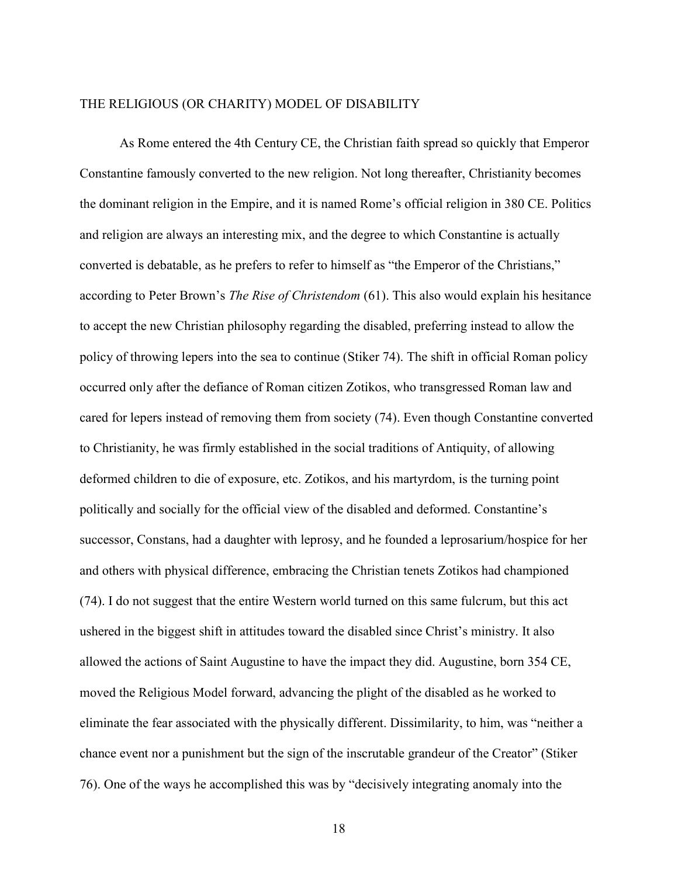### THE RELIGIOUS (OR CHARITY) MODEL OF DISABILITY

As Rome entered the 4th Century CE, the Christian faith spread so quickly that Emperor Constantine famously converted to the new religion. Not long thereafter, Christianity becomes the dominant religion in the Empire, and it is named Rome's official religion in 380 CE. Politics and religion are always an interesting mix, and the degree to which Constantine is actually converted is debatable, as he prefers to refer to himself as "the Emperor of the Christians," according to Peter Brown's *The Rise of Christendom* (61). This also would explain his hesitance to accept the new Christian philosophy regarding the disabled, preferring instead to allow the policy of throwing lepers into the sea to continue (Stiker 74). The shift in official Roman policy occurred only after the defiance of Roman citizen Zotikos, who transgressed Roman law and cared for lepers instead of removing them from society (74). Even though Constantine converted to Christianity, he was firmly established in the social traditions of Antiquity, of allowing deformed children to die of exposure, etc. Zotikos, and his martyrdom, is the turning point politically and socially for the official view of the disabled and deformed. Constantine's successor, Constans, had a daughter with leprosy, and he founded a leprosarium/hospice for her and others with physical difference, embracing the Christian tenets Zotikos had championed (74). I do not suggest that the entire Western world turned on this same fulcrum, but this act ushered in the biggest shift in attitudes toward the disabled since Christ's ministry. It also allowed the actions of Saint Augustine to have the impact they did. Augustine, born 354 CE, moved the Religious Model forward, advancing the plight of the disabled as he worked to eliminate the fear associated with the physically different. Dissimilarity, to him, was "neither a chance event nor a punishment but the sign of the inscrutable grandeur of the Creator" (Stiker 76). One of the ways he accomplished this was by "decisively integrating anomaly into the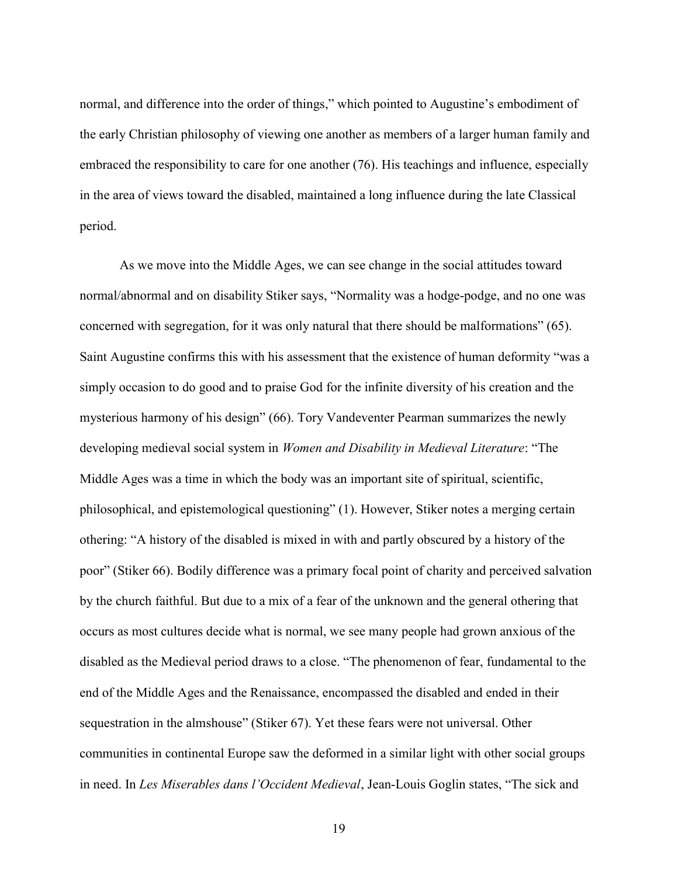normal, and difference into the order of things," which pointed to Augustine's embodiment of the early Christian philosophy of viewing one another as members of a larger human family and embraced the responsibility to care for one another (76). His teachings and influence, especially in the area of views toward the disabled, maintained a long influence during the late Classical period.

As we move into the Middle Ages, we can see change in the social attitudes toward normal/abnormal and on disability Stiker says, "Normality was a hodge-podge, and no one was concerned with segregation, for it was only natural that there should be malformations" (65). Saint Augustine confirms this with his assessment that the existence of human deformity "was a simply occasion to do good and to praise God for the infinite diversity of his creation and the mysterious harmony of his design" (66). Tory Vandeventer Pearman summarizes the newly developing medieval social system in *Women and Disability in Medieval Literature*: "The Middle Ages was a time in which the body was an important site of spiritual, scientific, philosophical, and epistemological questioning" (1). However, Stiker notes a merging certain othering: "A history of the disabled is mixed in with and partly obscured by a history of the poor" (Stiker 66). Bodily difference was a primary focal point of charity and perceived salvation by the church faithful. But due to a mix of a fear of the unknown and the general othering that occurs as most cultures decide what is normal, we see many people had grown anxious of the disabled as the Medieval period draws to a close. "The phenomenon of fear, fundamental to the end of the Middle Ages and the Renaissance, encompassed the disabled and ended in their sequestration in the almshouse" (Stiker 67). Yet these fears were not universal. Other communities in continental Europe saw the deformed in a similar light with other social groups in need. In Les Miserables dans l'Occident Medieval, Jean-Louis Goglin states, "The sick and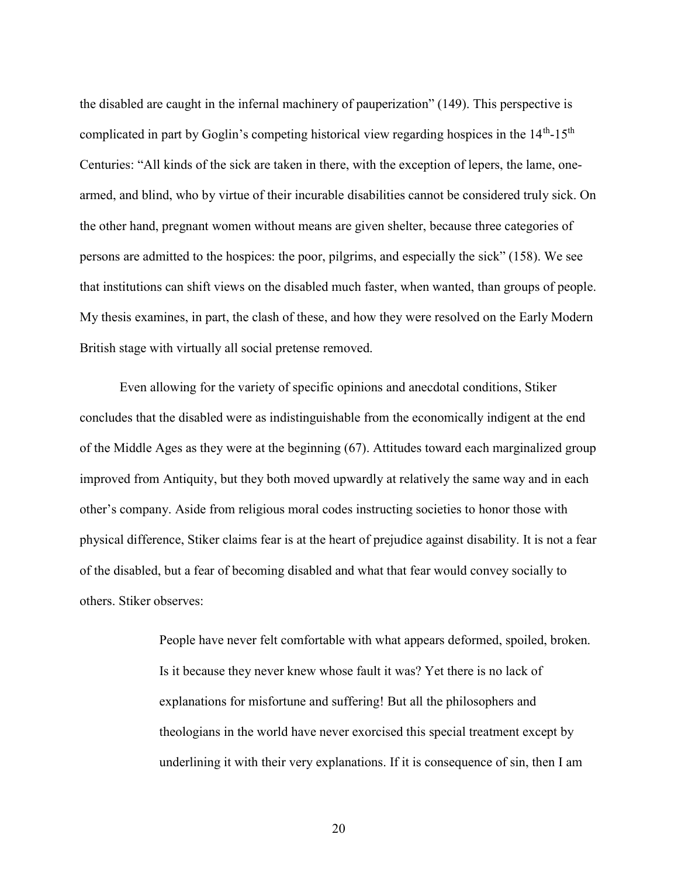the disabled are caught in the infernal machinery of pauperization" (149). This perspective is complicated in part by Goglin's competing historical view regarding hospices in the  $14<sup>th</sup>$ -15<sup>th</sup> Centuries: "All kinds of the sick are taken in there, with the exception of lepers, the lame, onearmed, and blind, who by virtue of their incurable disabilities cannot be considered truly sick. On the other hand, pregnant women without means are given shelter, because three categories of persons are admitted to the hospices: the poor, pilgrims, and especially the sick" (158). We see that institutions can shift views on the disabled much faster, when wanted, than groups of people. My thesis examines, in part, the clash of these, and how they were resolved on the Early Modern British stage with virtually all social pretense removed.

Even allowing for the variety of specific opinions and anecdotal conditions, Stiker concludes that the disabled were as indistinguishable from the economically indigent at the end of the Middle Ages as they were at the beginning (67). Attitudes toward each marginalized group improved from Antiquity, but they both moved upwardly at relatively the same way and in each other's company. Aside from religious moral codes instructing societies to honor those with physical difference, Stiker claims fear is at the heart of prejudice against disability. It is not a fear of the disabled, but a fear of becoming disabled and what that fear would convey socially to others. Stiker observes:

> People have never felt comfortable with what appears deformed, spoiled, broken. Is it because they never knew whose fault it was? Yet there is no lack of explanations for misfortune and suffering! But all the philosophers and theologians in the world have never exorcised this special treatment except by underlining it with their very explanations. If it is consequence of sin, then I am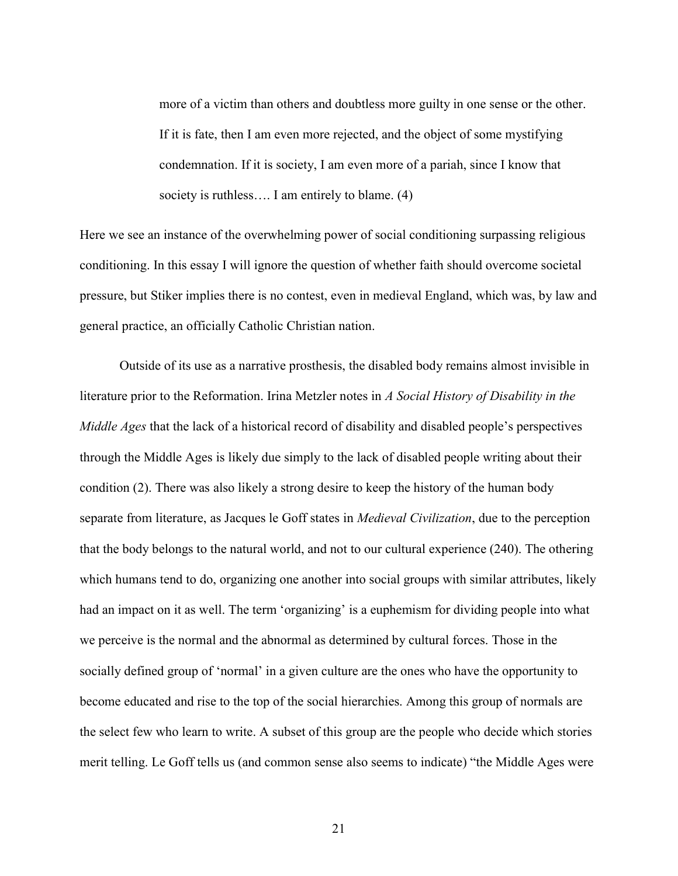more of a victim than others and doubtless more guilty in one sense or the other. If it is fate, then I am even more rejected, and the object of some mystifying condemnation. If it is society, I am even more of a pariah, since I know that society is ruthless.... I am entirely to blame. (4)

Here we see an instance of the overwhelming power of social conditioning surpassing religious conditioning. In this essay I will ignore the question of whether faith should overcome societal pressure, but Stiker implies there is no contest, even in medieval England, which was, by law and general practice, an officially Catholic Christian nation.

Outside of its use as a narrative prosthesis, the disabled body remains almost invisible in literature prior to the Reformation. Irina Metzler notes in A Social History of Disability in the Middle Ages that the lack of a historical record of disability and disabled people's perspectives through the Middle Ages is likely due simply to the lack of disabled people writing about their condition (2). There was also likely a strong desire to keep the history of the human body separate from literature, as Jacques le Goff states in *Medieval Civilization*, due to the perception that the body belongs to the natural world, and not to our cultural experience (240). The othering which humans tend to do, organizing one another into social groups with similar attributes, likely had an impact on it as well. The term 'organizing' is a euphemism for dividing people into what we perceive is the normal and the abnormal as determined by cultural forces. Those in the socially defined group of 'normal' in a given culture are the ones who have the opportunity to become educated and rise to the top of the social hierarchies. Among this group of normals are the select few who learn to write. A subset of this group are the people who decide which stories merit telling. Le Goff tells us (and common sense also seems to indicate) "the Middle Ages were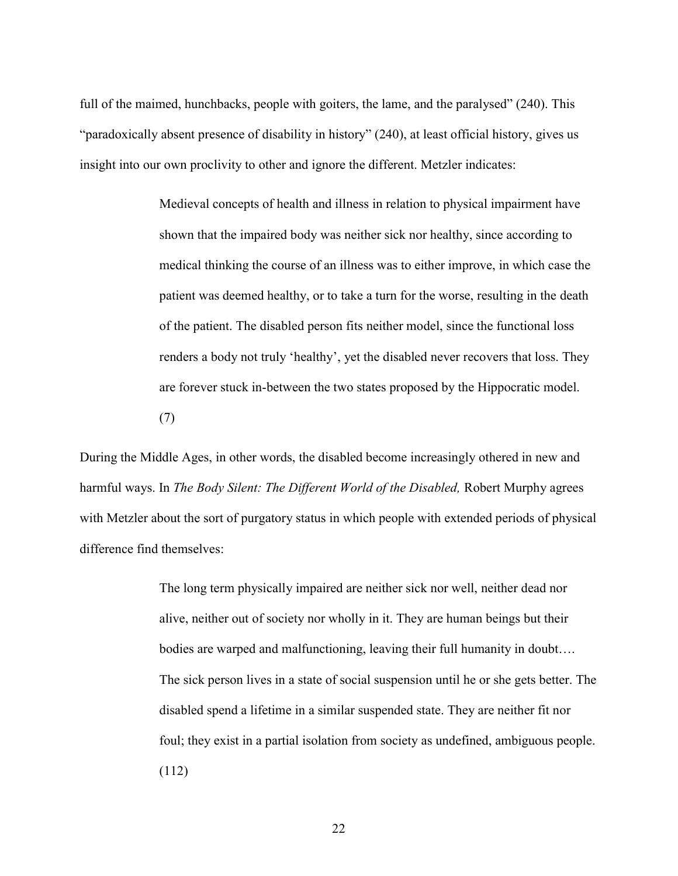full of the maimed, hunchbacks, people with goiters, the lame, and the paralysed" (240). This "paradoxically absent presence of disability in history" (240), at least official history, gives us insight into our own proclivity to other and ignore the different. Metzler indicates:

> Medieval concepts of health and illness in relation to physical impairment have shown that the impaired body was neither sick nor healthy, since according to medical thinking the course of an illness was to either improve, in which case the patient was deemed healthy, or to take a turn for the worse, resulting in the death of the patient. The disabled person fits neither model, since the functional loss renders a body not truly 'healthy', yet the disabled never recovers that loss. They are forever stuck in-between the two states proposed by the Hippocratic model. (7)

During the Middle Ages, in other words, the disabled become increasingly othered in new and harmful ways. In The Body Silent: The Different World of the Disabled, Robert Murphy agrees with Metzler about the sort of purgatory status in which people with extended periods of physical difference find themselves:

> The long term physically impaired are neither sick nor well, neither dead nor alive, neither out of society nor wholly in it. They are human beings but their bodies are warped and malfunctioning, leaving their full humanity in doubt…. The sick person lives in a state of social suspension until he or she gets better. The disabled spend a lifetime in a similar suspended state. They are neither fit nor foul; they exist in a partial isolation from society as undefined, ambiguous people. (112)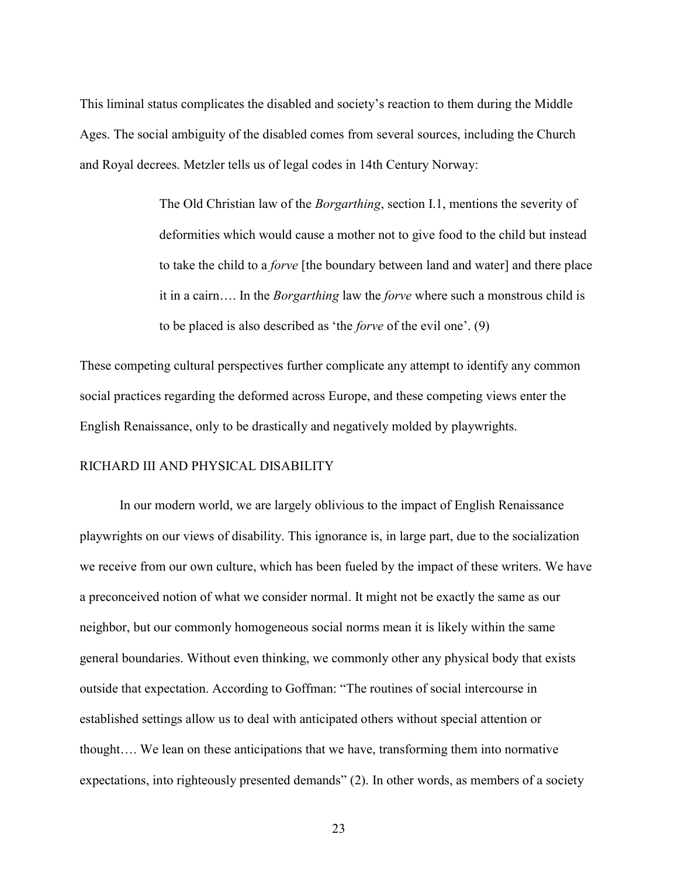This liminal status complicates the disabled and society's reaction to them during the Middle Ages. The social ambiguity of the disabled comes from several sources, including the Church and Royal decrees. Metzler tells us of legal codes in 14th Century Norway:

> The Old Christian law of the *Borgarthing*, section I.1, mentions the severity of deformities which would cause a mother not to give food to the child but instead to take the child to a *forve* [the boundary between land and water] and there place it in a cairn…. In the *Borgarthing* law the *forve* where such a monstrous child is to be placed is also described as 'the forve of the evil one'. (9)

These competing cultural perspectives further complicate any attempt to identify any common social practices regarding the deformed across Europe, and these competing views enter the English Renaissance, only to be drastically and negatively molded by playwrights.

### RICHARD III AND PHYSICAL DISABILITY

In our modern world, we are largely oblivious to the impact of English Renaissance playwrights on our views of disability. This ignorance is, in large part, due to the socialization we receive from our own culture, which has been fueled by the impact of these writers. We have a preconceived notion of what we consider normal. It might not be exactly the same as our neighbor, but our commonly homogeneous social norms mean it is likely within the same general boundaries. Without even thinking, we commonly other any physical body that exists outside that expectation. According to Goffman: "The routines of social intercourse in established settings allow us to deal with anticipated others without special attention or thought…. We lean on these anticipations that we have, transforming them into normative expectations, into righteously presented demands" (2). In other words, as members of a society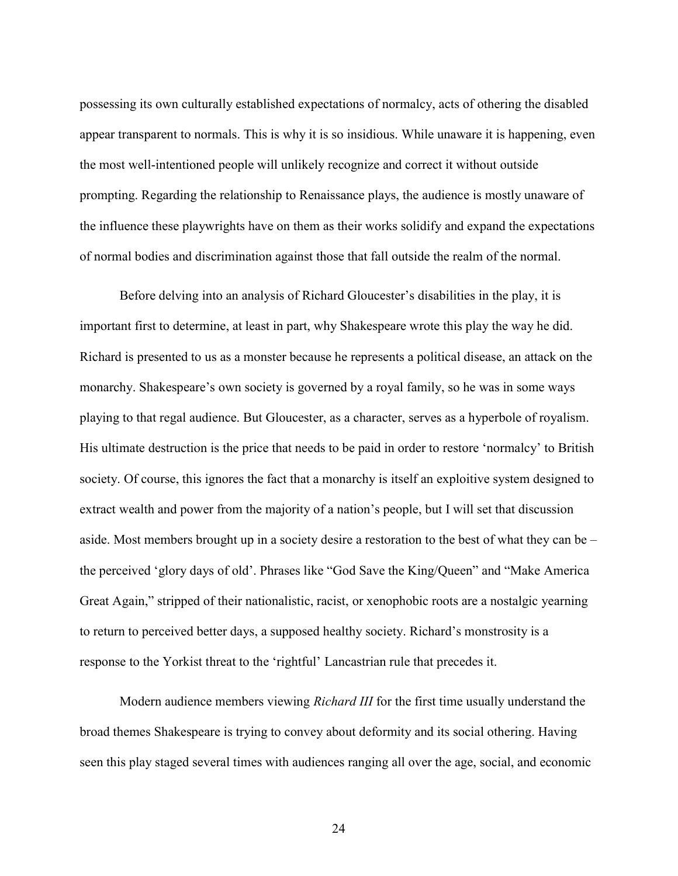possessing its own culturally established expectations of normalcy, acts of othering the disabled appear transparent to normals. This is why it is so insidious. While unaware it is happening, even the most well-intentioned people will unlikely recognize and correct it without outside prompting. Regarding the relationship to Renaissance plays, the audience is mostly unaware of the influence these playwrights have on them as their works solidify and expand the expectations of normal bodies and discrimination against those that fall outside the realm of the normal.

Before delving into an analysis of Richard Gloucester's disabilities in the play, it is important first to determine, at least in part, why Shakespeare wrote this play the way he did. Richard is presented to us as a monster because he represents a political disease, an attack on the monarchy. Shakespeare's own society is governed by a royal family, so he was in some ways playing to that regal audience. But Gloucester, as a character, serves as a hyperbole of royalism. His ultimate destruction is the price that needs to be paid in order to restore 'normalcy' to British society. Of course, this ignores the fact that a monarchy is itself an exploitive system designed to extract wealth and power from the majority of a nation's people, but I will set that discussion aside. Most members brought up in a society desire a restoration to the best of what they can be – the perceived 'glory days of old'. Phrases like "God Save the King/Queen" and "Make America Great Again," stripped of their nationalistic, racist, or xenophobic roots are a nostalgic yearning to return to perceived better days, a supposed healthy society. Richard's monstrosity is a response to the Yorkist threat to the 'rightful' Lancastrian rule that precedes it.

Modern audience members viewing *Richard III* for the first time usually understand the broad themes Shakespeare is trying to convey about deformity and its social othering. Having seen this play staged several times with audiences ranging all over the age, social, and economic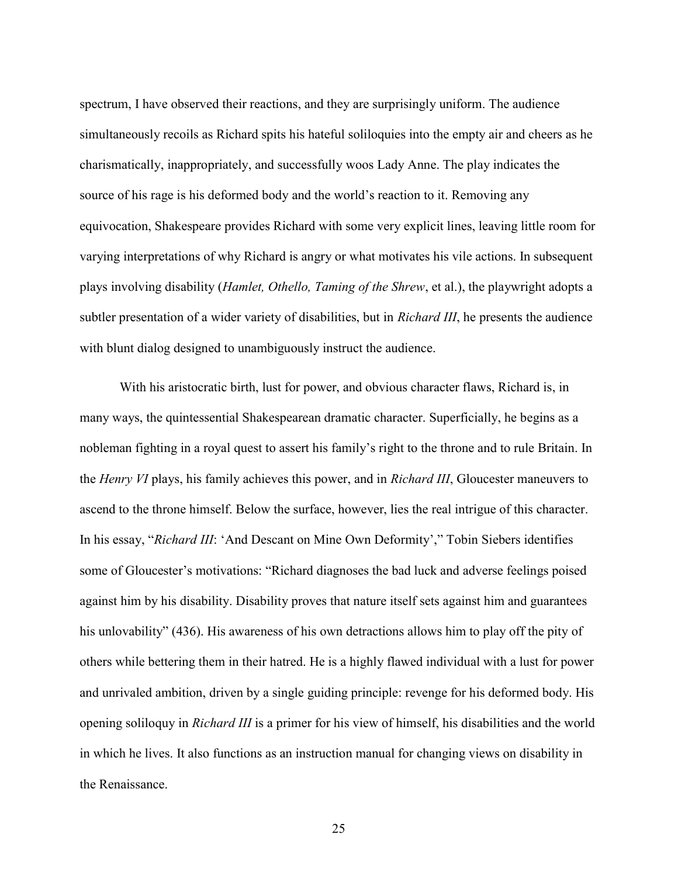spectrum, I have observed their reactions, and they are surprisingly uniform. The audience simultaneously recoils as Richard spits his hateful soliloquies into the empty air and cheers as he charismatically, inappropriately, and successfully woos Lady Anne. The play indicates the source of his rage is his deformed body and the world's reaction to it. Removing any equivocation, Shakespeare provides Richard with some very explicit lines, leaving little room for varying interpretations of why Richard is angry or what motivates his vile actions. In subsequent plays involving disability (Hamlet, Othello, Taming of the Shrew, et al.), the playwright adopts a subtler presentation of a wider variety of disabilities, but in *Richard III*, he presents the audience with blunt dialog designed to unambiguously instruct the audience.

With his aristocratic birth, lust for power, and obvious character flaws, Richard is, in many ways, the quintessential Shakespearean dramatic character. Superficially, he begins as a nobleman fighting in a royal quest to assert his family's right to the throne and to rule Britain. In the Henry VI plays, his family achieves this power, and in Richard III, Gloucester maneuvers to ascend to the throne himself. Below the surface, however, lies the real intrigue of this character. In his essay, "Richard III: 'And Descant on Mine Own Deformity'," Tobin Siebers identifies some of Gloucester's motivations: "Richard diagnoses the bad luck and adverse feelings poised against him by his disability. Disability proves that nature itself sets against him and guarantees his unlovability" (436). His awareness of his own detractions allows him to play off the pity of others while bettering them in their hatred. He is a highly flawed individual with a lust for power and unrivaled ambition, driven by a single guiding principle: revenge for his deformed body. His opening soliloquy in Richard III is a primer for his view of himself, his disabilities and the world in which he lives. It also functions as an instruction manual for changing views on disability in the Renaissance.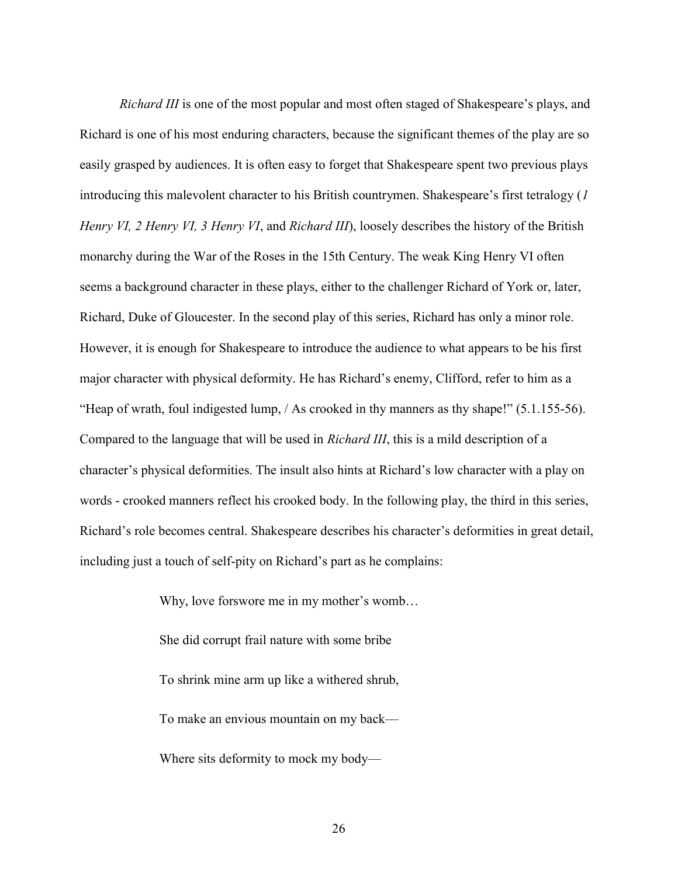Richard III is one of the most popular and most often staged of Shakespeare's plays, and Richard is one of his most enduring characters, because the significant themes of the play are so easily grasped by audiences. It is often easy to forget that Shakespeare spent two previous plays introducing this malevolent character to his British countrymen. Shakespeare's first tetralogy (1 Henry VI, 2 Henry VI, 3 Henry VI, and Richard III), loosely describes the history of the British monarchy during the War of the Roses in the 15th Century. The weak King Henry VI often seems a background character in these plays, either to the challenger Richard of York or, later, Richard, Duke of Gloucester. In the second play of this series, Richard has only a minor role. However, it is enough for Shakespeare to introduce the audience to what appears to be his first major character with physical deformity. He has Richard's enemy, Clifford, refer to him as a "Heap of wrath, foul indigested lump, / As crooked in thy manners as thy shape!" (5.1.155-56). Compared to the language that will be used in Richard III, this is a mild description of a character's physical deformities. The insult also hints at Richard's low character with a play on words - crooked manners reflect his crooked body. In the following play, the third in this series, Richard's role becomes central. Shakespeare describes his character's deformities in great detail, including just a touch of self-pity on Richard's part as he complains:

> Why, love forswore me in my mother's womb… She did corrupt frail nature with some bribe To shrink mine arm up like a withered shrub, To make an envious mountain on my back— Where sits deformity to mock my body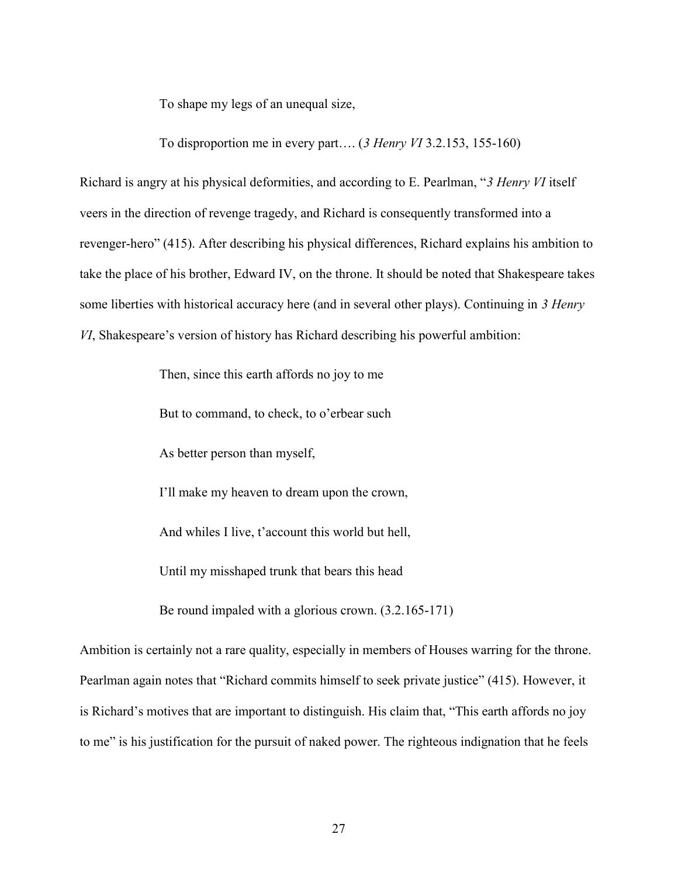To shape my legs of an unequal size,

To disproportion me in every part.... (3 Henry VI 3.2.153, 155-160)

Richard is angry at his physical deformities, and according to E. Pearlman, "3 Henry VI itself veers in the direction of revenge tragedy, and Richard is consequently transformed into a revenger-hero" (415). After describing his physical differences, Richard explains his ambition to take the place of his brother, Edward IV, on the throne. It should be noted that Shakespeare takes some liberties with historical accuracy here (and in several other plays). Continuing in 3 Henry VI, Shakespeare's version of history has Richard describing his powerful ambition:

Then, since this earth affords no joy to me

But to command, to check, to o'erbear such

As better person than myself,

I'll make my heaven to dream upon the crown,

And whiles I live, t'account this world but hell,

Until my misshaped trunk that bears this head

Be round impaled with a glorious crown. (3.2.165-171)

Ambition is certainly not a rare quality, especially in members of Houses warring for the throne. Pearlman again notes that "Richard commits himself to seek private justice" (415). However, it is Richard's motives that are important to distinguish. His claim that, "This earth affords no joy to me" is his justification for the pursuit of naked power. The righteous indignation that he feels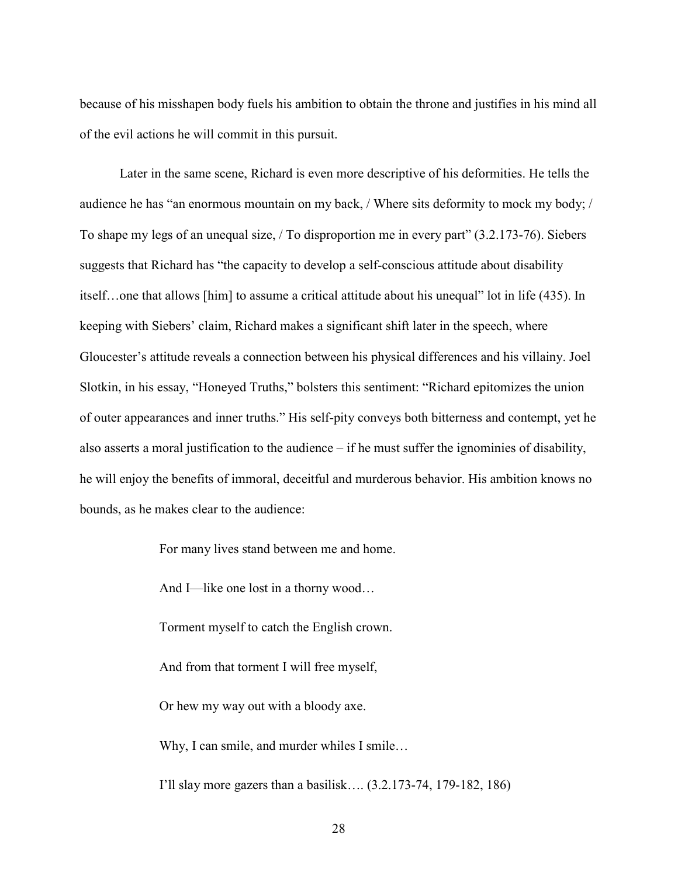because of his misshapen body fuels his ambition to obtain the throne and justifies in his mind all of the evil actions he will commit in this pursuit.

Later in the same scene, Richard is even more descriptive of his deformities. He tells the audience he has "an enormous mountain on my back, / Where sits deformity to mock my body; / To shape my legs of an unequal size, / To disproportion me in every part" (3.2.173-76). Siebers suggests that Richard has "the capacity to develop a self-conscious attitude about disability itself…one that allows [him] to assume a critical attitude about his unequal" lot in life (435). In keeping with Siebers' claim, Richard makes a significant shift later in the speech, where Gloucester's attitude reveals a connection between his physical differences and his villainy. Joel Slotkin, in his essay, "Honeyed Truths," bolsters this sentiment: "Richard epitomizes the union of outer appearances and inner truths." His self-pity conveys both bitterness and contempt, yet he also asserts a moral justification to the audience – if he must suffer the ignominies of disability, he will enjoy the benefits of immoral, deceitful and murderous behavior. His ambition knows no bounds, as he makes clear to the audience:

For many lives stand between me and home.

And I—like one lost in a thorny wood…

Torment myself to catch the English crown.

And from that torment I will free myself,

Or hew my way out with a bloody axe.

Why, I can smile, and murder whiles I smile...

I'll slay more gazers than a basilisk…. (3.2.173-74, 179-182, 186)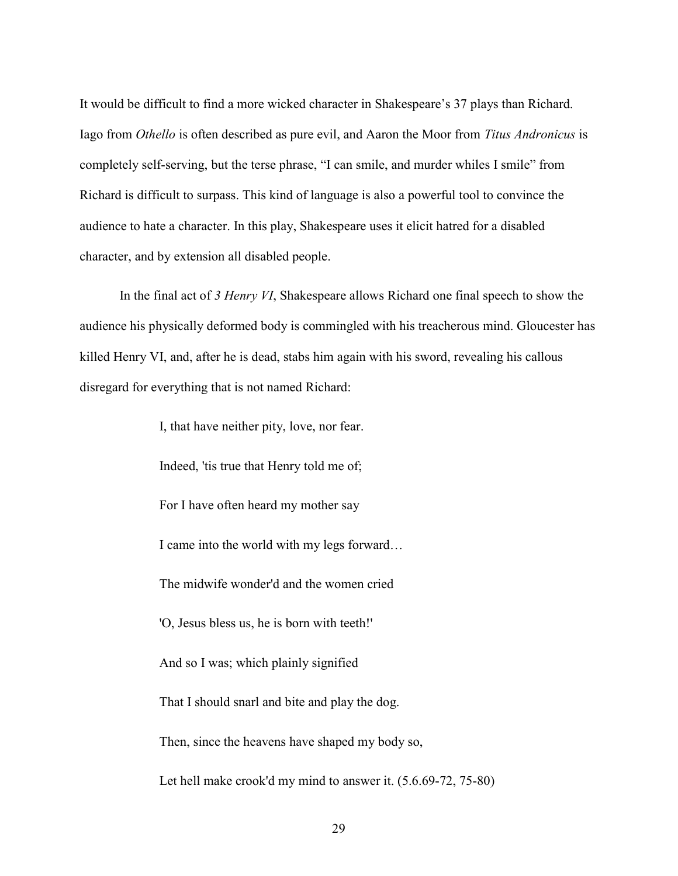It would be difficult to find a more wicked character in Shakespeare's 37 plays than Richard. Iago from Othello is often described as pure evil, and Aaron the Moor from Titus Andronicus is completely self-serving, but the terse phrase, "I can smile, and murder whiles I smile" from Richard is difficult to surpass. This kind of language is also a powerful tool to convince the audience to hate a character. In this play, Shakespeare uses it elicit hatred for a disabled character, and by extension all disabled people.

In the final act of 3 Henry VI, Shakespeare allows Richard one final speech to show the audience his physically deformed body is commingled with his treacherous mind. Gloucester has killed Henry VI, and, after he is dead, stabs him again with his sword, revealing his callous disregard for everything that is not named Richard:

> I, that have neither pity, love, nor fear. Indeed, 'tis true that Henry told me of; For I have often heard my mother say I came into the world with my legs forward… The midwife wonder'd and the women cried 'O, Jesus bless us, he is born with teeth!' And so I was; which plainly signified That I should snarl and bite and play the dog. Then, since the heavens have shaped my body so, Let hell make crook'd my mind to answer it. (5.6.69-72, 75-80)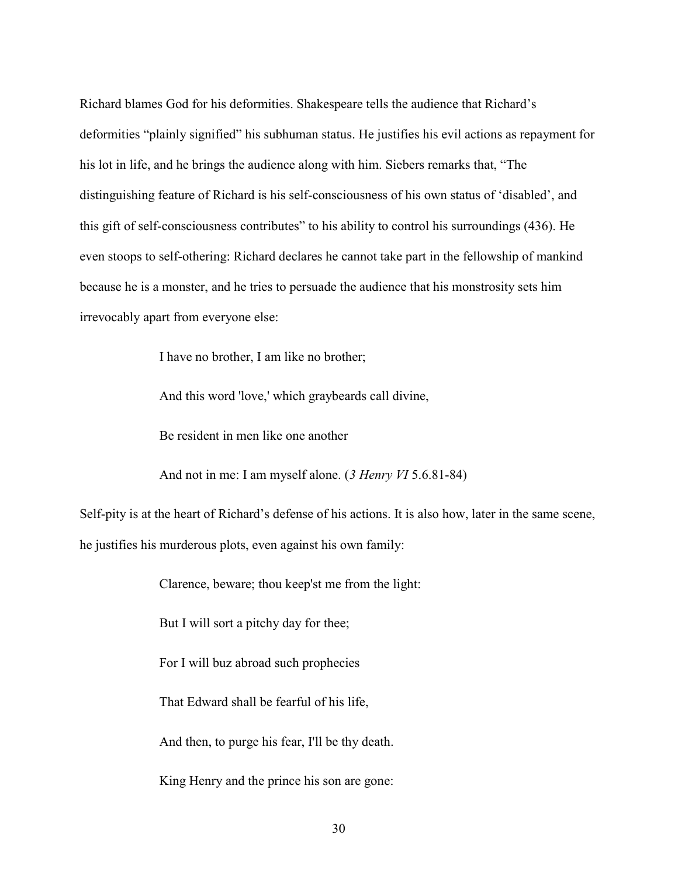Richard blames God for his deformities. Shakespeare tells the audience that Richard's deformities "plainly signified" his subhuman status. He justifies his evil actions as repayment for his lot in life, and he brings the audience along with him. Siebers remarks that, "The distinguishing feature of Richard is his self-consciousness of his own status of 'disabled', and this gift of self-consciousness contributes" to his ability to control his surroundings (436). He even stoops to self-othering: Richard declares he cannot take part in the fellowship of mankind because he is a monster, and he tries to persuade the audience that his monstrosity sets him irrevocably apart from everyone else:

I have no brother, I am like no brother;

And this word 'love,' which graybeards call divine,

Be resident in men like one another

And not in me: I am myself alone. (3 Henry VI 5.6.81-84)

Self-pity is at the heart of Richard's defense of his actions. It is also how, later in the same scene, he justifies his murderous plots, even against his own family:

Clarence, beware; thou keep'st me from the light:

But I will sort a pitchy day for thee;

For I will buz abroad such prophecies

That Edward shall be fearful of his life,

And then, to purge his fear, I'll be thy death.

King Henry and the prince his son are gone: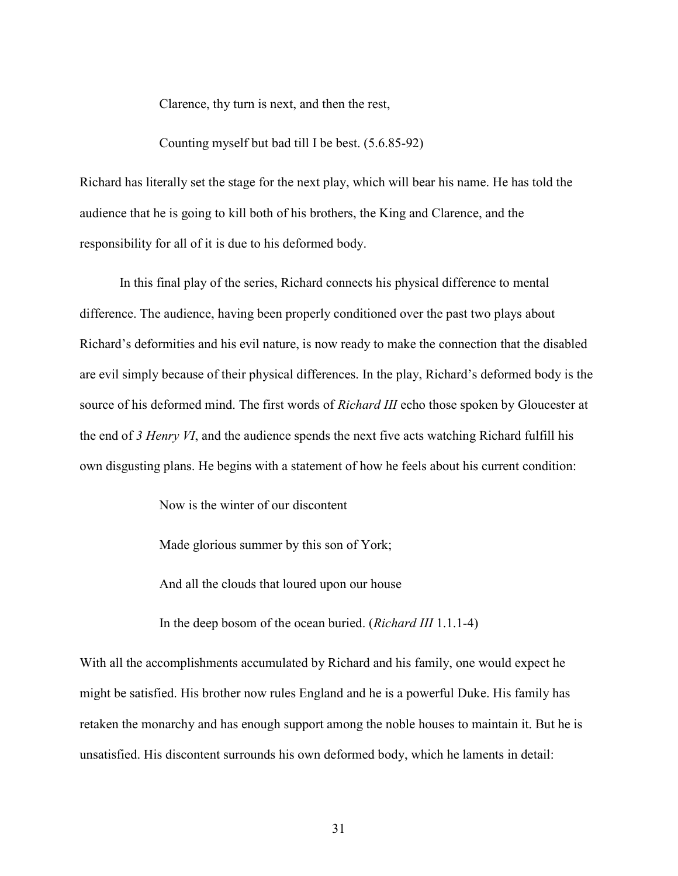Clarence, thy turn is next, and then the rest,

Counting myself but bad till I be best. (5.6.85-92)

Richard has literally set the stage for the next play, which will bear his name. He has told the audience that he is going to kill both of his brothers, the King and Clarence, and the responsibility for all of it is due to his deformed body.

In this final play of the series, Richard connects his physical difference to mental difference. The audience, having been properly conditioned over the past two plays about Richard's deformities and his evil nature, is now ready to make the connection that the disabled are evil simply because of their physical differences. In the play, Richard's deformed body is the source of his deformed mind. The first words of *Richard III* echo those spoken by Gloucester at the end of 3 Henry VI, and the audience spends the next five acts watching Richard fulfill his own disgusting plans. He begins with a statement of how he feels about his current condition:

Now is the winter of our discontent

Made glorious summer by this son of York;

And all the clouds that loured upon our house

In the deep bosom of the ocean buried. (Richard III 1.1.1-4)

With all the accomplishments accumulated by Richard and his family, one would expect he might be satisfied. His brother now rules England and he is a powerful Duke. His family has retaken the monarchy and has enough support among the noble houses to maintain it. But he is unsatisfied. His discontent surrounds his own deformed body, which he laments in detail: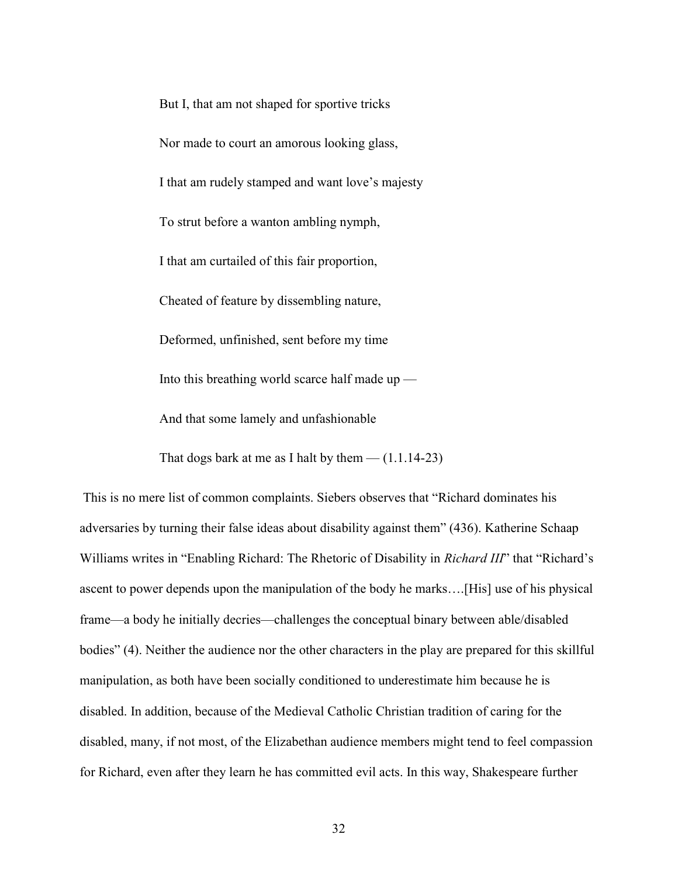But I, that am not shaped for sportive tricks Nor made to court an amorous looking glass, I that am rudely stamped and want love's majesty To strut before a wanton ambling nymph, I that am curtailed of this fair proportion, Cheated of feature by dissembling nature, Deformed, unfinished, sent before my time Into this breathing world scarce half made  $up$ — And that some lamely and unfashionable

That dogs bark at me as I halt by them  $-$  (1.1.14-23)

 This is no mere list of common complaints. Siebers observes that "Richard dominates his adversaries by turning their false ideas about disability against them" (436). Katherine Schaap Williams writes in "Enabling Richard: The Rhetoric of Disability in *Richard III*" that "Richard's ascent to power depends upon the manipulation of the body he marks….[His] use of his physical frame—a body he initially decries—challenges the conceptual binary between able/disabled bodies" (4). Neither the audience nor the other characters in the play are prepared for this skillful manipulation, as both have been socially conditioned to underestimate him because he is disabled. In addition, because of the Medieval Catholic Christian tradition of caring for the disabled, many, if not most, of the Elizabethan audience members might tend to feel compassion for Richard, even after they learn he has committed evil acts. In this way, Shakespeare further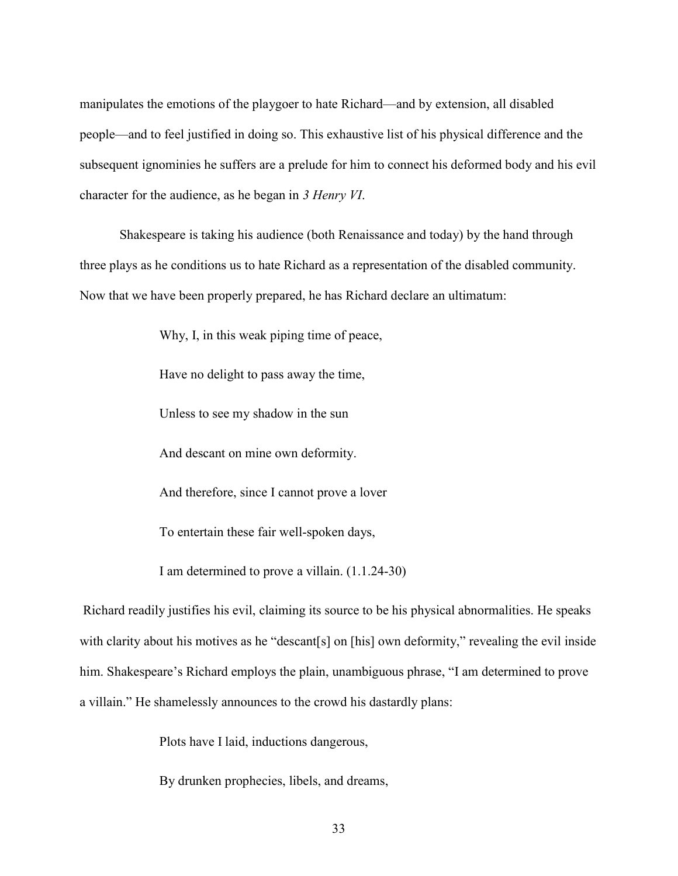manipulates the emotions of the playgoer to hate Richard—and by extension, all disabled people—and to feel justified in doing so. This exhaustive list of his physical difference and the subsequent ignominies he suffers are a prelude for him to connect his deformed body and his evil character for the audience, as he began in 3 Henry VI.

Shakespeare is taking his audience (both Renaissance and today) by the hand through three plays as he conditions us to hate Richard as a representation of the disabled community. Now that we have been properly prepared, he has Richard declare an ultimatum:

Why, I, in this weak piping time of peace,

Have no delight to pass away the time,

Unless to see my shadow in the sun

And descant on mine own deformity.

And therefore, since I cannot prove a lover

To entertain these fair well-spoken days,

I am determined to prove a villain. (1.1.24-30)

 Richard readily justifies his evil, claiming its source to be his physical abnormalities. He speaks with clarity about his motives as he "descant[s] on [his] own deformity," revealing the evil inside him. Shakespeare's Richard employs the plain, unambiguous phrase, "I am determined to prove a villain." He shamelessly announces to the crowd his dastardly plans:

Plots have I laid, inductions dangerous,

By drunken prophecies, libels, and dreams,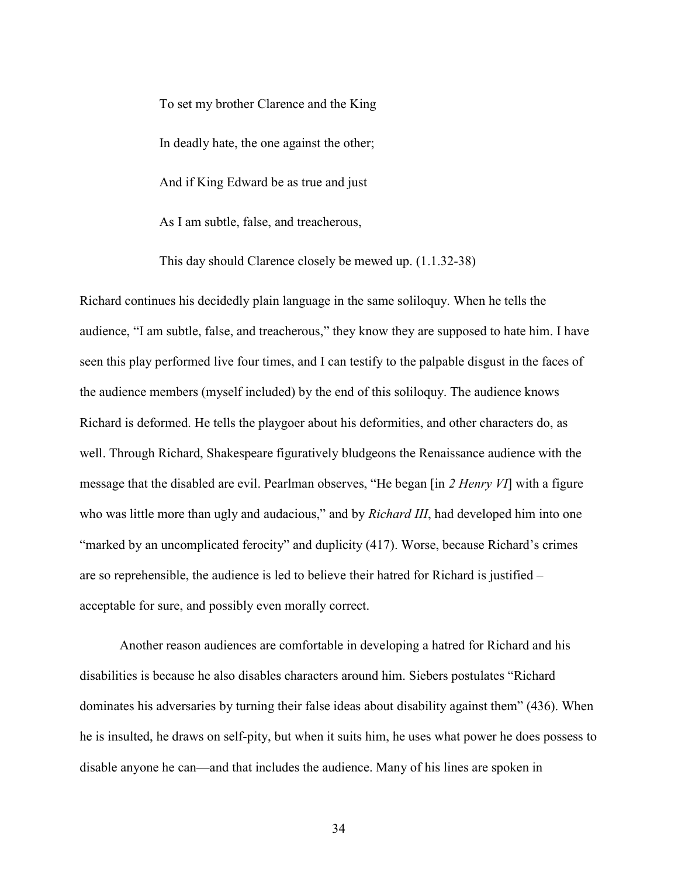To set my brother Clarence and the King In deadly hate, the one against the other; And if King Edward be as true and just

As I am subtle, false, and treacherous,

This day should Clarence closely be mewed up. (1.1.32-38)

Richard continues his decidedly plain language in the same soliloquy. When he tells the audience, "I am subtle, false, and treacherous," they know they are supposed to hate him. I have seen this play performed live four times, and I can testify to the palpable disgust in the faces of the audience members (myself included) by the end of this soliloquy. The audience knows Richard is deformed. He tells the playgoer about his deformities, and other characters do, as well. Through Richard, Shakespeare figuratively bludgeons the Renaissance audience with the message that the disabled are evil. Pearlman observes, "He began [in 2 Henry VI] with a figure who was little more than ugly and audacious," and by *Richard III*, had developed him into one "marked by an uncomplicated ferocity" and duplicity (417). Worse, because Richard's crimes are so reprehensible, the audience is led to believe their hatred for Richard is justified – acceptable for sure, and possibly even morally correct.

Another reason audiences are comfortable in developing a hatred for Richard and his disabilities is because he also disables characters around him. Siebers postulates "Richard dominates his adversaries by turning their false ideas about disability against them" (436). When he is insulted, he draws on self-pity, but when it suits him, he uses what power he does possess to disable anyone he can—and that includes the audience. Many of his lines are spoken in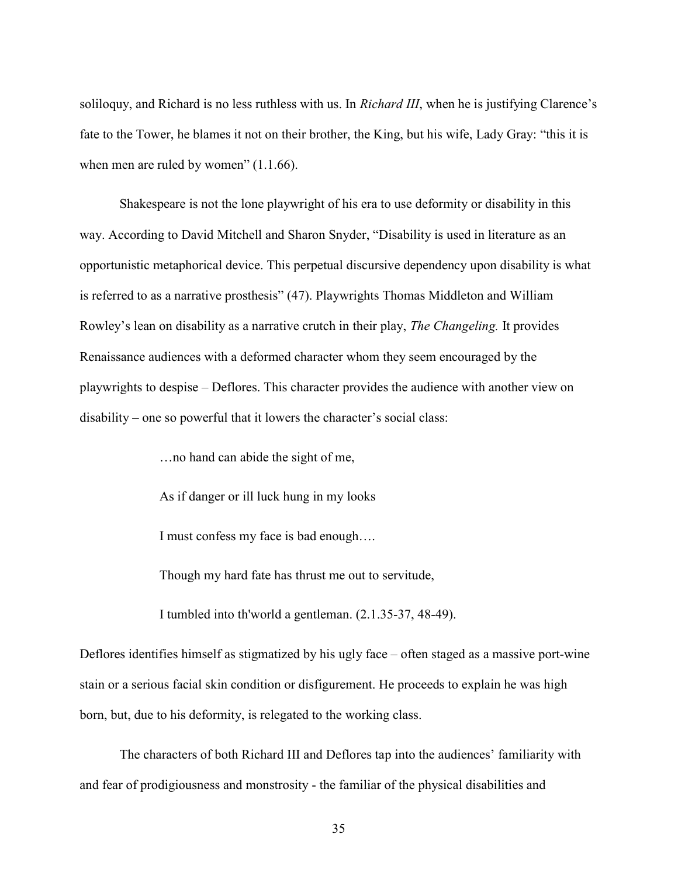soliloquy, and Richard is no less ruthless with us. In *Richard III*, when he is justifying Clarence's fate to the Tower, he blames it not on their brother, the King, but his wife, Lady Gray: "this it is when men are ruled by women" (1.1.66).

Shakespeare is not the lone playwright of his era to use deformity or disability in this way. According to David Mitchell and Sharon Snyder, "Disability is used in literature as an opportunistic metaphorical device. This perpetual discursive dependency upon disability is what is referred to as a narrative prosthesis" (47). Playwrights Thomas Middleton and William Rowley's lean on disability as a narrative crutch in their play, The Changeling. It provides Renaissance audiences with a deformed character whom they seem encouraged by the playwrights to despise – Deflores. This character provides the audience with another view on disability – one so powerful that it lowers the character's social class:

…no hand can abide the sight of me,

As if danger or ill luck hung in my looks

I must confess my face is bad enough….

Though my hard fate has thrust me out to servitude,

I tumbled into th'world a gentleman. (2.1.35-37, 48-49).

Deflores identifies himself as stigmatized by his ugly face – often staged as a massive port-wine stain or a serious facial skin condition or disfigurement. He proceeds to explain he was high born, but, due to his deformity, is relegated to the working class.

The characters of both Richard III and Deflores tap into the audiences' familiarity with and fear of prodigiousness and monstrosity - the familiar of the physical disabilities and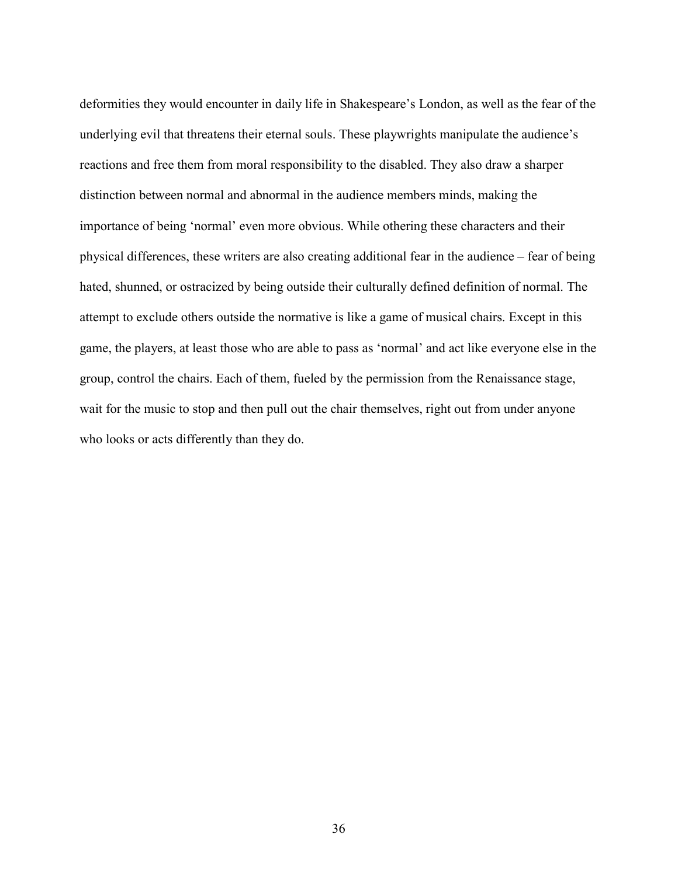deformities they would encounter in daily life in Shakespeare's London, as well as the fear of the underlying evil that threatens their eternal souls. These playwrights manipulate the audience's reactions and free them from moral responsibility to the disabled. They also draw a sharper distinction between normal and abnormal in the audience members minds, making the importance of being 'normal' even more obvious. While othering these characters and their physical differences, these writers are also creating additional fear in the audience – fear of being hated, shunned, or ostracized by being outside their culturally defined definition of normal. The attempt to exclude others outside the normative is like a game of musical chairs. Except in this game, the players, at least those who are able to pass as 'normal' and act like everyone else in the group, control the chairs. Each of them, fueled by the permission from the Renaissance stage, wait for the music to stop and then pull out the chair themselves, right out from under anyone who looks or acts differently than they do.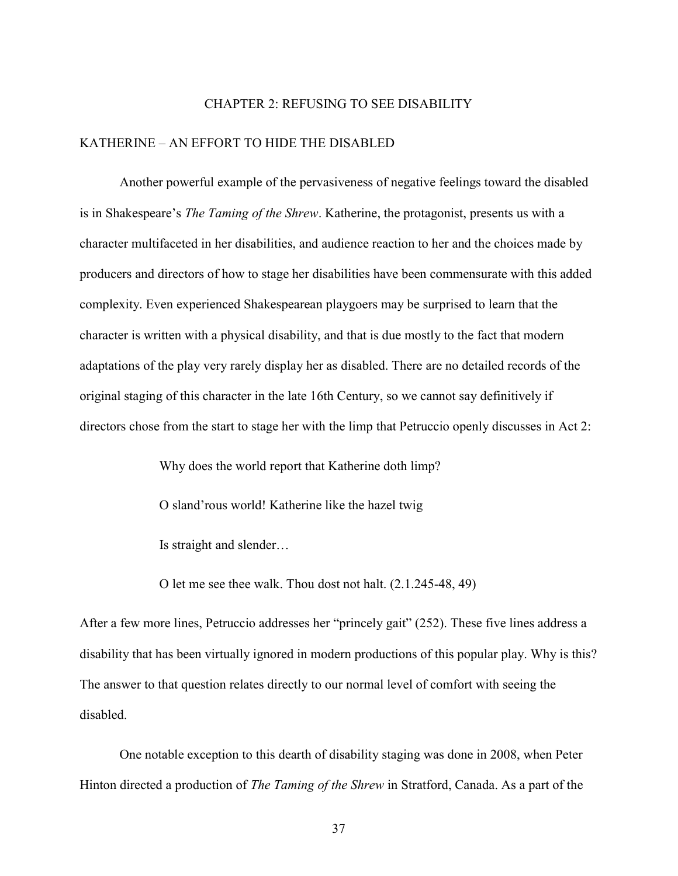# CHAPTER 2: REFUSING TO SEE DISABILITY

## KATHERINE – AN EFFORT TO HIDE THE DISABLED

 Another powerful example of the pervasiveness of negative feelings toward the disabled is in Shakespeare's The Taming of the Shrew. Katherine, the protagonist, presents us with a character multifaceted in her disabilities, and audience reaction to her and the choices made by producers and directors of how to stage her disabilities have been commensurate with this added complexity. Even experienced Shakespearean playgoers may be surprised to learn that the character is written with a physical disability, and that is due mostly to the fact that modern adaptations of the play very rarely display her as disabled. There are no detailed records of the original staging of this character in the late 16th Century, so we cannot say definitively if directors chose from the start to stage her with the limp that Petruccio openly discusses in Act 2:

Why does the world report that Katherine doth limp?

O sland'rous world! Katherine like the hazel twig

Is straight and slender…

O let me see thee walk. Thou dost not halt. (2.1.245-48, 49)

After a few more lines, Petruccio addresses her "princely gait" (252). These five lines address a disability that has been virtually ignored in modern productions of this popular play. Why is this? The answer to that question relates directly to our normal level of comfort with seeing the disabled.

One notable exception to this dearth of disability staging was done in 2008, when Peter Hinton directed a production of *The Taming of the Shrew* in Stratford, Canada. As a part of the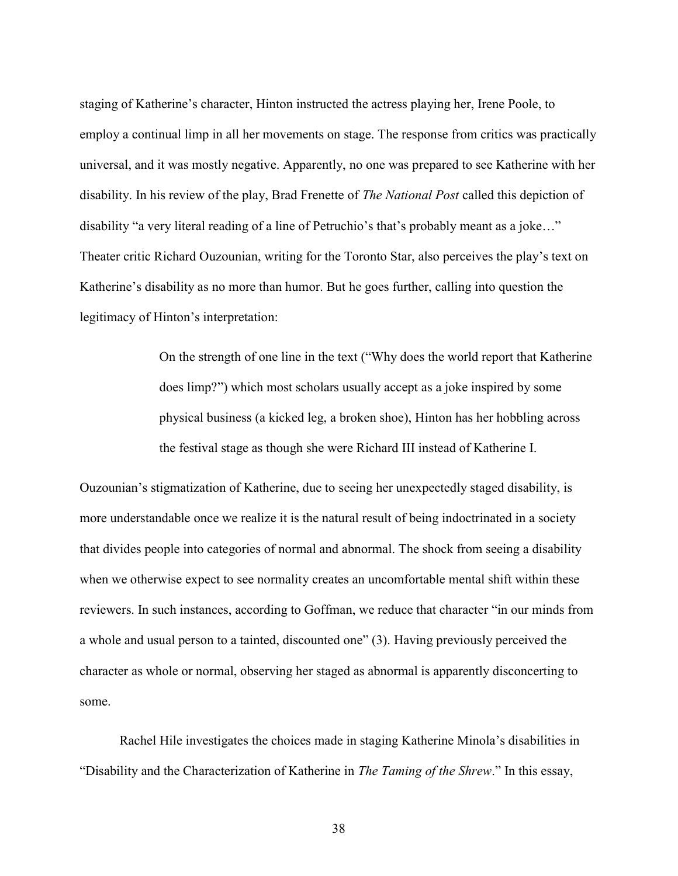staging of Katherine's character, Hinton instructed the actress playing her, Irene Poole, to employ a continual limp in all her movements on stage. The response from critics was practically universal, and it was mostly negative. Apparently, no one was prepared to see Katherine with her disability. In his review of the play, Brad Frenette of *The National Post* called this depiction of disability "a very literal reading of a line of Petruchio's that's probably meant as a joke…" Theater critic Richard Ouzounian, writing for the Toronto Star, also perceives the play's text on Katherine's disability as no more than humor. But he goes further, calling into question the legitimacy of Hinton's interpretation:

> On the strength of one line in the text ("Why does the world report that Katherine does limp?") which most scholars usually accept as a joke inspired by some physical business (a kicked leg, a broken shoe), Hinton has her hobbling across the festival stage as though she were Richard III instead of Katherine I.

Ouzounian's stigmatization of Katherine, due to seeing her unexpectedly staged disability, is more understandable once we realize it is the natural result of being indoctrinated in a society that divides people into categories of normal and abnormal. The shock from seeing a disability when we otherwise expect to see normality creates an uncomfortable mental shift within these reviewers. In such instances, according to Goffman, we reduce that character "in our minds from a whole and usual person to a tainted, discounted one" (3). Having previously perceived the character as whole or normal, observing her staged as abnormal is apparently disconcerting to some.

Rachel Hile investigates the choices made in staging Katherine Minola's disabilities in "Disability and the Characterization of Katherine in The Taming of the Shrew." In this essay,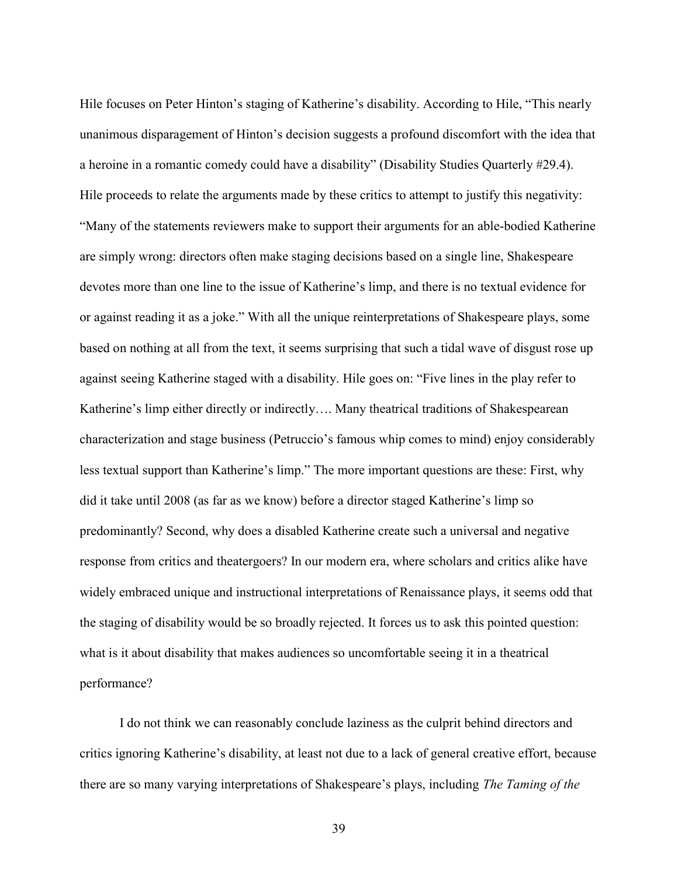Hile focuses on Peter Hinton's staging of Katherine's disability. According to Hile, "This nearly unanimous disparagement of Hinton's decision suggests a profound discomfort with the idea that a heroine in a romantic comedy could have a disability" (Disability Studies Quarterly #29.4). Hile proceeds to relate the arguments made by these critics to attempt to justify this negativity: "Many of the statements reviewers make to support their arguments for an able-bodied Katherine are simply wrong: directors often make staging decisions based on a single line, Shakespeare devotes more than one line to the issue of Katherine's limp, and there is no textual evidence for or against reading it as a joke." With all the unique reinterpretations of Shakespeare plays, some based on nothing at all from the text, it seems surprising that such a tidal wave of disgust rose up against seeing Katherine staged with a disability. Hile goes on: "Five lines in the play refer to Katherine's limp either directly or indirectly…. Many theatrical traditions of Shakespearean characterization and stage business (Petruccio's famous whip comes to mind) enjoy considerably less textual support than Katherine's limp." The more important questions are these: First, why did it take until 2008 (as far as we know) before a director staged Katherine's limp so predominantly? Second, why does a disabled Katherine create such a universal and negative response from critics and theatergoers? In our modern era, where scholars and critics alike have widely embraced unique and instructional interpretations of Renaissance plays, it seems odd that the staging of disability would be so broadly rejected. It forces us to ask this pointed question: what is it about disability that makes audiences so uncomfortable seeing it in a theatrical performance?

I do not think we can reasonably conclude laziness as the culprit behind directors and critics ignoring Katherine's disability, at least not due to a lack of general creative effort, because there are so many varying interpretations of Shakespeare's plays, including The Taming of the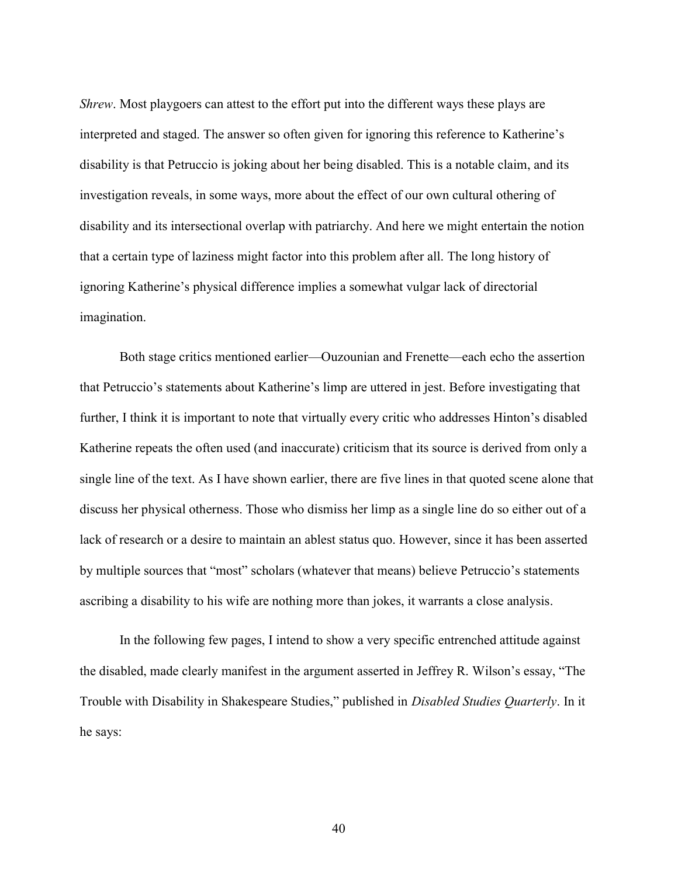Shrew. Most playgoers can attest to the effort put into the different ways these plays are interpreted and staged. The answer so often given for ignoring this reference to Katherine's disability is that Petruccio is joking about her being disabled. This is a notable claim, and its investigation reveals, in some ways, more about the effect of our own cultural othering of disability and its intersectional overlap with patriarchy. And here we might entertain the notion that a certain type of laziness might factor into this problem after all. The long history of ignoring Katherine's physical difference implies a somewhat vulgar lack of directorial imagination.

Both stage critics mentioned earlier—Ouzounian and Frenette—each echo the assertion that Petruccio's statements about Katherine's limp are uttered in jest. Before investigating that further, I think it is important to note that virtually every critic who addresses Hinton's disabled Katherine repeats the often used (and inaccurate) criticism that its source is derived from only a single line of the text. As I have shown earlier, there are five lines in that quoted scene alone that discuss her physical otherness. Those who dismiss her limp as a single line do so either out of a lack of research or a desire to maintain an ablest status quo. However, since it has been asserted by multiple sources that "most" scholars (whatever that means) believe Petruccio's statements ascribing a disability to his wife are nothing more than jokes, it warrants a close analysis.

In the following few pages, I intend to show a very specific entrenched attitude against the disabled, made clearly manifest in the argument asserted in Jeffrey R. Wilson's essay, "The Trouble with Disability in Shakespeare Studies," published in *Disabled Studies Quarterly*. In it he says: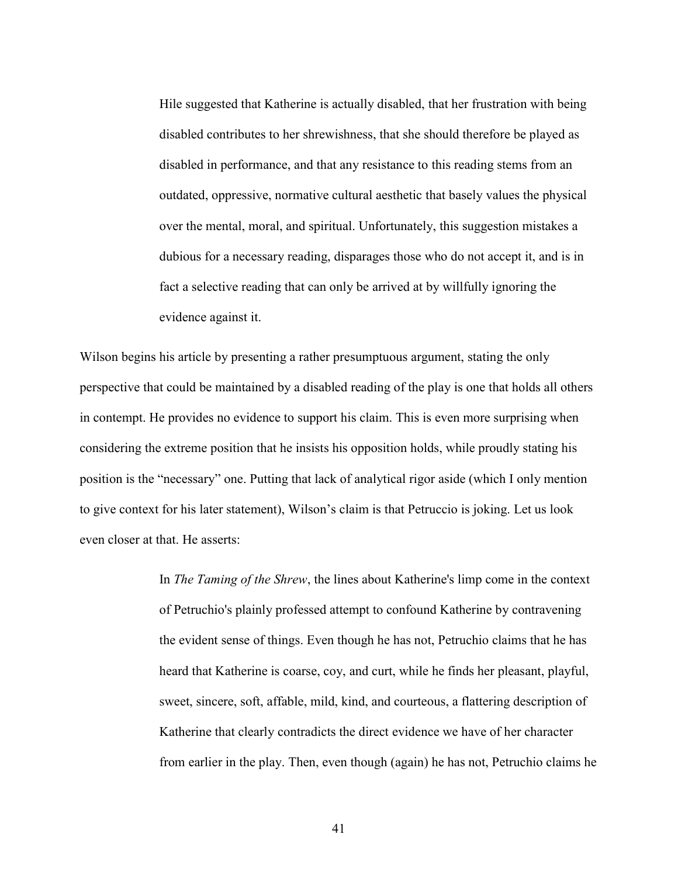Hile suggested that Katherine is actually disabled, that her frustration with being disabled contributes to her shrewishness, that she should therefore be played as disabled in performance, and that any resistance to this reading stems from an outdated, oppressive, normative cultural aesthetic that basely values the physical over the mental, moral, and spiritual. Unfortunately, this suggestion mistakes a dubious for a necessary reading, disparages those who do not accept it, and is in fact a selective reading that can only be arrived at by willfully ignoring the evidence against it.

Wilson begins his article by presenting a rather presumptuous argument, stating the only perspective that could be maintained by a disabled reading of the play is one that holds all others in contempt. He provides no evidence to support his claim. This is even more surprising when considering the extreme position that he insists his opposition holds, while proudly stating his position is the "necessary" one. Putting that lack of analytical rigor aside (which I only mention to give context for his later statement), Wilson's claim is that Petruccio is joking. Let us look even closer at that. He asserts:

> In The Taming of the Shrew, the lines about Katherine's limp come in the context of Petruchio's plainly professed attempt to confound Katherine by contravening the evident sense of things. Even though he has not, Petruchio claims that he has heard that Katherine is coarse, coy, and curt, while he finds her pleasant, playful, sweet, sincere, soft, affable, mild, kind, and courteous, a flattering description of Katherine that clearly contradicts the direct evidence we have of her character from earlier in the play. Then, even though (again) he has not, Petruchio claims he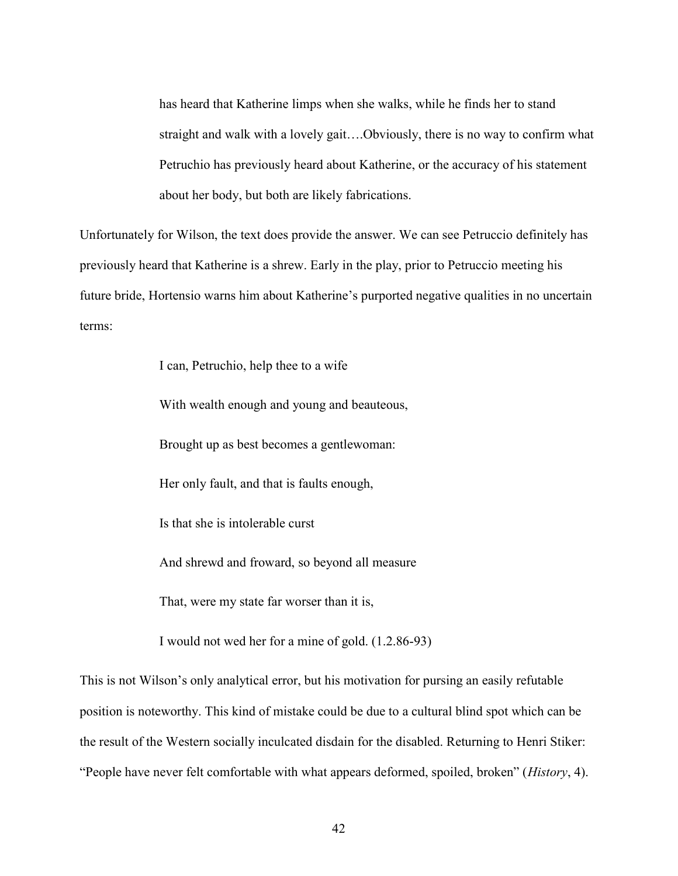has heard that Katherine limps when she walks, while he finds her to stand straight and walk with a lovely gait….Obviously, there is no way to confirm what Petruchio has previously heard about Katherine, or the accuracy of his statement about her body, but both are likely fabrications.

Unfortunately for Wilson, the text does provide the answer. We can see Petruccio definitely has previously heard that Katherine is a shrew. Early in the play, prior to Petruccio meeting his future bride, Hortensio warns him about Katherine's purported negative qualities in no uncertain terms:

I can, Petruchio, help thee to a wife

With wealth enough and young and beauteous,

Brought up as best becomes a gentlewoman:

Her only fault, and that is faults enough,

Is that she is intolerable curst

And shrewd and froward, so beyond all measure

That, were my state far worser than it is,

I would not wed her for a mine of gold. (1.2.86-93)

This is not Wilson's only analytical error, but his motivation for pursing an easily refutable position is noteworthy. This kind of mistake could be due to a cultural blind spot which can be the result of the Western socially inculcated disdain for the disabled. Returning to Henri Stiker: "People have never felt comfortable with what appears deformed, spoiled, broken" (*History*, 4).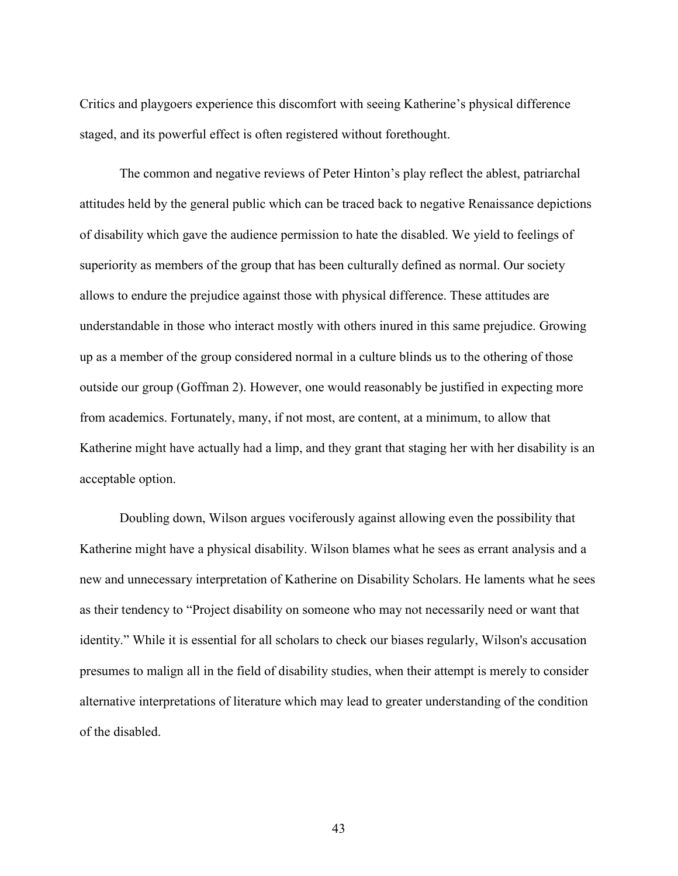Critics and playgoers experience this discomfort with seeing Katherine's physical difference staged, and its powerful effect is often registered without forethought.

The common and negative reviews of Peter Hinton's play reflect the ablest, patriarchal attitudes held by the general public which can be traced back to negative Renaissance depictions of disability which gave the audience permission to hate the disabled. We yield to feelings of superiority as members of the group that has been culturally defined as normal. Our society allows to endure the prejudice against those with physical difference. These attitudes are understandable in those who interact mostly with others inured in this same prejudice. Growing up as a member of the group considered normal in a culture blinds us to the othering of those outside our group (Goffman 2). However, one would reasonably be justified in expecting more from academics. Fortunately, many, if not most, are content, at a minimum, to allow that Katherine might have actually had a limp, and they grant that staging her with her disability is an acceptable option.

Doubling down, Wilson argues vociferously against allowing even the possibility that Katherine might have a physical disability. Wilson blames what he sees as errant analysis and a new and unnecessary interpretation of Katherine on Disability Scholars. He laments what he sees as their tendency to "Project disability on someone who may not necessarily need or want that identity." While it is essential for all scholars to check our biases regularly, Wilson's accusation presumes to malign all in the field of disability studies, when their attempt is merely to consider alternative interpretations of literature which may lead to greater understanding of the condition of the disabled.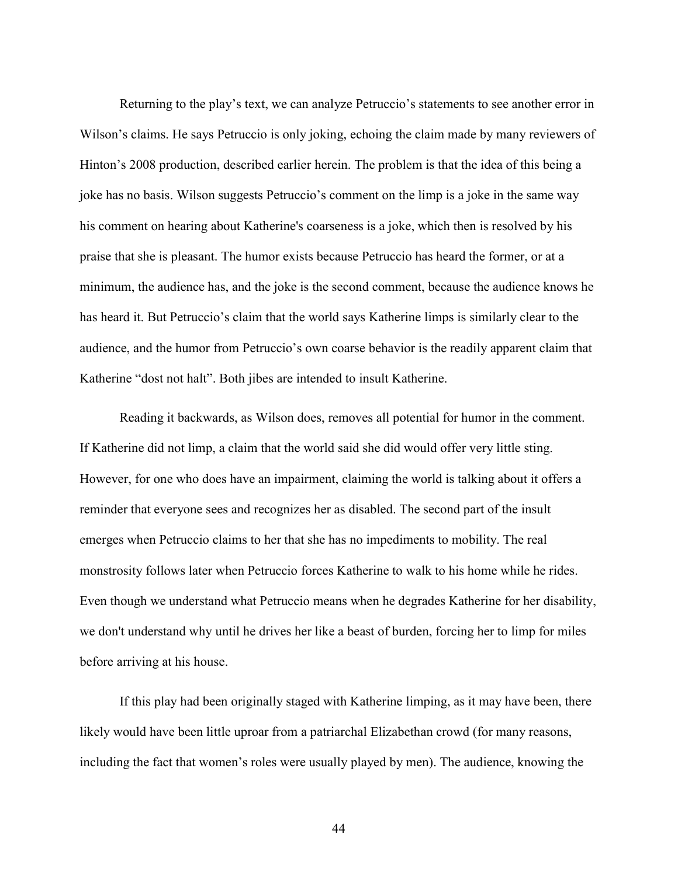Returning to the play's text, we can analyze Petruccio's statements to see another error in Wilson's claims. He says Petruccio is only joking, echoing the claim made by many reviewers of Hinton's 2008 production, described earlier herein. The problem is that the idea of this being a joke has no basis. Wilson suggests Petruccio's comment on the limp is a joke in the same way his comment on hearing about Katherine's coarseness is a joke, which then is resolved by his praise that she is pleasant. The humor exists because Petruccio has heard the former, or at a minimum, the audience has, and the joke is the second comment, because the audience knows he has heard it. But Petruccio's claim that the world says Katherine limps is similarly clear to the audience, and the humor from Petruccio's own coarse behavior is the readily apparent claim that Katherine "dost not halt". Both jibes are intended to insult Katherine.

Reading it backwards, as Wilson does, removes all potential for humor in the comment. If Katherine did not limp, a claim that the world said she did would offer very little sting. However, for one who does have an impairment, claiming the world is talking about it offers a reminder that everyone sees and recognizes her as disabled. The second part of the insult emerges when Petruccio claims to her that she has no impediments to mobility. The real monstrosity follows later when Petruccio forces Katherine to walk to his home while he rides. Even though we understand what Petruccio means when he degrades Katherine for her disability, we don't understand why until he drives her like a beast of burden, forcing her to limp for miles before arriving at his house.

If this play had been originally staged with Katherine limping, as it may have been, there likely would have been little uproar from a patriarchal Elizabethan crowd (for many reasons, including the fact that women's roles were usually played by men). The audience, knowing the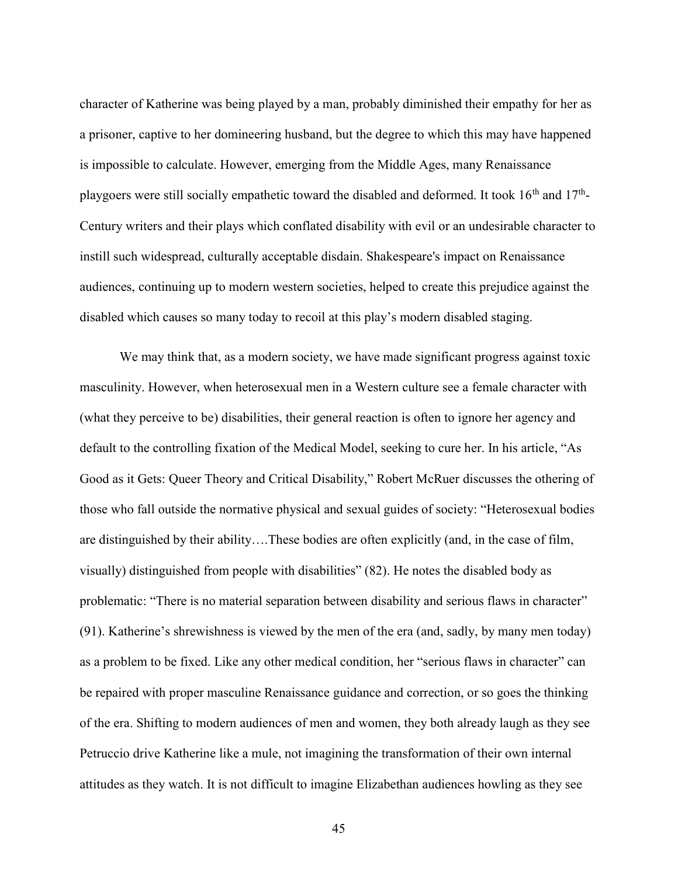character of Katherine was being played by a man, probably diminished their empathy for her as a prisoner, captive to her domineering husband, but the degree to which this may have happened is impossible to calculate. However, emerging from the Middle Ages, many Renaissance playgoers were still socially empathetic toward the disabled and deformed. It took  $16<sup>th</sup>$  and  $17<sup>th</sup>$ -Century writers and their plays which conflated disability with evil or an undesirable character to instill such widespread, culturally acceptable disdain. Shakespeare's impact on Renaissance audiences, continuing up to modern western societies, helped to create this prejudice against the disabled which causes so many today to recoil at this play's modern disabled staging.

We may think that, as a modern society, we have made significant progress against toxic masculinity. However, when heterosexual men in a Western culture see a female character with (what they perceive to be) disabilities, their general reaction is often to ignore her agency and default to the controlling fixation of the Medical Model, seeking to cure her. In his article, "As Good as it Gets: Queer Theory and Critical Disability," Robert McRuer discusses the othering of those who fall outside the normative physical and sexual guides of society: "Heterosexual bodies are distinguished by their ability….These bodies are often explicitly (and, in the case of film, visually) distinguished from people with disabilities" (82). He notes the disabled body as problematic: "There is no material separation between disability and serious flaws in character" (91). Katherine's shrewishness is viewed by the men of the era (and, sadly, by many men today) as a problem to be fixed. Like any other medical condition, her "serious flaws in character" can be repaired with proper masculine Renaissance guidance and correction, or so goes the thinking of the era. Shifting to modern audiences of men and women, they both already laugh as they see Petruccio drive Katherine like a mule, not imagining the transformation of their own internal attitudes as they watch. It is not difficult to imagine Elizabethan audiences howling as they see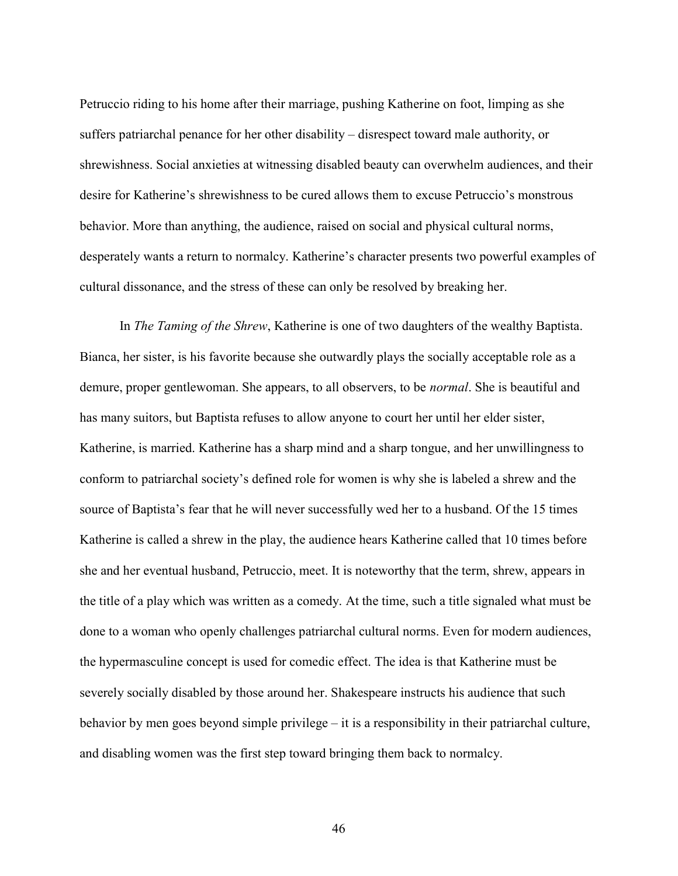Petruccio riding to his home after their marriage, pushing Katherine on foot, limping as she suffers patriarchal penance for her other disability – disrespect toward male authority, or shrewishness. Social anxieties at witnessing disabled beauty can overwhelm audiences, and their desire for Katherine's shrewishness to be cured allows them to excuse Petruccio's monstrous behavior. More than anything, the audience, raised on social and physical cultural norms, desperately wants a return to normalcy. Katherine's character presents two powerful examples of cultural dissonance, and the stress of these can only be resolved by breaking her.

In The Taming of the Shrew, Katherine is one of two daughters of the wealthy Baptista. Bianca, her sister, is his favorite because she outwardly plays the socially acceptable role as a demure, proper gentlewoman. She appears, to all observers, to be *normal*. She is beautiful and has many suitors, but Baptista refuses to allow anyone to court her until her elder sister, Katherine, is married. Katherine has a sharp mind and a sharp tongue, and her unwillingness to conform to patriarchal society's defined role for women is why she is labeled a shrew and the source of Baptista's fear that he will never successfully wed her to a husband. Of the 15 times Katherine is called a shrew in the play, the audience hears Katherine called that 10 times before she and her eventual husband, Petruccio, meet. It is noteworthy that the term, shrew, appears in the title of a play which was written as a comedy. At the time, such a title signaled what must be done to a woman who openly challenges patriarchal cultural norms. Even for modern audiences, the hypermasculine concept is used for comedic effect. The idea is that Katherine must be severely socially disabled by those around her. Shakespeare instructs his audience that such behavior by men goes beyond simple privilege – it is a responsibility in their patriarchal culture, and disabling women was the first step toward bringing them back to normalcy.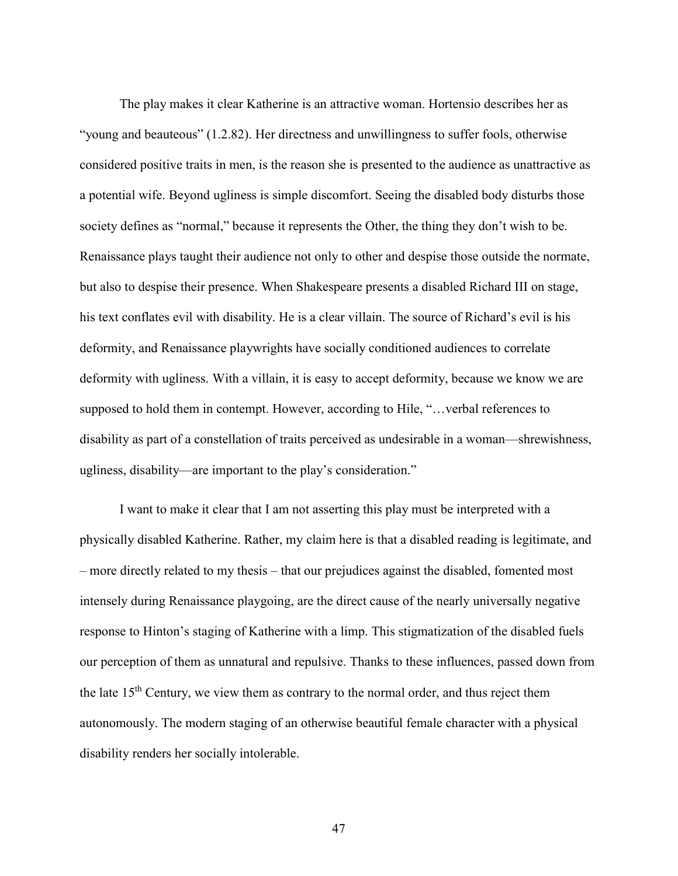The play makes it clear Katherine is an attractive woman. Hortensio describes her as "young and beauteous" (1.2.82). Her directness and unwillingness to suffer fools, otherwise considered positive traits in men, is the reason she is presented to the audience as unattractive as a potential wife. Beyond ugliness is simple discomfort. Seeing the disabled body disturbs those society defines as "normal," because it represents the Other, the thing they don't wish to be. Renaissance plays taught their audience not only to other and despise those outside the normate, but also to despise their presence. When Shakespeare presents a disabled Richard III on stage, his text conflates evil with disability. He is a clear villain. The source of Richard's evil is his deformity, and Renaissance playwrights have socially conditioned audiences to correlate deformity with ugliness. With a villain, it is easy to accept deformity, because we know we are supposed to hold them in contempt. However, according to Hile, "…verbal references to disability as part of a constellation of traits perceived as undesirable in a woman—shrewishness, ugliness, disability—are important to the play's consideration."

I want to make it clear that I am not asserting this play must be interpreted with a physically disabled Katherine. Rather, my claim here is that a disabled reading is legitimate, and – more directly related to my thesis – that our prejudices against the disabled, fomented most intensely during Renaissance playgoing, are the direct cause of the nearly universally negative response to Hinton's staging of Katherine with a limp. This stigmatization of the disabled fuels our perception of them as unnatural and repulsive. Thanks to these influences, passed down from the late  $15<sup>th</sup>$  Century, we view them as contrary to the normal order, and thus reject them autonomously. The modern staging of an otherwise beautiful female character with a physical disability renders her socially intolerable.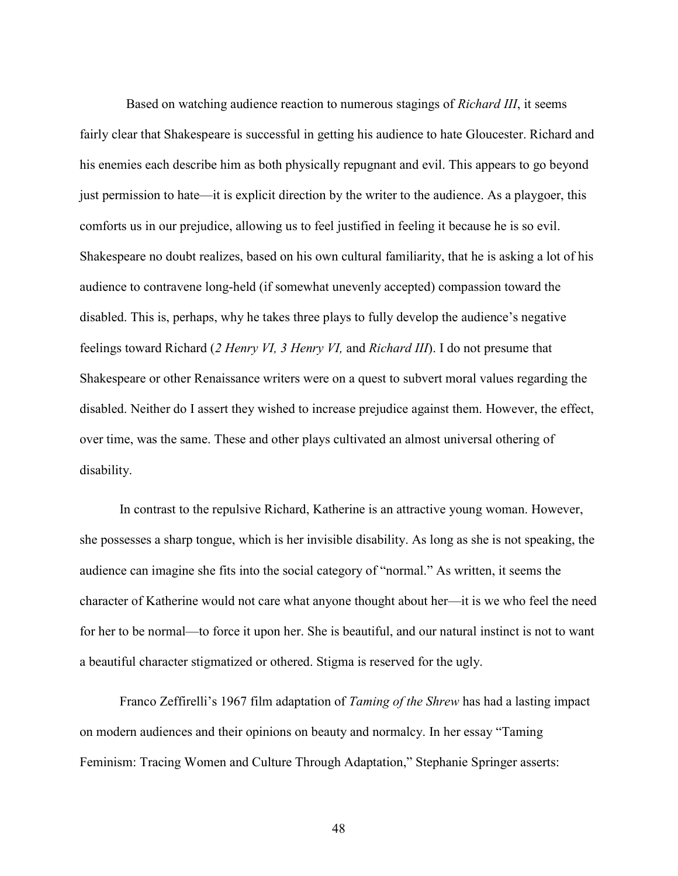Based on watching audience reaction to numerous stagings of *Richard III*, it seems fairly clear that Shakespeare is successful in getting his audience to hate Gloucester. Richard and his enemies each describe him as both physically repugnant and evil. This appears to go beyond just permission to hate—it is explicit direction by the writer to the audience. As a playgoer, this comforts us in our prejudice, allowing us to feel justified in feeling it because he is so evil. Shakespeare no doubt realizes, based on his own cultural familiarity, that he is asking a lot of his audience to contravene long-held (if somewhat unevenly accepted) compassion toward the disabled. This is, perhaps, why he takes three plays to fully develop the audience's negative feelings toward Richard (2 Henry VI, 3 Henry VI, and Richard III). I do not presume that Shakespeare or other Renaissance writers were on a quest to subvert moral values regarding the disabled. Neither do I assert they wished to increase prejudice against them. However, the effect, over time, was the same. These and other plays cultivated an almost universal othering of disability.

In contrast to the repulsive Richard, Katherine is an attractive young woman. However, she possesses a sharp tongue, which is her invisible disability. As long as she is not speaking, the audience can imagine she fits into the social category of "normal." As written, it seems the character of Katherine would not care what anyone thought about her—it is we who feel the need for her to be normal—to force it upon her. She is beautiful, and our natural instinct is not to want a beautiful character stigmatized or othered. Stigma is reserved for the ugly.

Franco Zeffirelli's 1967 film adaptation of Taming of the Shrew has had a lasting impact on modern audiences and their opinions on beauty and normalcy. In her essay "Taming Feminism: Tracing Women and Culture Through Adaptation," Stephanie Springer asserts: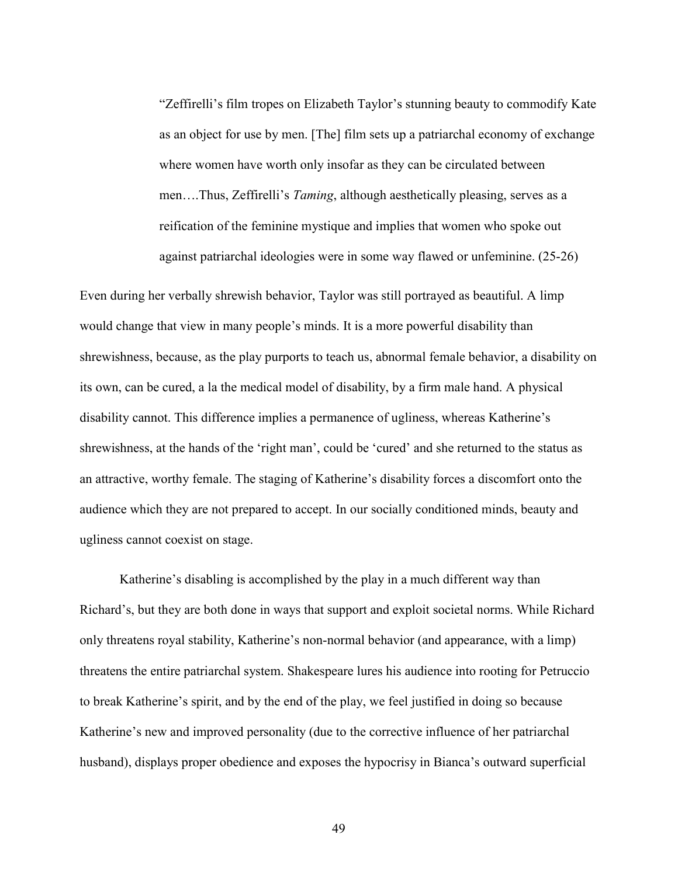"Zeffirelli's film tropes on Elizabeth Taylor's stunning beauty to commodify Kate as an object for use by men. [The] film sets up a patriarchal economy of exchange where women have worth only insofar as they can be circulated between men….Thus, Zeffirelli's Taming, although aesthetically pleasing, serves as a reification of the feminine mystique and implies that women who spoke out against patriarchal ideologies were in some way flawed or unfeminine. (25-26)

Even during her verbally shrewish behavior, Taylor was still portrayed as beautiful. A limp would change that view in many people's minds. It is a more powerful disability than shrewishness, because, as the play purports to teach us, abnormal female behavior, a disability on its own, can be cured, a la the medical model of disability, by a firm male hand. A physical disability cannot. This difference implies a permanence of ugliness, whereas Katherine's shrewishness, at the hands of the 'right man', could be 'cured' and she returned to the status as an attractive, worthy female. The staging of Katherine's disability forces a discomfort onto the audience which they are not prepared to accept. In our socially conditioned minds, beauty and ugliness cannot coexist on stage.

Katherine's disabling is accomplished by the play in a much different way than Richard's, but they are both done in ways that support and exploit societal norms. While Richard only threatens royal stability, Katherine's non-normal behavior (and appearance, with a limp) threatens the entire patriarchal system. Shakespeare lures his audience into rooting for Petruccio to break Katherine's spirit, and by the end of the play, we feel justified in doing so because Katherine's new and improved personality (due to the corrective influence of her patriarchal husband), displays proper obedience and exposes the hypocrisy in Bianca's outward superficial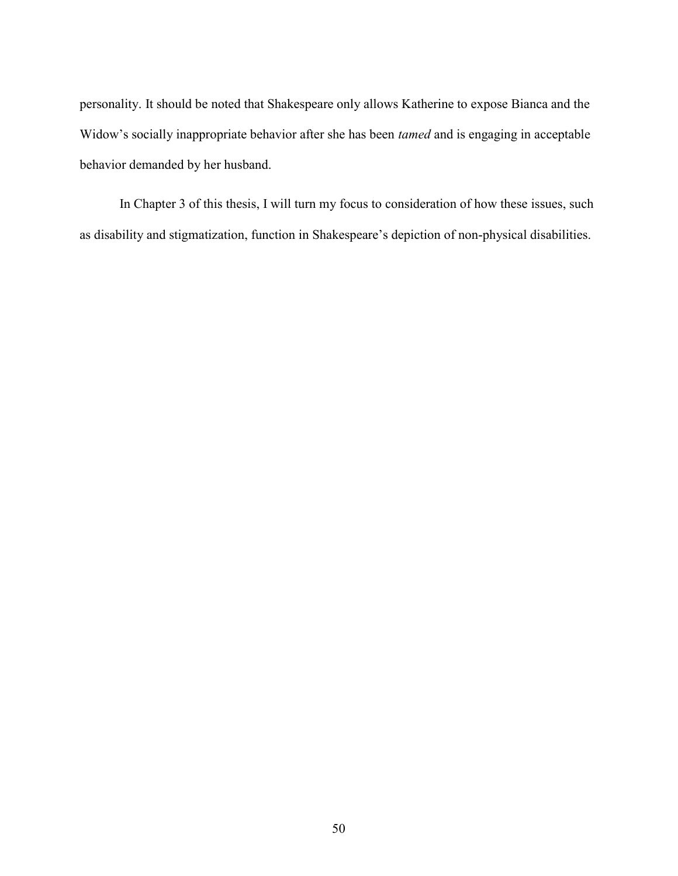personality. It should be noted that Shakespeare only allows Katherine to expose Bianca and the Widow's socially inappropriate behavior after she has been tamed and is engaging in acceptable behavior demanded by her husband.

In Chapter 3 of this thesis, I will turn my focus to consideration of how these issues, such as disability and stigmatization, function in Shakespeare's depiction of non-physical disabilities.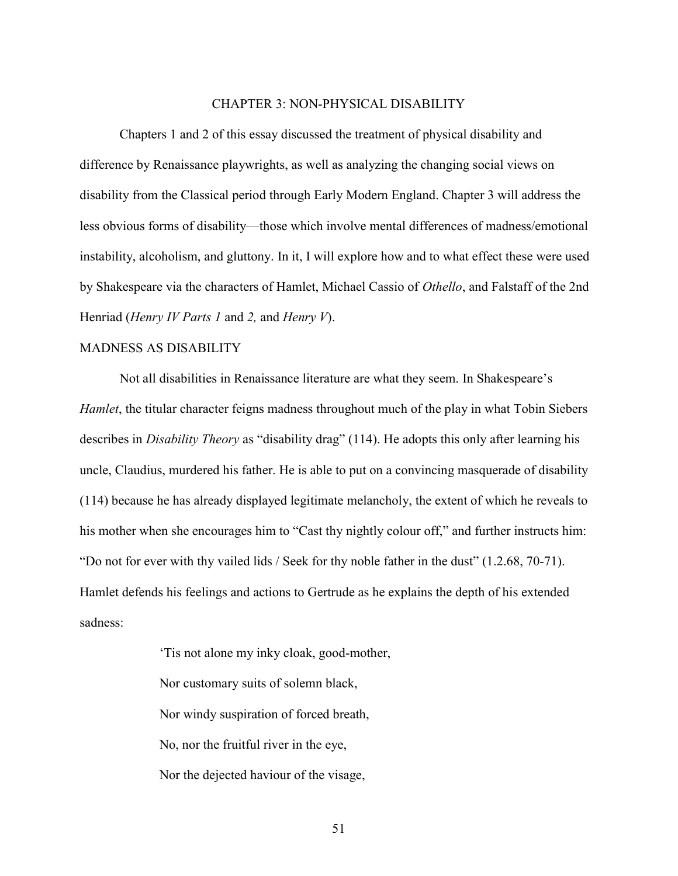#### CHAPTER 3: NON-PHYSICAL DISABILITY

Chapters 1 and 2 of this essay discussed the treatment of physical disability and difference by Renaissance playwrights, as well as analyzing the changing social views on disability from the Classical period through Early Modern England. Chapter 3 will address the less obvious forms of disability—those which involve mental differences of madness/emotional instability, alcoholism, and gluttony. In it, I will explore how and to what effect these were used by Shakespeare via the characters of Hamlet, Michael Cassio of Othello, and Falstaff of the 2nd Henriad (Henry IV Parts 1 and 2, and Henry V).

## MADNESS AS DISABILITY

Not all disabilities in Renaissance literature are what they seem. In Shakespeare's Hamlet, the titular character feigns madness throughout much of the play in what Tobin Siebers describes in *Disability Theory* as "disability drag" (114). He adopts this only after learning his uncle, Claudius, murdered his father. He is able to put on a convincing masquerade of disability (114) because he has already displayed legitimate melancholy, the extent of which he reveals to his mother when she encourages him to "Cast thy nightly colour off," and further instructs him: "Do not for ever with thy vailed lids / Seek for thy noble father in the dust" (1.2.68, 70-71). Hamlet defends his feelings and actions to Gertrude as he explains the depth of his extended sadness:

> 'Tis not alone my inky cloak, good-mother, Nor customary suits of solemn black, Nor windy suspiration of forced breath, No, nor the fruitful river in the eye, Nor the dejected haviour of the visage,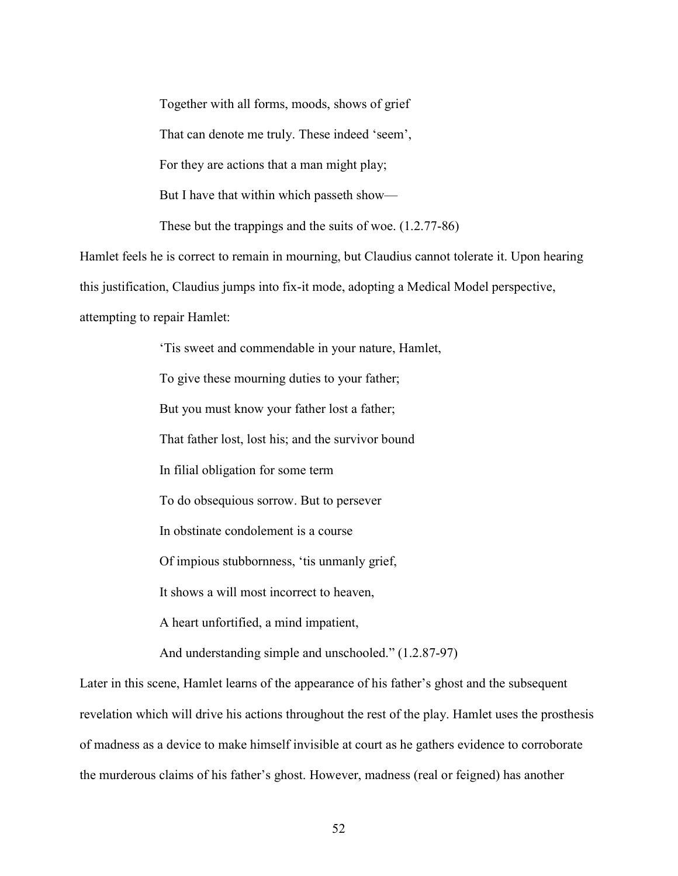Together with all forms, moods, shows of grief

That can denote me truly. These indeed 'seem',

For they are actions that a man might play;

But I have that within which passeth show—

These but the trappings and the suits of woe. (1.2.77-86)

Hamlet feels he is correct to remain in mourning, but Claudius cannot tolerate it. Upon hearing

this justification, Claudius jumps into fix-it mode, adopting a Medical Model perspective,

attempting to repair Hamlet:

 'Tis sweet and commendable in your nature, Hamlet, To give these mourning duties to your father; But you must know your father lost a father; That father lost, lost his; and the survivor bound In filial obligation for some term To do obsequious sorrow. But to persever In obstinate condolement is a course Of impious stubbornness, 'tis unmanly grief, It shows a will most incorrect to heaven, A heart unfortified, a mind impatient, And understanding simple and unschooled." (1.2.87-97)

Later in this scene, Hamlet learns of the appearance of his father's ghost and the subsequent revelation which will drive his actions throughout the rest of the play. Hamlet uses the prosthesis of madness as a device to make himself invisible at court as he gathers evidence to corroborate the murderous claims of his father's ghost. However, madness (real or feigned) has another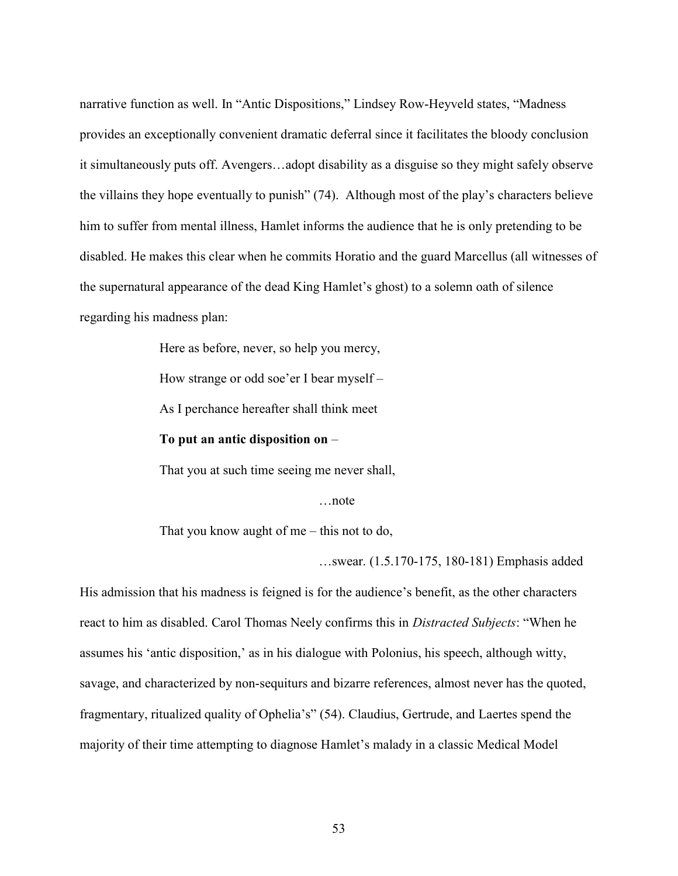narrative function as well. In "Antic Dispositions," Lindsey Row-Heyveld states, "Madness provides an exceptionally convenient dramatic deferral since it facilitates the bloody conclusion it simultaneously puts off. Avengers…adopt disability as a disguise so they might safely observe the villains they hope eventually to punish" (74). Although most of the play's characters believe him to suffer from mental illness, Hamlet informs the audience that he is only pretending to be disabled. He makes this clear when he commits Horatio and the guard Marcellus (all witnesses of the supernatural appearance of the dead King Hamlet's ghost) to a solemn oath of silence regarding his madness plan:

Here as before, never, so help you mercy,

How strange or odd soe'er I bear myself –

As I perchance hereafter shall think meet

To put an antic disposition on –

That you at such time seeing me never shall,

…note

That you know aught of me – this not to do,

…swear. (1.5.170-175, 180-181) Emphasis added

His admission that his madness is feigned is for the audience's benefit, as the other characters react to him as disabled. Carol Thomas Neely confirms this in *Distracted Subjects*: "When he assumes his 'antic disposition,' as in his dialogue with Polonius, his speech, although witty, savage, and characterized by non-sequiturs and bizarre references, almost never has the quoted, fragmentary, ritualized quality of Ophelia's" (54). Claudius, Gertrude, and Laertes spend the majority of their time attempting to diagnose Hamlet's malady in a classic Medical Model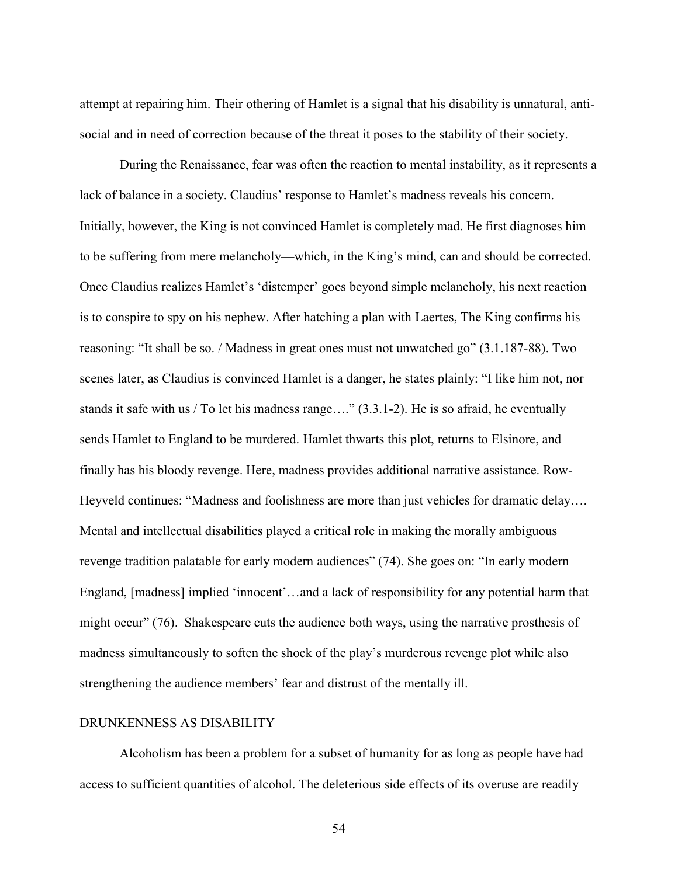attempt at repairing him. Their othering of Hamlet is a signal that his disability is unnatural, antisocial and in need of correction because of the threat it poses to the stability of their society.

During the Renaissance, fear was often the reaction to mental instability, as it represents a lack of balance in a society. Claudius' response to Hamlet's madness reveals his concern. Initially, however, the King is not convinced Hamlet is completely mad. He first diagnoses him to be suffering from mere melancholy—which, in the King's mind, can and should be corrected. Once Claudius realizes Hamlet's 'distemper' goes beyond simple melancholy, his next reaction is to conspire to spy on his nephew. After hatching a plan with Laertes, The King confirms his reasoning: "It shall be so. / Madness in great ones must not unwatched go" (3.1.187-88). Two scenes later, as Claudius is convinced Hamlet is a danger, he states plainly: "I like him not, nor stands it safe with us / To let his madness range...." (3.3.1-2). He is so afraid, he eventually sends Hamlet to England to be murdered. Hamlet thwarts this plot, returns to Elsinore, and finally has his bloody revenge. Here, madness provides additional narrative assistance. Row-Heyveld continues: "Madness and foolishness are more than just vehicles for dramatic delay…. Mental and intellectual disabilities played a critical role in making the morally ambiguous revenge tradition palatable for early modern audiences" (74). She goes on: "In early modern England, [madness] implied 'innocent'…and a lack of responsibility for any potential harm that might occur" (76). Shakespeare cuts the audience both ways, using the narrative prosthesis of madness simultaneously to soften the shock of the play's murderous revenge plot while also strengthening the audience members' fear and distrust of the mentally ill.

### DRUNKENNESS AS DISABILITY

Alcoholism has been a problem for a subset of humanity for as long as people have had access to sufficient quantities of alcohol. The deleterious side effects of its overuse are readily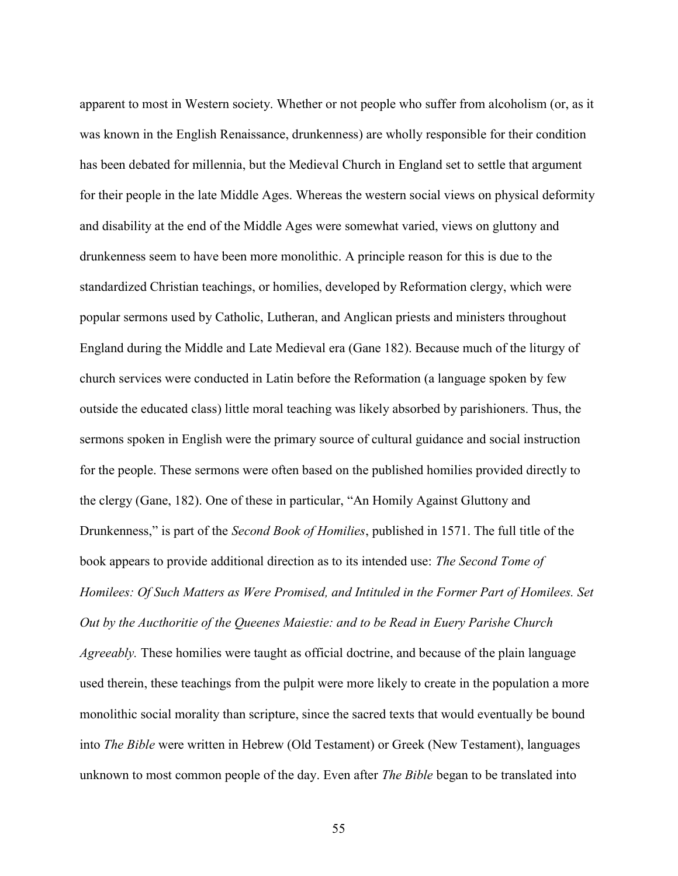apparent to most in Western society. Whether or not people who suffer from alcoholism (or, as it was known in the English Renaissance, drunkenness) are wholly responsible for their condition has been debated for millennia, but the Medieval Church in England set to settle that argument for their people in the late Middle Ages. Whereas the western social views on physical deformity and disability at the end of the Middle Ages were somewhat varied, views on gluttony and drunkenness seem to have been more monolithic. A principle reason for this is due to the standardized Christian teachings, or homilies, developed by Reformation clergy, which were popular sermons used by Catholic, Lutheran, and Anglican priests and ministers throughout England during the Middle and Late Medieval era (Gane 182). Because much of the liturgy of church services were conducted in Latin before the Reformation (a language spoken by few outside the educated class) little moral teaching was likely absorbed by parishioners. Thus, the sermons spoken in English were the primary source of cultural guidance and social instruction for the people. These sermons were often based on the published homilies provided directly to the clergy (Gane, 182). One of these in particular, "An Homily Against Gluttony and Drunkenness," is part of the *Second Book of Homilies*, published in 1571. The full title of the book appears to provide additional direction as to its intended use: The Second Tome of Homilees: Of Such Matters as Were Promised, and Intituled in the Former Part of Homilees. Set Out by the Aucthoritie of the Queenes Maiestie: and to be Read in Euery Parishe Church Agreeably. These homilies were taught as official doctrine, and because of the plain language used therein, these teachings from the pulpit were more likely to create in the population a more monolithic social morality than scripture, since the sacred texts that would eventually be bound into The Bible were written in Hebrew (Old Testament) or Greek (New Testament), languages unknown to most common people of the day. Even after *The Bible* began to be translated into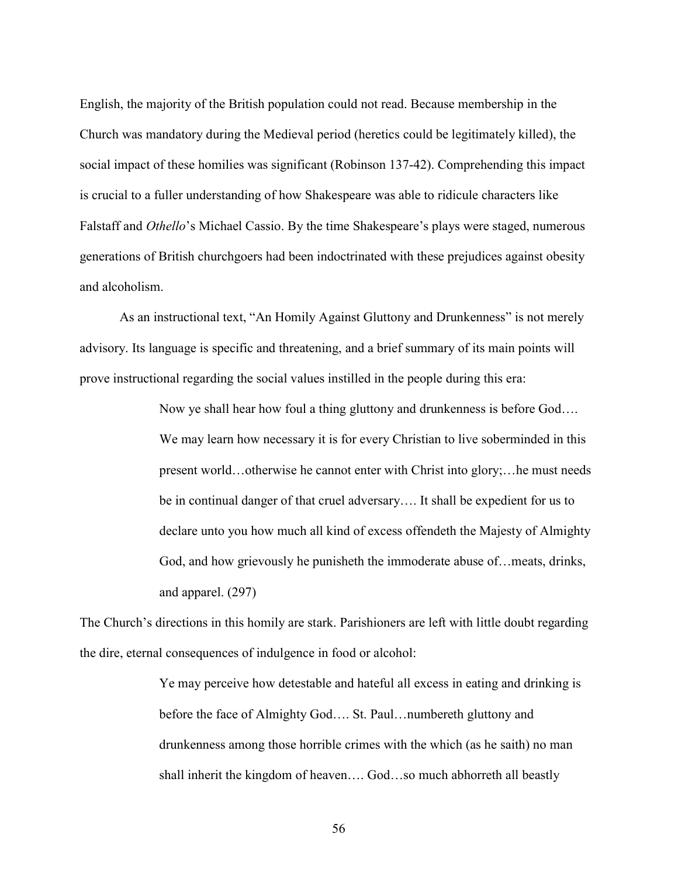English, the majority of the British population could not read. Because membership in the Church was mandatory during the Medieval period (heretics could be legitimately killed), the social impact of these homilies was significant (Robinson 137-42). Comprehending this impact is crucial to a fuller understanding of how Shakespeare was able to ridicule characters like Falstaff and Othello's Michael Cassio. By the time Shakespeare's plays were staged, numerous generations of British churchgoers had been indoctrinated with these prejudices against obesity and alcoholism.

As an instructional text, "An Homily Against Gluttony and Drunkenness" is not merely advisory. Its language is specific and threatening, and a brief summary of its main points will prove instructional regarding the social values instilled in the people during this era:

> Now ye shall hear how foul a thing gluttony and drunkenness is before God…. We may learn how necessary it is for every Christian to live soberminded in this present world…otherwise he cannot enter with Christ into glory;…he must needs be in continual danger of that cruel adversary…. It shall be expedient for us to declare unto you how much all kind of excess offendeth the Majesty of Almighty God, and how grievously he punisheth the immoderate abuse of…meats, drinks, and apparel. (297)

The Church's directions in this homily are stark. Parishioners are left with little doubt regarding the dire, eternal consequences of indulgence in food or alcohol:

> Ye may perceive how detestable and hateful all excess in eating and drinking is before the face of Almighty God…. St. Paul…numbereth gluttony and drunkenness among those horrible crimes with the which (as he saith) no man shall inherit the kingdom of heaven…. God…so much abhorreth all beastly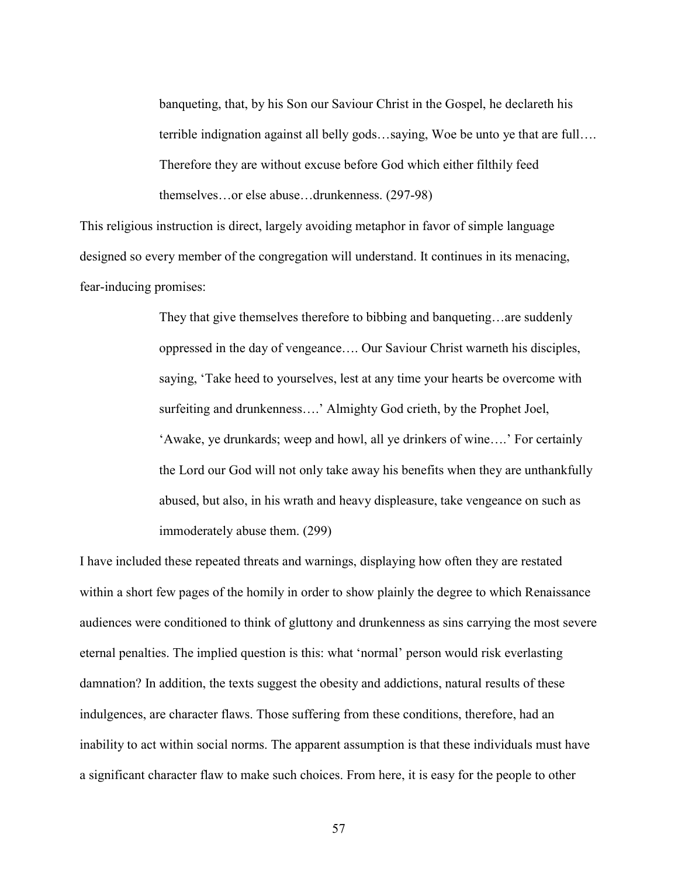banqueting, that, by his Son our Saviour Christ in the Gospel, he declareth his terrible indignation against all belly gods…saying, Woe be unto ye that are full…. Therefore they are without excuse before God which either filthily feed themselves…or else abuse…drunkenness. (297-98)

This religious instruction is direct, largely avoiding metaphor in favor of simple language designed so every member of the congregation will understand. It continues in its menacing, fear-inducing promises:

> They that give themselves therefore to bibbing and banqueting…are suddenly oppressed in the day of vengeance…. Our Saviour Christ warneth his disciples, saying, 'Take heed to yourselves, lest at any time your hearts be overcome with surfeiting and drunkenness….' Almighty God crieth, by the Prophet Joel, 'Awake, ye drunkards; weep and howl, all ye drinkers of wine….' For certainly the Lord our God will not only take away his benefits when they are unthankfully abused, but also, in his wrath and heavy displeasure, take vengeance on such as immoderately abuse them. (299)

I have included these repeated threats and warnings, displaying how often they are restated within a short few pages of the homily in order to show plainly the degree to which Renaissance audiences were conditioned to think of gluttony and drunkenness as sins carrying the most severe eternal penalties. The implied question is this: what 'normal' person would risk everlasting damnation? In addition, the texts suggest the obesity and addictions, natural results of these indulgences, are character flaws. Those suffering from these conditions, therefore, had an inability to act within social norms. The apparent assumption is that these individuals must have a significant character flaw to make such choices. From here, it is easy for the people to other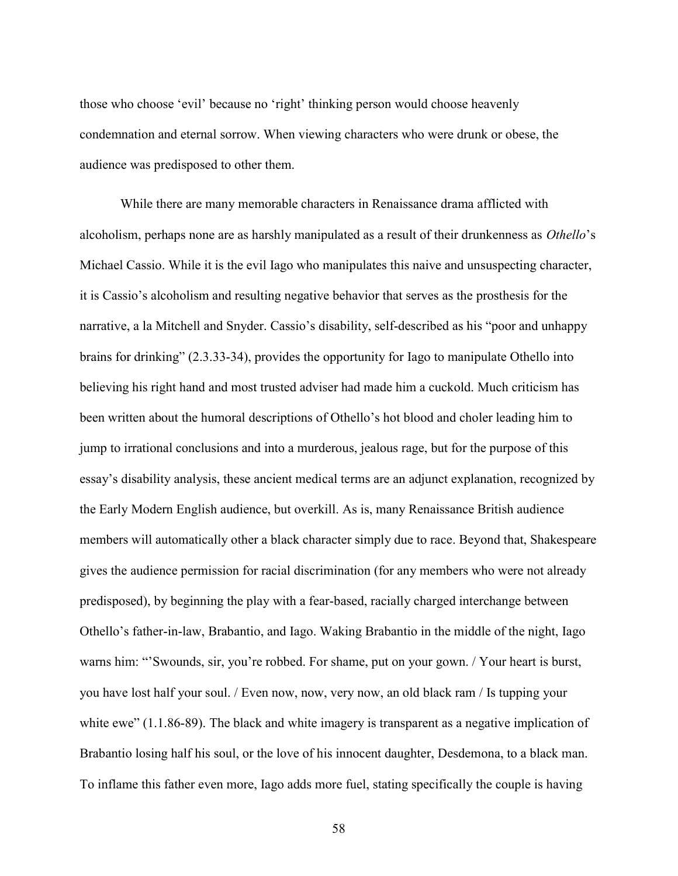those who choose 'evil' because no 'right' thinking person would choose heavenly condemnation and eternal sorrow. When viewing characters who were drunk or obese, the audience was predisposed to other them.

While there are many memorable characters in Renaissance drama afflicted with alcoholism, perhaps none are as harshly manipulated as a result of their drunkenness as Othello's Michael Cassio. While it is the evil Iago who manipulates this naive and unsuspecting character, it is Cassio's alcoholism and resulting negative behavior that serves as the prosthesis for the narrative, a la Mitchell and Snyder. Cassio's disability, self-described as his "poor and unhappy brains for drinking" (2.3.33-34), provides the opportunity for Iago to manipulate Othello into believing his right hand and most trusted adviser had made him a cuckold. Much criticism has been written about the humoral descriptions of Othello's hot blood and choler leading him to jump to irrational conclusions and into a murderous, jealous rage, but for the purpose of this essay's disability analysis, these ancient medical terms are an adjunct explanation, recognized by the Early Modern English audience, but overkill. As is, many Renaissance British audience members will automatically other a black character simply due to race. Beyond that, Shakespeare gives the audience permission for racial discrimination (for any members who were not already predisposed), by beginning the play with a fear-based, racially charged interchange between Othello's father-in-law, Brabantio, and Iago. Waking Brabantio in the middle of the night, Iago warns him: "'Swounds, sir, you're robbed. For shame, put on your gown. / Your heart is burst, you have lost half your soul. / Even now, now, very now, an old black ram / Is tupping your white ewe" (1.1.86-89). The black and white imagery is transparent as a negative implication of Brabantio losing half his soul, or the love of his innocent daughter, Desdemona, to a black man. To inflame this father even more, Iago adds more fuel, stating specifically the couple is having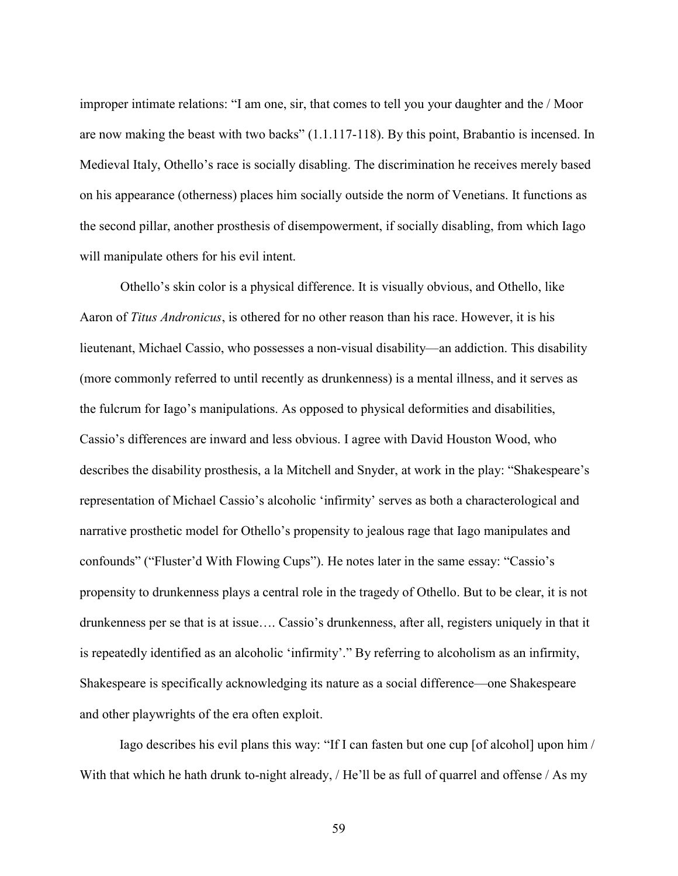improper intimate relations: "I am one, sir, that comes to tell you your daughter and the / Moor are now making the beast with two backs" (1.1.117-118). By this point, Brabantio is incensed. In Medieval Italy, Othello's race is socially disabling. The discrimination he receives merely based on his appearance (otherness) places him socially outside the norm of Venetians. It functions as the second pillar, another prosthesis of disempowerment, if socially disabling, from which Iago will manipulate others for his evil intent.

Othello's skin color is a physical difference. It is visually obvious, and Othello, like Aaron of Titus Andronicus, is othered for no other reason than his race. However, it is his lieutenant, Michael Cassio, who possesses a non-visual disability—an addiction. This disability (more commonly referred to until recently as drunkenness) is a mental illness, and it serves as the fulcrum for Iago's manipulations. As opposed to physical deformities and disabilities, Cassio's differences are inward and less obvious. I agree with David Houston Wood, who describes the disability prosthesis, a la Mitchell and Snyder, at work in the play: "Shakespeare's representation of Michael Cassio's alcoholic 'infirmity' serves as both a characterological and narrative prosthetic model for Othello's propensity to jealous rage that Iago manipulates and confounds" ("Fluster'd With Flowing Cups"). He notes later in the same essay: "Cassio's propensity to drunkenness plays a central role in the tragedy of Othello. But to be clear, it is not drunkenness per se that is at issue…. Cassio's drunkenness, after all, registers uniquely in that it is repeatedly identified as an alcoholic 'infirmity'." By referring to alcoholism as an infirmity, Shakespeare is specifically acknowledging its nature as a social difference—one Shakespeare and other playwrights of the era often exploit.

Iago describes his evil plans this way: "If I can fasten but one cup [of alcohol] upon him / With that which he hath drunk to-night already, / He'll be as full of quarrel and offense / As my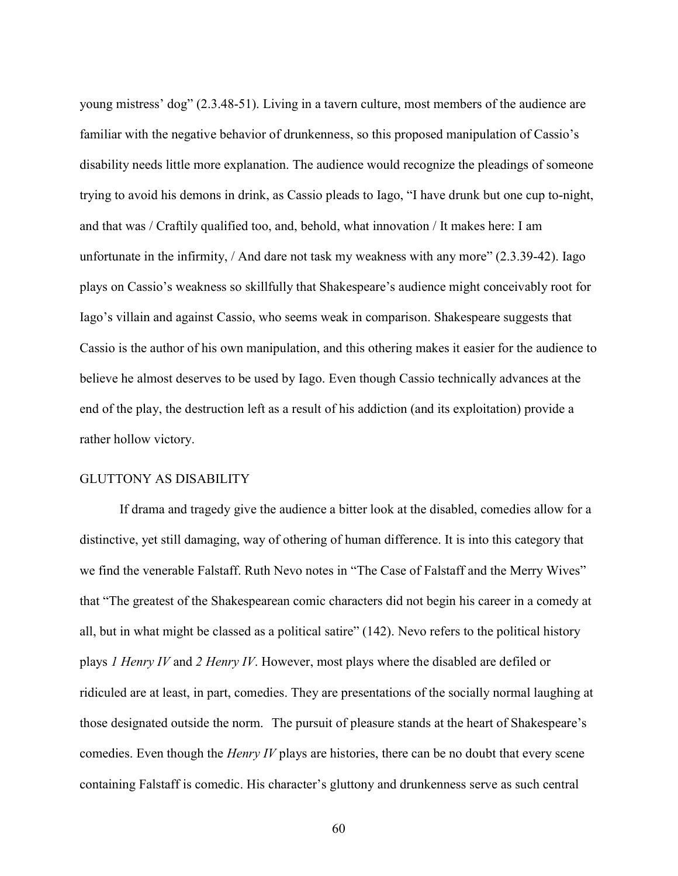young mistress' dog" (2.3.48-51). Living in a tavern culture, most members of the audience are familiar with the negative behavior of drunkenness, so this proposed manipulation of Cassio's disability needs little more explanation. The audience would recognize the pleadings of someone trying to avoid his demons in drink, as Cassio pleads to Iago, "I have drunk but one cup to-night, and that was / Craftily qualified too, and, behold, what innovation / It makes here: I am unfortunate in the infirmity, / And dare not task my weakness with any more" (2.3.39-42). Iago plays on Cassio's weakness so skillfully that Shakespeare's audience might conceivably root for Iago's villain and against Cassio, who seems weak in comparison. Shakespeare suggests that Cassio is the author of his own manipulation, and this othering makes it easier for the audience to believe he almost deserves to be used by Iago. Even though Cassio technically advances at the end of the play, the destruction left as a result of his addiction (and its exploitation) provide a rather hollow victory.

#### GLUTTONY AS DISABILITY

If drama and tragedy give the audience a bitter look at the disabled, comedies allow for a distinctive, yet still damaging, way of othering of human difference. It is into this category that we find the venerable Falstaff. Ruth Nevo notes in "The Case of Falstaff and the Merry Wives" that "The greatest of the Shakespearean comic characters did not begin his career in a comedy at all, but in what might be classed as a political satire" (142). Nevo refers to the political history plays 1 Henry IV and 2 Henry IV. However, most plays where the disabled are defiled or ridiculed are at least, in part, comedies. They are presentations of the socially normal laughing at those designated outside the norm. The pursuit of pleasure stands at the heart of Shakespeare's comedies. Even though the *Henry IV* plays are histories, there can be no doubt that every scene containing Falstaff is comedic. His character's gluttony and drunkenness serve as such central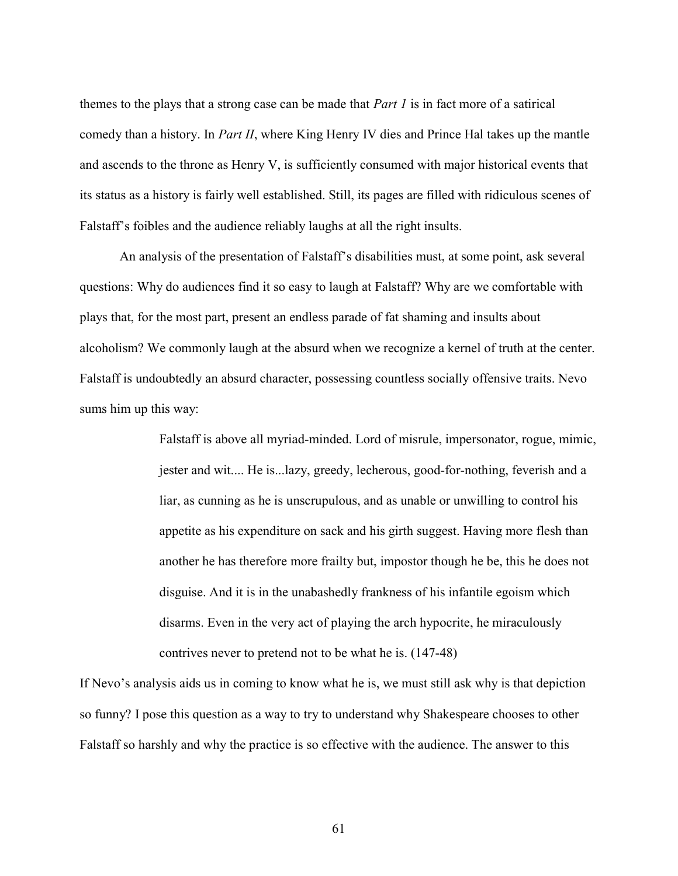themes to the plays that a strong case can be made that *Part 1* is in fact more of a satirical comedy than a history. In *Part II*, where King Henry IV dies and Prince Hal takes up the mantle and ascends to the throne as Henry V, is sufficiently consumed with major historical events that its status as a history is fairly well established. Still, its pages are filled with ridiculous scenes of Falstaff's foibles and the audience reliably laughs at all the right insults.

An analysis of the presentation of Falstaff's disabilities must, at some point, ask several questions: Why do audiences find it so easy to laugh at Falstaff? Why are we comfortable with plays that, for the most part, present an endless parade of fat shaming and insults about alcoholism? We commonly laugh at the absurd when we recognize a kernel of truth at the center. Falstaff is undoubtedly an absurd character, possessing countless socially offensive traits. Nevo sums him up this way:

> Falstaff is above all myriad-minded. Lord of misrule, impersonator, rogue, mimic, jester and wit.... He is...lazy, greedy, lecherous, good-for-nothing, feverish and a liar, as cunning as he is unscrupulous, and as unable or unwilling to control his appetite as his expenditure on sack and his girth suggest. Having more flesh than another he has therefore more frailty but, impostor though he be, this he does not disguise. And it is in the unabashedly frankness of his infantile egoism which disarms. Even in the very act of playing the arch hypocrite, he miraculously contrives never to pretend not to be what he is. (147-48)

If Nevo's analysis aids us in coming to know what he is, we must still ask why is that depiction so funny? I pose this question as a way to try to understand why Shakespeare chooses to other Falstaff so harshly and why the practice is so effective with the audience. The answer to this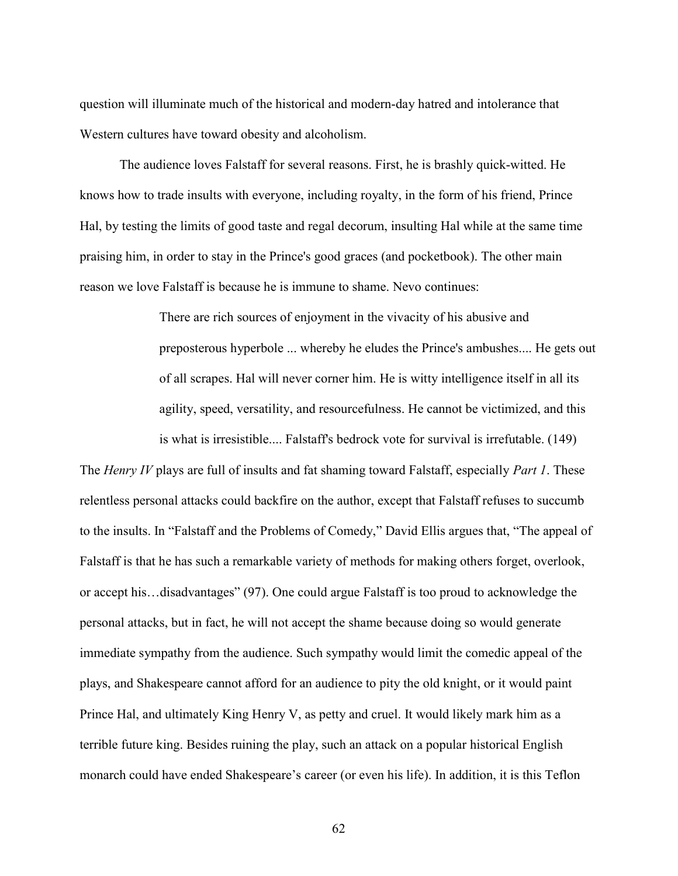question will illuminate much of the historical and modern-day hatred and intolerance that Western cultures have toward obesity and alcoholism.

The audience loves Falstaff for several reasons. First, he is brashly quick-witted. He knows how to trade insults with everyone, including royalty, in the form of his friend, Prince Hal, by testing the limits of good taste and regal decorum, insulting Hal while at the same time praising him, in order to stay in the Prince's good graces (and pocketbook). The other main reason we love Falstaff is because he is immune to shame. Nevo continues:

> There are rich sources of enjoyment in the vivacity of his abusive and preposterous hyperbole ... whereby he eludes the Prince's ambushes.... He gets out of all scrapes. Hal will never corner him. He is witty intelligence itself in all its agility, speed, versatility, and resourcefulness. He cannot be victimized, and this is what is irresistible.... Falstaff's bedrock vote for survival is irrefutable. (149)

The Henry IV plays are full of insults and fat shaming toward Falstaff, especially Part 1. These relentless personal attacks could backfire on the author, except that Falstaff refuses to succumb to the insults. In "Falstaff and the Problems of Comedy," David Ellis argues that, "The appeal of Falstaff is that he has such a remarkable variety of methods for making others forget, overlook, or accept his…disadvantages" (97). One could argue Falstaff is too proud to acknowledge the personal attacks, but in fact, he will not accept the shame because doing so would generate immediate sympathy from the audience. Such sympathy would limit the comedic appeal of the plays, and Shakespeare cannot afford for an audience to pity the old knight, or it would paint Prince Hal, and ultimately King Henry V, as petty and cruel. It would likely mark him as a terrible future king. Besides ruining the play, such an attack on a popular historical English monarch could have ended Shakespeare's career (or even his life). In addition, it is this Teflon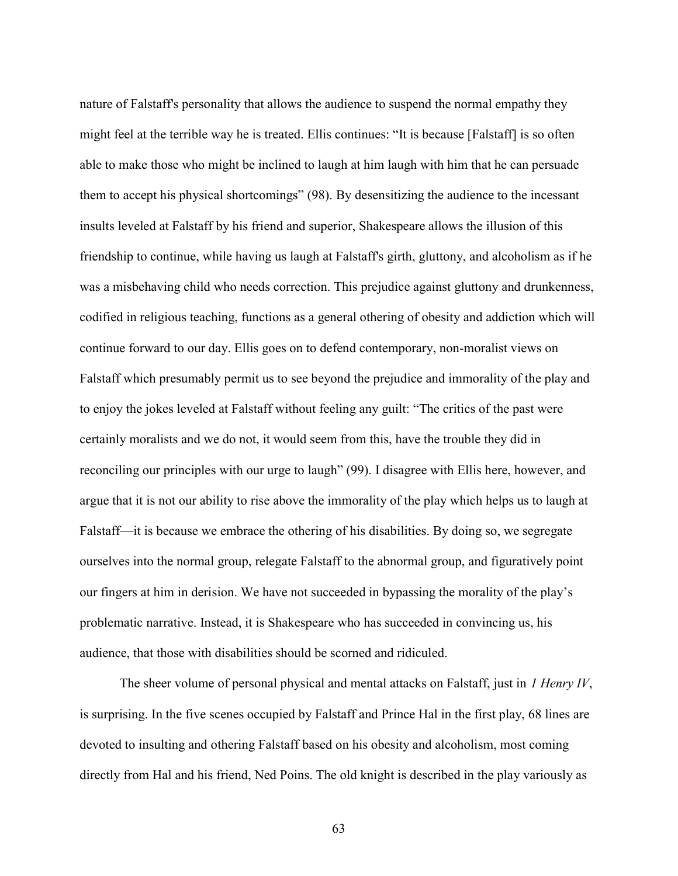nature of Falstaff's personality that allows the audience to suspend the normal empathy they might feel at the terrible way he is treated. Ellis continues: "It is because [Falstaff] is so often able to make those who might be inclined to laugh at him laugh with him that he can persuade them to accept his physical shortcomings" (98). By desensitizing the audience to the incessant insults leveled at Falstaff by his friend and superior, Shakespeare allows the illusion of this friendship to continue, while having us laugh at Falstaff's girth, gluttony, and alcoholism as if he was a misbehaving child who needs correction. This prejudice against gluttony and drunkenness, codified in religious teaching, functions as a general othering of obesity and addiction which will continue forward to our day. Ellis goes on to defend contemporary, non-moralist views on Falstaff which presumably permit us to see beyond the prejudice and immorality of the play and to enjoy the jokes leveled at Falstaff without feeling any guilt: "The critics of the past were certainly moralists and we do not, it would seem from this, have the trouble they did in reconciling our principles with our urge to laugh" (99). I disagree with Ellis here, however, and argue that it is not our ability to rise above the immorality of the play which helps us to laugh at Falstaff—it is because we embrace the othering of his disabilities. By doing so, we segregate ourselves into the normal group, relegate Falstaff to the abnormal group, and figuratively point our fingers at him in derision. We have not succeeded in bypassing the morality of the play's problematic narrative. Instead, it is Shakespeare who has succeeded in convincing us, his audience, that those with disabilities should be scorned and ridiculed.

The sheer volume of personal physical and mental attacks on Falstaff, just in 1 Henry IV, is surprising. In the five scenes occupied by Falstaff and Prince Hal in the first play, 68 lines are devoted to insulting and othering Falstaff based on his obesity and alcoholism, most coming directly from Hal and his friend, Ned Poins. The old knight is described in the play variously as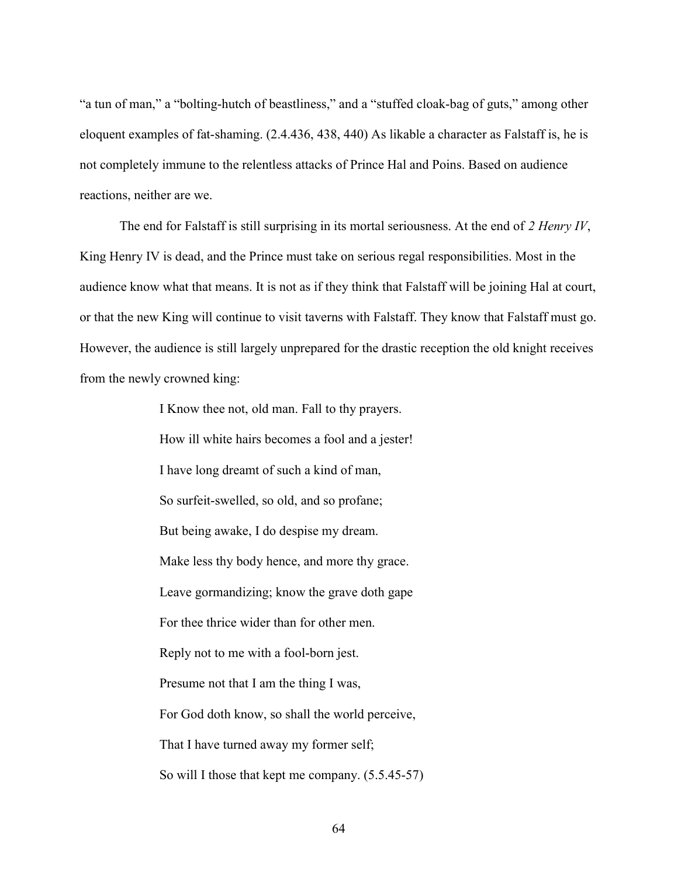"a tun of man," a "bolting-hutch of beastliness," and a "stuffed cloak-bag of guts," among other eloquent examples of fat-shaming. (2.4.436, 438, 440) As likable a character as Falstaff is, he is not completely immune to the relentless attacks of Prince Hal and Poins. Based on audience reactions, neither are we.

The end for Falstaff is still surprising in its mortal seriousness. At the end of 2 Henry IV, King Henry IV is dead, and the Prince must take on serious regal responsibilities. Most in the audience know what that means. It is not as if they think that Falstaff will be joining Hal at court, or that the new King will continue to visit taverns with Falstaff. They know that Falstaff must go. However, the audience is still largely unprepared for the drastic reception the old knight receives from the newly crowned king:

> I Know thee not, old man. Fall to thy prayers. How ill white hairs becomes a fool and a jester! I have long dreamt of such a kind of man, So surfeit-swelled, so old, and so profane; But being awake, I do despise my dream. Make less thy body hence, and more thy grace. Leave gormandizing; know the grave doth gape For thee thrice wider than for other men. Reply not to me with a fool-born jest. Presume not that I am the thing I was, For God doth know, so shall the world perceive, That I have turned away my former self; So will I those that kept me company. (5.5.45-57)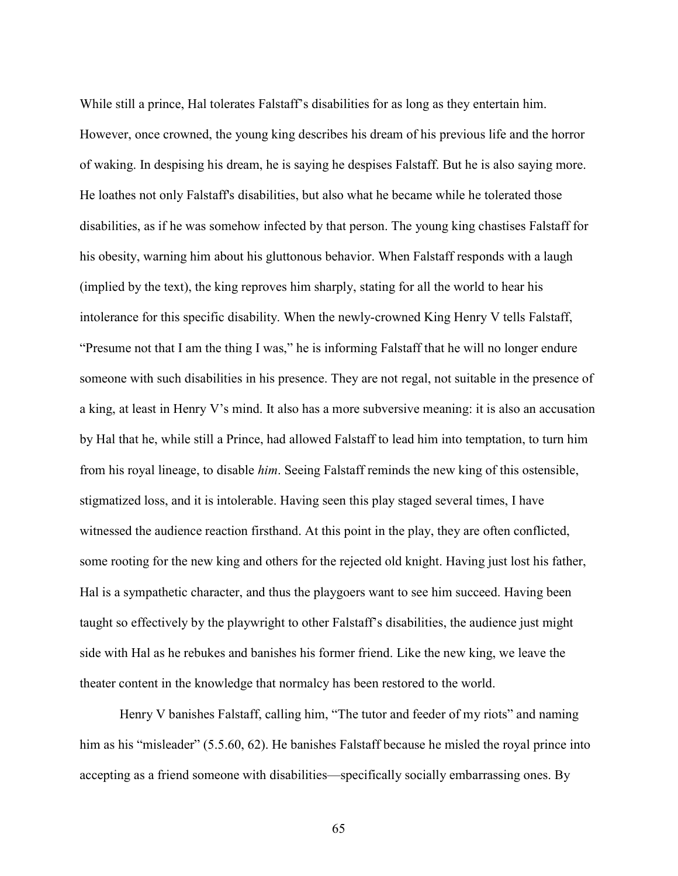While still a prince, Hal tolerates Falstaff's disabilities for as long as they entertain him. However, once crowned, the young king describes his dream of his previous life and the horror of waking. In despising his dream, he is saying he despises Falstaff. But he is also saying more. He loathes not only Falstaff's disabilities, but also what he became while he tolerated those disabilities, as if he was somehow infected by that person. The young king chastises Falstaff for his obesity, warning him about his gluttonous behavior. When Falstaff responds with a laugh (implied by the text), the king reproves him sharply, stating for all the world to hear his intolerance for this specific disability. When the newly-crowned King Henry V tells Falstaff, "Presume not that I am the thing I was," he is informing Falstaff that he will no longer endure someone with such disabilities in his presence. They are not regal, not suitable in the presence of a king, at least in Henry V's mind. It also has a more subversive meaning: it is also an accusation by Hal that he, while still a Prince, had allowed Falstaff to lead him into temptation, to turn him from his royal lineage, to disable him. Seeing Falstaff reminds the new king of this ostensible, stigmatized loss, and it is intolerable. Having seen this play staged several times, I have witnessed the audience reaction firsthand. At this point in the play, they are often conflicted, some rooting for the new king and others for the rejected old knight. Having just lost his father, Hal is a sympathetic character, and thus the playgoers want to see him succeed. Having been taught so effectively by the playwright to other Falstaff's disabilities, the audience just might side with Hal as he rebukes and banishes his former friend. Like the new king, we leave the theater content in the knowledge that normalcy has been restored to the world.

Henry V banishes Falstaff, calling him, "The tutor and feeder of my riots" and naming him as his "misleader" (5.5.60, 62). He banishes Falstaff because he misled the royal prince into accepting as a friend someone with disabilities—specifically socially embarrassing ones. By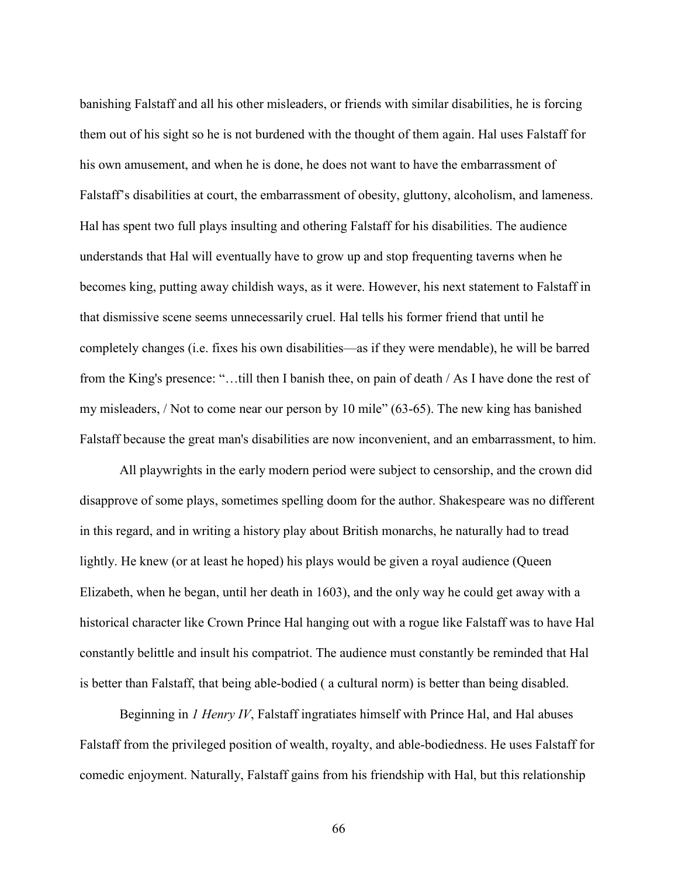banishing Falstaff and all his other misleaders, or friends with similar disabilities, he is forcing them out of his sight so he is not burdened with the thought of them again. Hal uses Falstaff for his own amusement, and when he is done, he does not want to have the embarrassment of Falstaff's disabilities at court, the embarrassment of obesity, gluttony, alcoholism, and lameness. Hal has spent two full plays insulting and othering Falstaff for his disabilities. The audience understands that Hal will eventually have to grow up and stop frequenting taverns when he becomes king, putting away childish ways, as it were. However, his next statement to Falstaff in that dismissive scene seems unnecessarily cruel. Hal tells his former friend that until he completely changes (i.e. fixes his own disabilities—as if they were mendable), he will be barred from the King's presence: "…till then I banish thee, on pain of death / As I have done the rest of my misleaders, / Not to come near our person by 10 mile" (63-65). The new king has banished Falstaff because the great man's disabilities are now inconvenient, and an embarrassment, to him.

All playwrights in the early modern period were subject to censorship, and the crown did disapprove of some plays, sometimes spelling doom for the author. Shakespeare was no different in this regard, and in writing a history play about British monarchs, he naturally had to tread lightly. He knew (or at least he hoped) his plays would be given a royal audience (Queen Elizabeth, when he began, until her death in 1603), and the only way he could get away with a historical character like Crown Prince Hal hanging out with a rogue like Falstaff was to have Hal constantly belittle and insult his compatriot. The audience must constantly be reminded that Hal is better than Falstaff, that being able-bodied ( a cultural norm) is better than being disabled.

Beginning in 1 Henry IV, Falstaff ingratiates himself with Prince Hal, and Hal abuses Falstaff from the privileged position of wealth, royalty, and able-bodiedness. He uses Falstaff for comedic enjoyment. Naturally, Falstaff gains from his friendship with Hal, but this relationship

66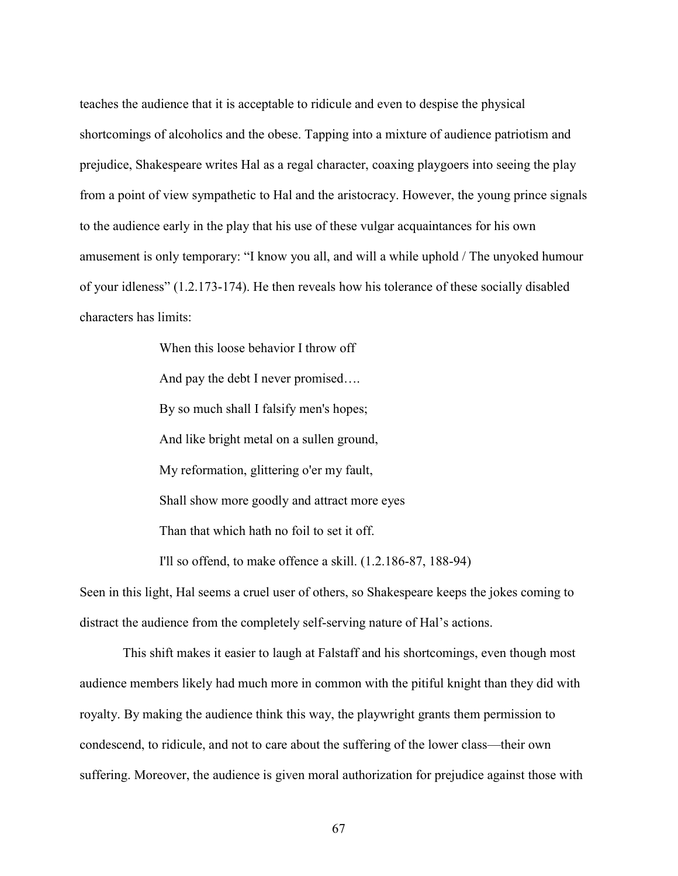teaches the audience that it is acceptable to ridicule and even to despise the physical shortcomings of alcoholics and the obese. Tapping into a mixture of audience patriotism and prejudice, Shakespeare writes Hal as a regal character, coaxing playgoers into seeing the play from a point of view sympathetic to Hal and the aristocracy. However, the young prince signals to the audience early in the play that his use of these vulgar acquaintances for his own amusement is only temporary: "I know you all, and will a while uphold / The unyoked humour of your idleness" (1.2.173-174). He then reveals how his tolerance of these socially disabled characters has limits:

> When this loose behavior I throw off And pay the debt I never promised…. By so much shall I falsify men's hopes; And like bright metal on a sullen ground, My reformation, glittering o'er my fault, Shall show more goodly and attract more eyes Than that which hath no foil to set it off. I'll so offend, to make offence a skill. (1.2.186-87, 188-94)

Seen in this light, Hal seems a cruel user of others, so Shakespeare keeps the jokes coming to distract the audience from the completely self-serving nature of Hal's actions.

 This shift makes it easier to laugh at Falstaff and his shortcomings, even though most audience members likely had much more in common with the pitiful knight than they did with royalty. By making the audience think this way, the playwright grants them permission to condescend, to ridicule, and not to care about the suffering of the lower class—their own suffering. Moreover, the audience is given moral authorization for prejudice against those with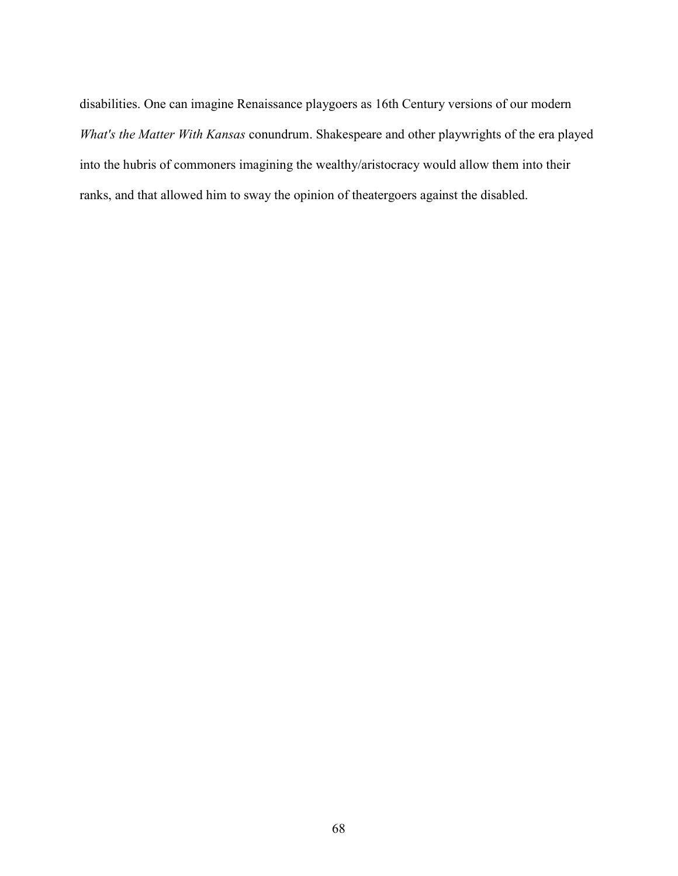disabilities. One can imagine Renaissance playgoers as 16th Century versions of our modern What's the Matter With Kansas conundrum. Shakespeare and other playwrights of the era played into the hubris of commoners imagining the wealthy/aristocracy would allow them into their ranks, and that allowed him to sway the opinion of theatergoers against the disabled.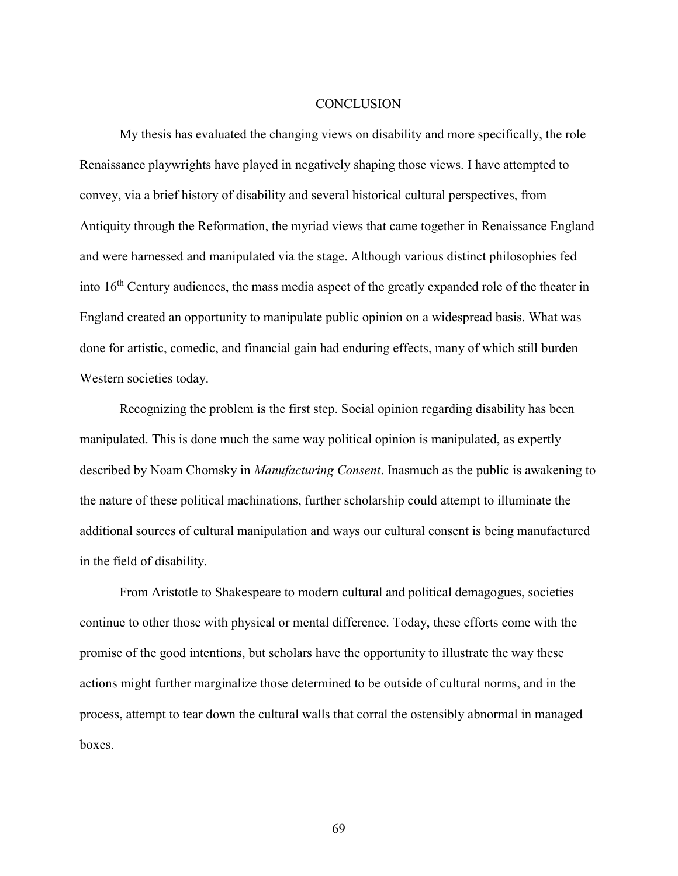## **CONCLUSION**

My thesis has evaluated the changing views on disability and more specifically, the role Renaissance playwrights have played in negatively shaping those views. I have attempted to convey, via a brief history of disability and several historical cultural perspectives, from Antiquity through the Reformation, the myriad views that came together in Renaissance England and were harnessed and manipulated via the stage. Although various distinct philosophies fed into 16th Century audiences, the mass media aspect of the greatly expanded role of the theater in England created an opportunity to manipulate public opinion on a widespread basis. What was done for artistic, comedic, and financial gain had enduring effects, many of which still burden Western societies today.

Recognizing the problem is the first step. Social opinion regarding disability has been manipulated. This is done much the same way political opinion is manipulated, as expertly described by Noam Chomsky in *Manufacturing Consent*. Inasmuch as the public is awakening to the nature of these political machinations, further scholarship could attempt to illuminate the additional sources of cultural manipulation and ways our cultural consent is being manufactured in the field of disability.

From Aristotle to Shakespeare to modern cultural and political demagogues, societies continue to other those with physical or mental difference. Today, these efforts come with the promise of the good intentions, but scholars have the opportunity to illustrate the way these actions might further marginalize those determined to be outside of cultural norms, and in the process, attempt to tear down the cultural walls that corral the ostensibly abnormal in managed boxes.

69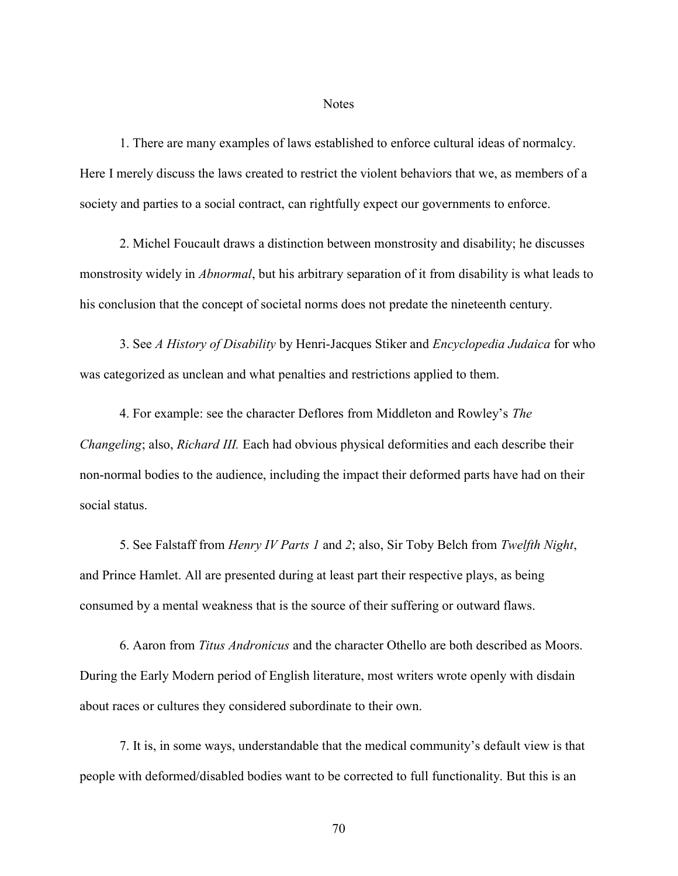## **Notes**

1. There are many examples of laws established to enforce cultural ideas of normalcy. Here I merely discuss the laws created to restrict the violent behaviors that we, as members of a society and parties to a social contract, can rightfully expect our governments to enforce.

2. Michel Foucault draws a distinction between monstrosity and disability; he discusses monstrosity widely in *Abnormal*, but his arbitrary separation of it from disability is what leads to his conclusion that the concept of societal norms does not predate the nineteenth century.

3. See A History of Disability by Henri-Jacques Stiker and *Encyclopedia Judaica* for who was categorized as unclean and what penalties and restrictions applied to them.

4. For example: see the character Deflores from Middleton and Rowley's The Changeling; also, Richard III. Each had obvious physical deformities and each describe their non-normal bodies to the audience, including the impact their deformed parts have had on their social status.

5. See Falstaff from *Henry IV Parts 1* and 2; also, Sir Toby Belch from *Twelfth Night*, and Prince Hamlet. All are presented during at least part their respective plays, as being consumed by a mental weakness that is the source of their suffering or outward flaws.

6. Aaron from Titus Andronicus and the character Othello are both described as Moors. During the Early Modern period of English literature, most writers wrote openly with disdain about races or cultures they considered subordinate to their own.

7. It is, in some ways, understandable that the medical community's default view is that people with deformed/disabled bodies want to be corrected to full functionality. But this is an

70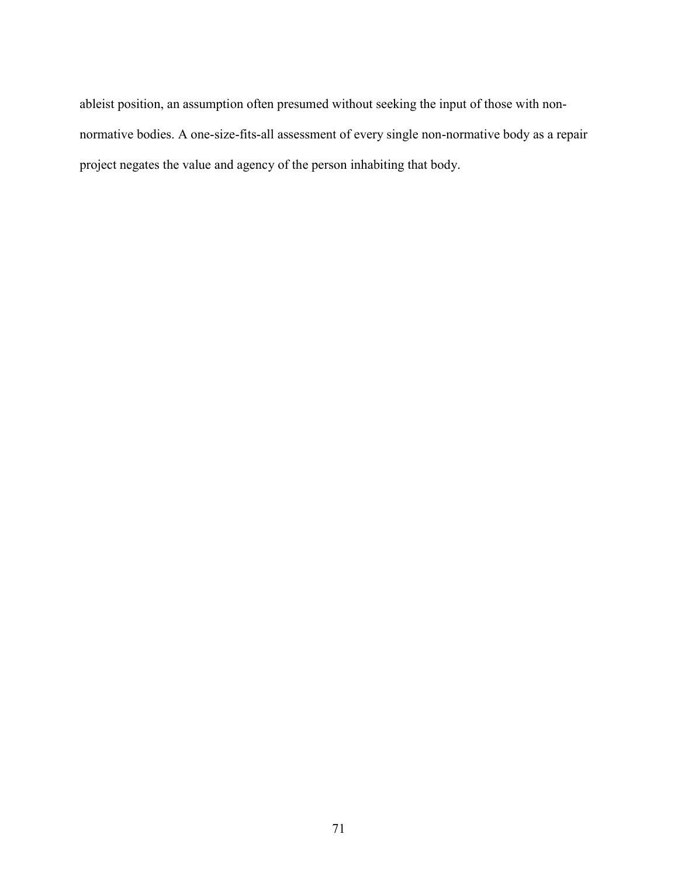ableist position, an assumption often presumed without seeking the input of those with nonnormative bodies. A one-size-fits-all assessment of every single non-normative body as a repair project negates the value and agency of the person inhabiting that body.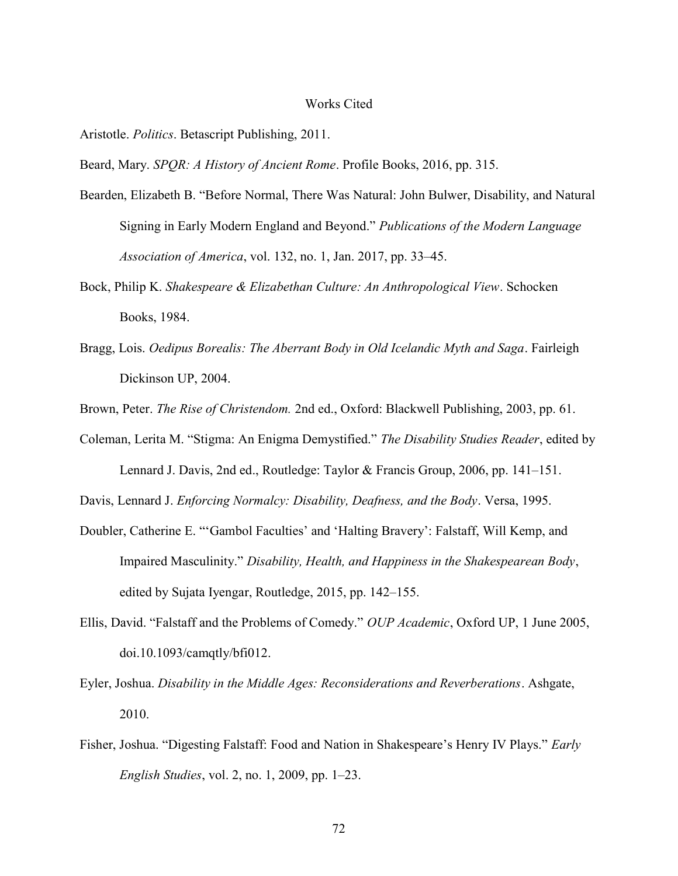## Works Cited

Aristotle. Politics. Betascript Publishing, 2011.

Beard, Mary. SPOR: A History of Ancient Rome. Profile Books, 2016, pp. 315.

- Bearden, Elizabeth B. "Before Normal, There Was Natural: John Bulwer, Disability, and Natural Signing in Early Modern England and Beyond." Publications of the Modern Language Association of America, vol. 132, no. 1, Jan. 2017, pp. 33–45.
- Bock, Philip K. Shakespeare & Elizabethan Culture: An Anthropological View. Schocken Books, 1984.
- Bragg, Lois. Oedipus Borealis: The Aberrant Body in Old Icelandic Myth and Saga. Fairleigh Dickinson UP, 2004.

Brown, Peter. The Rise of Christendom. 2nd ed., Oxford: Blackwell Publishing, 2003, pp. 61.

Coleman, Lerita M. "Stigma: An Enigma Demystified." The Disability Studies Reader, edited by Lennard J. Davis, 2nd ed., Routledge: Taylor & Francis Group, 2006, pp. 141–151.

Davis, Lennard J. Enforcing Normalcy: Disability, Deafness, and the Body. Versa, 1995.

- Doubler, Catherine E. "'Gambol Faculties' and 'Halting Bravery': Falstaff, Will Kemp, and Impaired Masculinity." Disability, Health, and Happiness in the Shakespearean Body, edited by Sujata Iyengar, Routledge, 2015, pp. 142–155.
- Ellis, David. "Falstaff and the Problems of Comedy." OUP Academic, Oxford UP, 1 June 2005, doi.10.1093/camqtly/bfi012.
- Eyler, Joshua. Disability in the Middle Ages: Reconsiderations and Reverberations. Ashgate, 2010.
- Fisher, Joshua. "Digesting Falstaff: Food and Nation in Shakespeare's Henry IV Plays." Early English Studies, vol. 2, no. 1, 2009, pp. 1–23.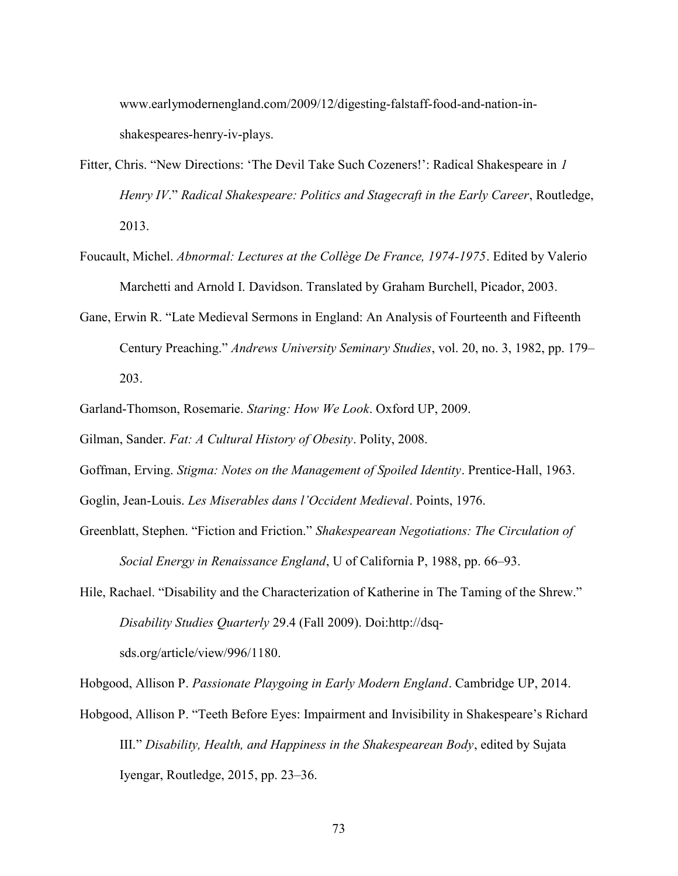www.earlymodernengland.com/2009/12/digesting-falstaff-food-and-nation-inshakespeares-henry-iv-plays.

- Fitter, Chris. "New Directions: 'The Devil Take Such Cozeners!': Radical Shakespeare in 1 Henry IV." Radical Shakespeare: Politics and Stagecraft in the Early Career, Routledge, 2013.
- Foucault, Michel. Abnormal: Lectures at the Collège De France, 1974-1975. Edited by Valerio Marchetti and Arnold I. Davidson. Translated by Graham Burchell, Picador, 2003.
- Gane, Erwin R. "Late Medieval Sermons in England: An Analysis of Fourteenth and Fifteenth Century Preaching." Andrews University Seminary Studies, vol. 20, no. 3, 1982, pp. 179– 203.
- Garland-Thomson, Rosemarie. Staring: How We Look. Oxford UP, 2009.

Gilman, Sander. Fat: A Cultural History of Obesity. Polity, 2008.

Goffman, Erving. Stigma: Notes on the Management of Spoiled Identity. Prentice-Hall, 1963.

Goglin, Jean-Louis. Les Miserables dans l'Occident Medieval. Points, 1976.

- Greenblatt, Stephen. "Fiction and Friction." Shakespearean Negotiations: The Circulation of Social Energy in Renaissance England, U of California P, 1988, pp. 66–93.
- Hile, Rachael. "Disability and the Characterization of Katherine in The Taming of the Shrew." Disability Studies Quarterly 29.4 (Fall 2009). Doi:http://dsqsds.org/article/view/996/1180.

Hobgood, Allison P. Passionate Playgoing in Early Modern England. Cambridge UP, 2014.

Hobgood, Allison P. "Teeth Before Eyes: Impairment and Invisibility in Shakespeare's Richard III." Disability, Health, and Happiness in the Shakespearean Body, edited by Sujata Iyengar, Routledge, 2015, pp. 23–36.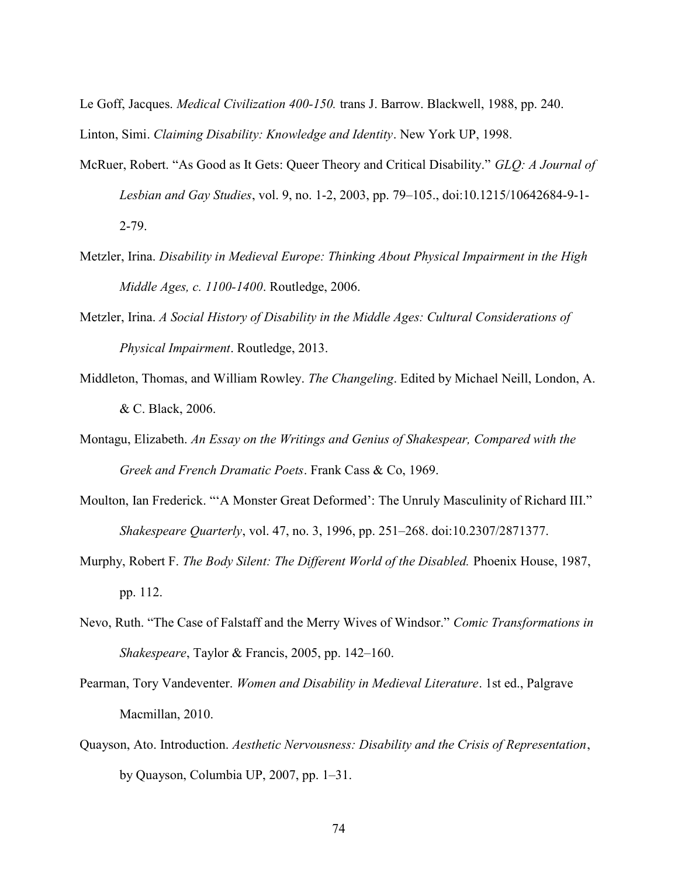Le Goff, Jacques. Medical Civilization 400-150. trans J. Barrow. Blackwell, 1988, pp. 240. Linton, Simi. Claiming Disability: Knowledge and Identity. New York UP, 1998.

- McRuer, Robert. "As Good as It Gets: Queer Theory and Critical Disability." GLQ: A Journal of Lesbian and Gay Studies, vol. 9, no. 1-2, 2003, pp. 79–105., doi:10.1215/10642684-9-1- 2-79.
- Metzler, Irina. Disability in Medieval Europe: Thinking About Physical Impairment in the High Middle Ages, c. 1100-1400. Routledge, 2006.
- Metzler, Irina. A Social History of Disability in the Middle Ages: Cultural Considerations of Physical Impairment. Routledge, 2013.
- Middleton, Thomas, and William Rowley. The Changeling. Edited by Michael Neill, London, A. & C. Black, 2006.
- Montagu, Elizabeth. An Essay on the Writings and Genius of Shakespear, Compared with the Greek and French Dramatic Poets. Frank Cass & Co, 1969.
- Moulton, Ian Frederick. "'A Monster Great Deformed': The Unruly Masculinity of Richard III." Shakespeare Quarterly, vol. 47, no. 3, 1996, pp. 251–268. doi:10.2307/2871377.
- Murphy, Robert F. The Body Silent: The Different World of the Disabled. Phoenix House, 1987, pp. 112.
- Nevo, Ruth. "The Case of Falstaff and the Merry Wives of Windsor." Comic Transformations in Shakespeare, Taylor & Francis, 2005, pp. 142–160.
- Pearman, Tory Vandeventer. Women and Disability in Medieval Literature. 1st ed., Palgrave Macmillan, 2010.
- Quayson, Ato. Introduction. Aesthetic Nervousness: Disability and the Crisis of Representation, by Quayson, Columbia UP, 2007, pp. 1–31.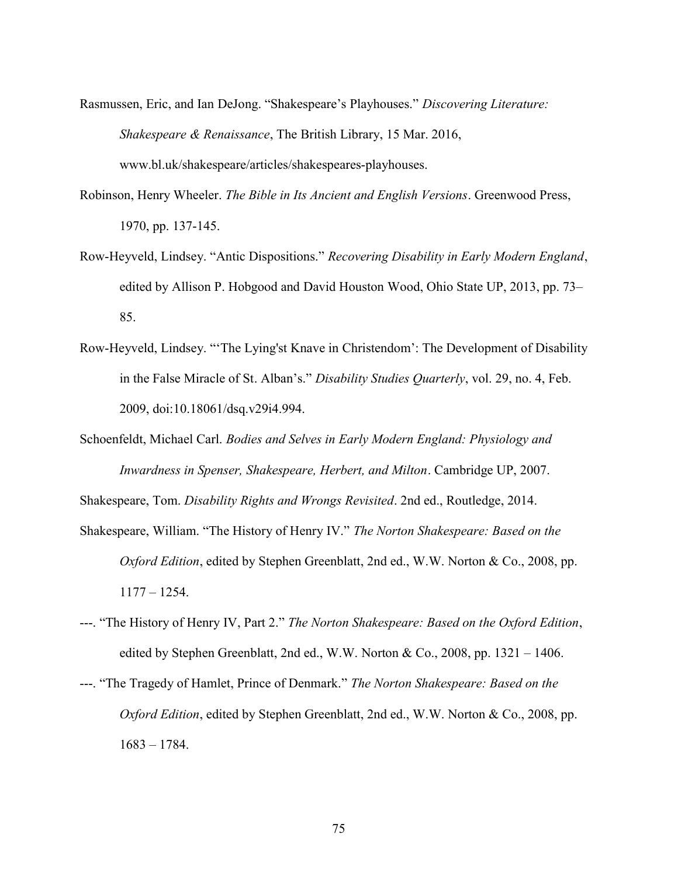- Rasmussen, Eric, and Ian DeJong. "Shakespeare's Playhouses." Discovering Literature: Shakespeare & Renaissance, The British Library, 15 Mar. 2016, www.bl.uk/shakespeare/articles/shakespeares-playhouses.
- Robinson, Henry Wheeler. The Bible in Its Ancient and English Versions. Greenwood Press, 1970, pp. 137-145.
- Row-Heyveld, Lindsey. "Antic Dispositions." Recovering Disability in Early Modern England, edited by Allison P. Hobgood and David Houston Wood, Ohio State UP, 2013, pp. 73– 85.
- Row-Heyveld, Lindsey. "'The Lying'st Knave in Christendom': The Development of Disability in the False Miracle of St. Alban's." Disability Studies Quarterly, vol. 29, no. 4, Feb. 2009, doi:10.18061/dsq.v29i4.994.
- Schoenfeldt, Michael Carl. Bodies and Selves in Early Modern England: Physiology and Inwardness in Spenser, Shakespeare, Herbert, and Milton. Cambridge UP, 2007.

Shakespeare, Tom. Disability Rights and Wrongs Revisited. 2nd ed., Routledge, 2014.

- Shakespeare, William. "The History of Henry IV." The Norton Shakespeare: Based on the Oxford Edition, edited by Stephen Greenblatt, 2nd ed., W.W. Norton & Co., 2008, pp. 1177 – 1254.
- ---. "The History of Henry IV, Part 2." The Norton Shakespeare: Based on the Oxford Edition, edited by Stephen Greenblatt, 2nd ed., W.W. Norton & Co., 2008, pp.  $1321 - 1406$ .
- ---. "The Tragedy of Hamlet, Prince of Denmark." The Norton Shakespeare: Based on the Oxford Edition, edited by Stephen Greenblatt, 2nd ed., W.W. Norton & Co., 2008, pp. 1683 – 1784.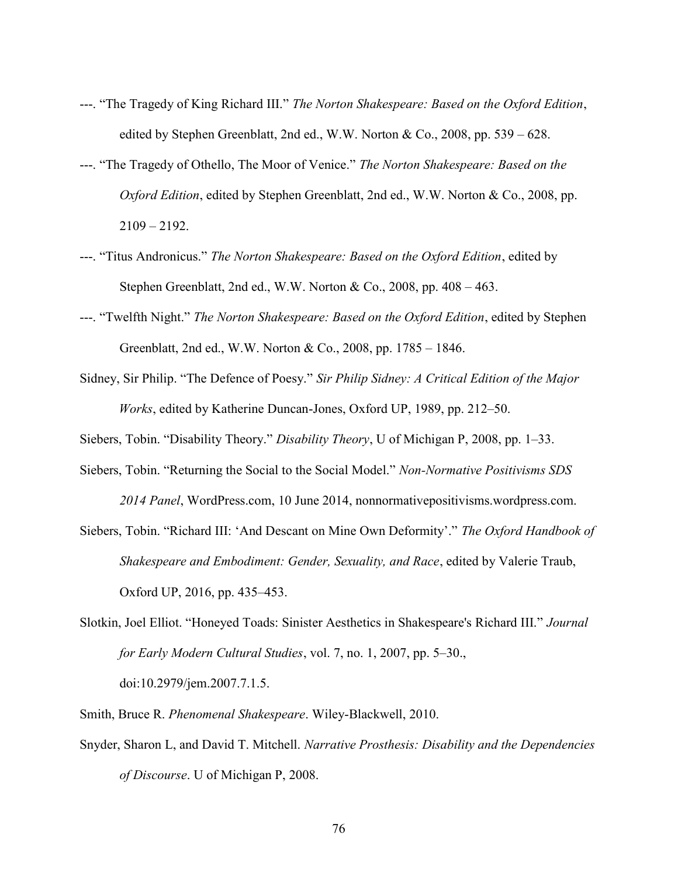- ---. "The Tragedy of King Richard III." The Norton Shakespeare: Based on the Oxford Edition, edited by Stephen Greenblatt, 2nd ed., W.W. Norton & Co., 2008, pp. 539 – 628.
- ---. "The Tragedy of Othello, The Moor of Venice." The Norton Shakespeare: Based on the Oxford Edition, edited by Stephen Greenblatt, 2nd ed., W.W. Norton & Co., 2008, pp.  $2109 - 2192.$
- ---. "Titus Andronicus." The Norton Shakespeare: Based on the Oxford Edition, edited by Stephen Greenblatt, 2nd ed., W.W. Norton & Co., 2008, pp.  $408 - 463$ .
- ---. "Twelfth Night." The Norton Shakespeare: Based on the Oxford Edition, edited by Stephen Greenblatt, 2nd ed., W.W. Norton & Co., 2008, pp. 1785 – 1846.
- Sidney, Sir Philip. "The Defence of Poesy." Sir Philip Sidney: A Critical Edition of the Major Works, edited by Katherine Duncan-Jones, Oxford UP, 1989, pp. 212–50.

Siebers, Tobin. "Disability Theory." Disability Theory, U of Michigan P, 2008, pp. 1–33.

Siebers, Tobin. "Returning the Social to the Social Model." Non-Normative Positivisms SDS

2014 Panel, WordPress.com, 10 June 2014, nonnormativepositivisms.wordpress.com.

- Siebers, Tobin. "Richard III: 'And Descant on Mine Own Deformity'." The Oxford Handbook of Shakespeare and Embodiment: Gender, Sexuality, and Race, edited by Valerie Traub, Oxford UP, 2016, pp. 435–453.
- Slotkin, Joel Elliot. "Honeyed Toads: Sinister Aesthetics in Shakespeare's Richard III." Journal for Early Modern Cultural Studies, vol. 7, no. 1, 2007, pp. 5–30., doi:10.2979/jem.2007.7.1.5.

Smith, Bruce R. Phenomenal Shakespeare. Wiley-Blackwell, 2010.

Snyder, Sharon L, and David T. Mitchell. Narrative Prosthesis: Disability and the Dependencies of Discourse. U of Michigan P, 2008.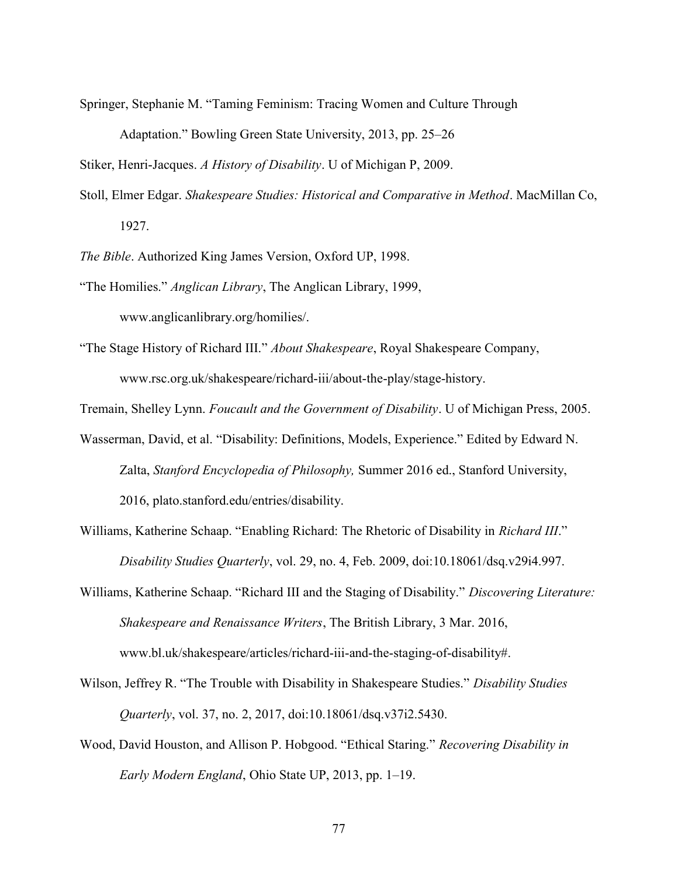Springer, Stephanie M. "Taming Feminism: Tracing Women and Culture Through

Adaptation." Bowling Green State University, 2013, pp. 25–26

Stiker, Henri-Jacques. A History of Disability. U of Michigan P, 2009.

Stoll, Elmer Edgar. Shakespeare Studies: Historical and Comparative in Method. MacMillan Co, 1927.

The Bible. Authorized King James Version, Oxford UP, 1998.

"The Homilies." Anglican Library, The Anglican Library, 1999,

www.anglicanlibrary.org/homilies/.

"The Stage History of Richard III." About Shakespeare, Royal Shakespeare Company, www.rsc.org.uk/shakespeare/richard-iii/about-the-play/stage-history.

Tremain, Shelley Lynn. Foucault and the Government of Disability. U of Michigan Press, 2005.

- Wasserman, David, et al. "Disability: Definitions, Models, Experience." Edited by Edward N. Zalta, Stanford Encyclopedia of Philosophy, Summer 2016 ed., Stanford University, 2016, plato.stanford.edu/entries/disability.
- Williams, Katherine Schaap. "Enabling Richard: The Rhetoric of Disability in Richard III." Disability Studies Quarterly, vol. 29, no. 4, Feb. 2009, doi:10.18061/dsq.v29i4.997.

Williams, Katherine Schaap. "Richard III and the Staging of Disability." Discovering Literature: Shakespeare and Renaissance Writers, The British Library, 3 Mar. 2016, www.bl.uk/shakespeare/articles/richard-iii-and-the-staging-of-disability#.

- Wilson, Jeffrey R. "The Trouble with Disability in Shakespeare Studies." Disability Studies Quarterly, vol. 37, no. 2, 2017, doi:10.18061/dsq.v37i2.5430.
- Wood, David Houston, and Allison P. Hobgood. "Ethical Staring." Recovering Disability in Early Modern England, Ohio State UP, 2013, pp. 1–19.